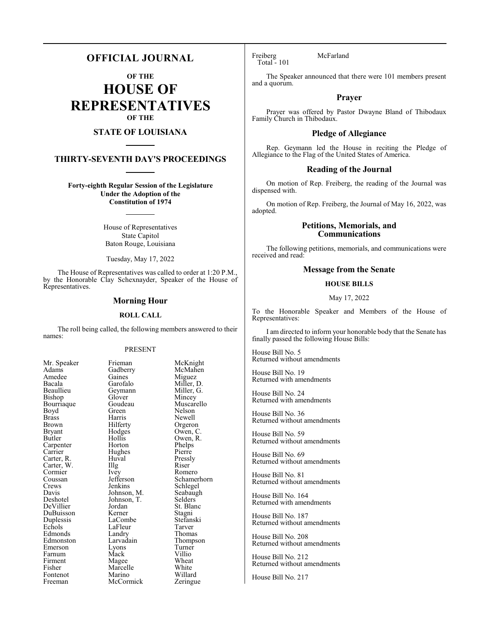## **OFFICIAL JOURNAL**

**OF THE**

**HOUSE OF REPRESENTATIVES OF THE**

## **STATE OF LOUISIANA**

## **THIRTY-SEVENTH DAY'S PROCEEDINGS**

**Forty-eighth Regular Session of the Legislature Under the Adoption of the Constitution of 1974**

> House of Representatives State Capitol Baton Rouge, Louisiana

Tuesday, May 17, 2022

The House of Representatives was called to order at 1:20 P.M., by the Honorable Clay Schexnayder, Speaker of the House of Representatives.

## **Morning Hour**

### **ROLL CALL**

The roll being called, the following members answered to their names:

### PRESENT

Mr. Speaker Frieman McKnight<br>
Adams Gadberry McMahen Adams Gadberry McMahen<br>Amedee Gaines Miguez Amedee Gaines<br>Bacala Garofalo Bacala Garofalo Miller, D. Beaullieu Geymann<br>Bishop Glover Bourriaque Goudeau Muscarello<br>Boyd Green Nelson Boyd Green<br>Brass Harris Brass Harris Newell Brown Hilferty Orgeron<br>Bryant Hodges Owen, C Bryant Hodges Owen, C.<br>Butler Hollis Owen, R. Carpenter Horton Phelps<br>
Carrier Hughes Pierre Carter, R. Huval Pressl<br>Carter, W. Illg Riser Carter, W. Illg Riser<br>Cormier Ivey Romero Cormier Ivey<br>Coussan Jefferson Coussan Jefferson Schamerhorn<br>Crews Jenkins Schlegel Crews Jenkins Schlegel<br>Davis Johnson, M. Seabaugh Davis Johnson, M. Seabaughter Seabaughter Seabaughter Seabaughter Seabaughter Seabaughter Seabaughter Seabaughter Seabaughter Seabaughter Seabaughter Seabaughter Seabaughter Seabaughter Seabaughter Seabaughter Seabaughter Deshotel Johnson, T.<br>DeVillier Jordan DuBuisson Kerner Stagni Duplessis LaCombe Stefans<br>Echols LaFleur Tarver Echols LaFleur Tarver Edmonds<br>
Edmonston Larvadain Emerson Lyons Turne<br>
Farnum Mack Villio Farnum Firment Magee Wheat<br>
Fisher Marcelle White Fisher Marcelle White<br>Fontenot Marino Willard

Glover Mincey<br>Goudeau Muscarello Hollis Owen, R.<br>Horton Phelps Hughes Pierre<br>Huval Pressly Jordan St. Blanc<br>Kerner Stagni Larvadain Thompson<br>Lyons Turner Fontenot Marino Willard<br>
Freeman McCormick Zeringue McCormick

Freiberg McFarland Total - 101

The Speaker announced that there were 101 members present and a quorum.

## **Prayer**

Prayer was offered by Pastor Dwayne Bland of Thibodaux Family Church in Thibodaux.

## **Pledge of Allegiance**

Rep. Geymann led the House in reciting the Pledge of Allegiance to the Flag of the United States of America.

## **Reading of the Journal**

On motion of Rep. Freiberg, the reading of the Journal was dispensed with.

On motion of Rep. Freiberg, the Journal of May 16, 2022, was adopted.

## **Petitions, Memorials, and Communications**

The following petitions, memorials, and communications were received and read:

## **Message from the Senate**

## **HOUSE BILLS**

### May 17, 2022

To the Honorable Speaker and Members of the House of Representatives:

I am directed to inform your honorable body that the Senate has finally passed the following House Bills:

House Bill No. 5 Returned without amendments

House Bill No. 19 Returned with amendments

House Bill No. 24 Returned with amendments

House Bill No. 36 Returned without amendments

House Bill No. 59 Returned without amendments

House Bill No. 69 Returned without amendments

House Bill No. 81 Returned without amendments

House Bill No. 164 Returned with amendments

House Bill No. 187 Returned without amendments

House Bill No. 208 Returned without amendments

House Bill No. 212 Returned without amendments

House Bill No. 217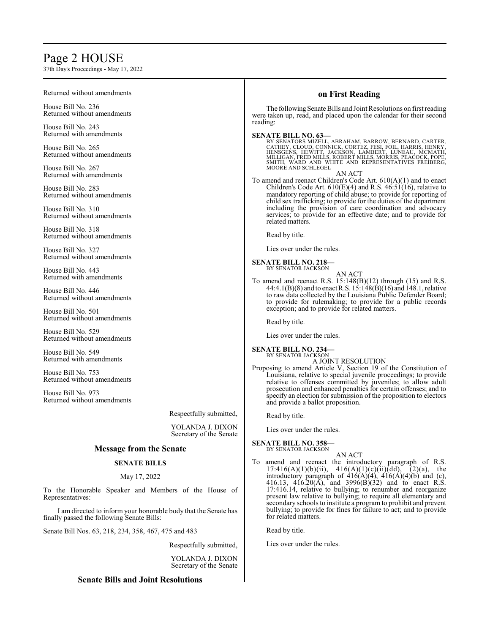# Page 2 HOUSE

37th Day's Proceedings - May 17, 2022

| $\sigma$ / in Day's 1 foccedings - 1914y 17, 2022                                                             |                                             |                                                                                                                                                                                                                                                                                                                        |  |
|---------------------------------------------------------------------------------------------------------------|---------------------------------------------|------------------------------------------------------------------------------------------------------------------------------------------------------------------------------------------------------------------------------------------------------------------------------------------------------------------------|--|
| Returned without amendments                                                                                   |                                             | on First Reading                                                                                                                                                                                                                                                                                                       |  |
| House Bill No. 236<br>Returned without amendments                                                             |                                             | The following Senate Bills and Joint Resolutions on first reading<br>were taken up, read, and placed upon the calendar for their second<br>reading:                                                                                                                                                                    |  |
| House Bill No. 243<br>Returned with amendments                                                                |                                             | <b>SENATE BILL NO. 63-</b>                                                                                                                                                                                                                                                                                             |  |
| House Bill No. 265<br>Returned without amendments                                                             |                                             | BY SENATORS MIZELL, ABRAHAM, BARROW, BERNARD, CARTER, CATHEY, CLOUD, CONNICK, CORTEZ, FESI, FOIL, HARRIS, HENRY, HENRY, HENRY, HENRY, HENRY, HENRY, HENRY, HENRY, HENRY, HENRY, HENRY, MELLGAN, FRED MILLS, ROBERT, MILLS, MOR                                                                                         |  |
| House Bill No. 267<br>Returned with amendments                                                                |                                             | SMITH, WARD AND WHITE AND REPRESENTATIVES FREIBERG, MOORE AND SCHLEGEL<br>AN ACT                                                                                                                                                                                                                                       |  |
| House Bill No. 283<br>Returned without amendments                                                             |                                             | To amend and reenact Children's Code Art. $610(A)(1)$ and to enact<br>Children's Code Art. $610(E)(4)$ and R.S. $46:51(16)$ , relative to<br>mandatory reporting of child abuse; to provide for reporting of                                                                                                           |  |
| House Bill No. 310<br>Returned without amendments                                                             |                                             | child sex trafficking; to provide for the duties of the department<br>including the provision of care coordination and advocacy<br>services; to provide for an effective date; and to provide for<br>related matters.                                                                                                  |  |
| House Bill No. 318<br>Returned without amendments                                                             |                                             | Read by title.                                                                                                                                                                                                                                                                                                         |  |
| House Bill No. 327<br>Returned without amendments                                                             |                                             | Lies over under the rules.                                                                                                                                                                                                                                                                                             |  |
| House Bill No. 443<br>Returned with amendments                                                                |                                             | <b>SENATE BILL NO. 218-</b><br>BY SENATOR JACKSON<br>AN ACT                                                                                                                                                                                                                                                            |  |
| House Bill No. 446<br>Returned without amendments<br>House Bill No. 501<br>Returned without amendments        |                                             | To amend and reenact R.S. $15:148(B)(12)$ through (15) and R.S. 44:4.1(B)(8) and to enact R.S. $15:148(B)(16)$ and $148.1$ , relative<br>to raw data collected by the Louisiana Public Defender Board;<br>to provide for rulemaking; to provide for a public records<br>exception; and to provide for related matters. |  |
|                                                                                                               |                                             |                                                                                                                                                                                                                                                                                                                        |  |
| House Bill No. 549<br>Returned with amendments                                                                |                                             | <b>SENATE BILL NO. 234-</b><br>BY SENATOR JACKSON                                                                                                                                                                                                                                                                      |  |
| House Bill No. 753<br>Returned without amendments                                                             |                                             | A JOINT RESOLUTION<br>Proposing to amend Article V, Section 19 of the Constitution of Louisiana, relative to special juvenile proceedings; to provide<br>relative to offenses committed by juveniles; to allow adult                                                                                                   |  |
| House Bill No. 973<br>Returned without amendments                                                             |                                             | prosecution and enhanced penalties for certain offenses; and to<br>specify an election for submission of the proposition to electors<br>and provide a ballot proposition.                                                                                                                                              |  |
|                                                                                                               | Respectfully submitted,                     | Read by title.                                                                                                                                                                                                                                                                                                         |  |
|                                                                                                               | YOLANDA J. DIXON<br>Secretary of the Senate | Lies over under the rules.                                                                                                                                                                                                                                                                                             |  |
| <b>Message from the Senate</b>                                                                                |                                             | <b>SENATE BILL NO. 358-</b><br>BY SENATOR JACKSON                                                                                                                                                                                                                                                                      |  |
| <b>SENATE BILLS</b>                                                                                           |                                             | AN ACT<br>To amend and reenact the introductory paragraph of R.S.<br>$17:416(A)(1)(b)(ii)$ ,<br>416(A)(1)(c)(ii)(dd), (2)(a), the                                                                                                                                                                                      |  |
| May 17, 2022                                                                                                  |                                             | introductory paragraph of $416(A)(4)$ , $416(A)(4)(b)$ and (c),<br>416.13, 416.20(A), and 3996(B)(32) and to enact R.S.                                                                                                                                                                                                |  |
| To the Honorable Speaker and Members of the House of<br>Representatives:                                      |                                             | 17:416.14, relative to bullying; to renumber and reorganize<br>present law relative to bullying; to require all elementary and<br>secondary schools to institute a program to prohibit and prevent<br>bullying; to provide for fines for failure to act; and to provide<br>for related matters.                        |  |
| I am directed to inform your honorable body that the Senate has<br>finally passed the following Senate Bills: |                                             |                                                                                                                                                                                                                                                                                                                        |  |
| Senate Bill Nos. 63, 218, 234, 358, 467, 475 and 483                                                          |                                             | Read by title.                                                                                                                                                                                                                                                                                                         |  |
|                                                                                                               | Respectfully submitted,                     | Lies over under the rules.                                                                                                                                                                                                                                                                                             |  |
|                                                                                                               |                                             |                                                                                                                                                                                                                                                                                                                        |  |

YOLANDA J. DIXON Secretary of the Senate

## **Senate Bills and Joint Resolutions**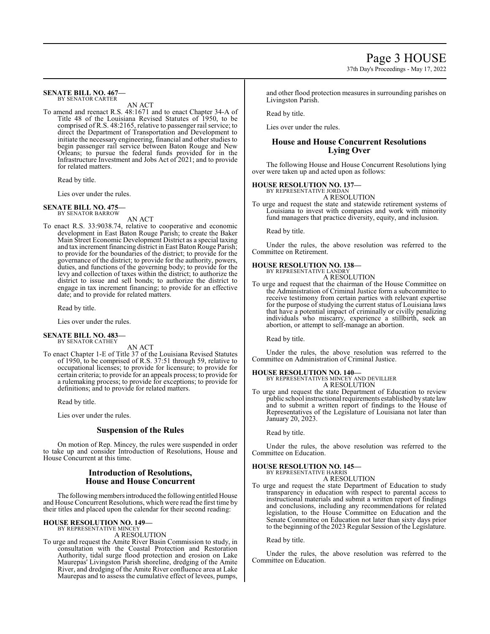#### **SENATE BILL NO. 467—** BY SENATOR CARTER

AN ACT

To amend and reenact R.S. 48:1671 and to enact Chapter 34-A of Title 48 of the Louisiana Revised Statutes of 1950, to be comprised of R.S. 48:2165, relative to passenger rail service; to direct the Department of Transportation and Development to initiate the necessary engineering, financial and other studies to begin passenger rail service between Baton Rouge and New Orleans; to pursue the federal funds provided for in the Infrastructure Investment and Jobs Act of 2021; and to provide for related matters.

Read by title.

Lies over under the rules.

#### **SENATE BILL NO. 475—** BY SENATOR BARROW

AN ACT

To enact R.S. 33:9038.74, relative to cooperative and economic development in East Baton Rouge Parish; to create the Baker Main Street Economic Development District as a special taxing and tax increment financing district in East Baton Rouge Parish; to provide for the boundaries of the district; to provide for the governance of the district; to provide for the authority, powers, duties, and functions of the governing body; to provide for the levy and collection of taxes within the district; to authorize the district to issue and sell bonds; to authorize the district to engage in tax increment financing; to provide for an effective date; and to provide for related matters.

Read by title.

Lies over under the rules.

### **SENATE BILL NO. 483—** BY SENATOR CATHEY

AN ACT

To enact Chapter 1-E of Title 37 of the Louisiana Revised Statutes of 1950, to be comprised of R.S. 37:51 through 59, relative to occupational licenses; to provide for licensure; to provide for certain criteria; to provide for an appeals process; to provide for a rulemaking process; to provide for exceptions; to provide for definitions; and to provide for related matters.

Read by title.

Lies over under the rules.

## **Suspension of the Rules**

On motion of Rep. Mincey, the rules were suspended in order to take up and consider Introduction of Resolutions, House and House Concurrent at this time.

## **Introduction of Resolutions, House and House Concurrent**

The following members introduced the following entitled House and House Concurrent Resolutions, which were read the first time by their titles and placed upon the calendar for their second reading:

## **HOUSE RESOLUTION NO. 149—**

BY REPRESENTATIVE MINCEY A RESOLUTION

To urge and request the Amite River Basin Commission to study, in consultation with the Coastal Protection and Restoration Authority, tidal surge flood protection and erosion on Lake Maurepas' Livingston Parish shoreline, dredging of the Amite River, and dredging of the Amite River confluence area at Lake Maurepas and to assess the cumulative effect of levees, pumps,

and other flood protection measures in surrounding parishes on Livingston Parish.

Read by title.

Lies over under the rules.

## **House and House Concurrent Resolutions Lying Over**

The following House and House Concurrent Resolutions lying over were taken up and acted upon as follows:

## **HOUSE RESOLUTION NO. 137—**

BY REPRESENTATIVE JORDAN

A RESOLUTION

To urge and request the state and statewide retirement systems of Louisiana to invest with companies and work with minority fund managers that practice diversity, equity, and inclusion.

Read by title.

Under the rules, the above resolution was referred to the Committee on Retirement.

## **HOUSE RESOLUTION NO. 138—** BY REPRESENTATIVE LANDRY

A RESOLUTION

To urge and request that the chairman of the House Committee on the Administration of Criminal Justice form a subcommittee to receive testimony from certain parties with relevant expertise for the purpose of studying the current status of Louisiana laws that have a potential impact of criminally or civilly penalizing individuals who miscarry, experience a stillbirth, seek an abortion, or attempt to self-manage an abortion.

Read by title.

Under the rules, the above resolution was referred to the Committee on Administration of Criminal Justice.

**HOUSE RESOLUTION NO. 140—** BY REPRESENTATIVES MINCEY AND DEVILLIER A RESOLUTION

To urge and request the state Department of Education to review public school instructional requirements established by state law and to submit a written report of findings to the House of Representatives of the Legislature of Louisiana not later than January 20, 2023.

Read by title.

Under the rules, the above resolution was referred to the Committee on Education.

#### **HOUSE RESOLUTION NO. 145—** BY REPRESENTATIVE HARRIS

A RESOLUTION

To urge and request the state Department of Education to study transparency in education with respect to parental access to instructional materials and submit a written report of findings and conclusions, including any recommendations for related legislation, to the House Committee on Education and the Senate Committee on Education not later than sixty days prior to the beginning of the 2023 Regular Session of the Legislature.

Read by title.

Under the rules, the above resolution was referred to the Committee on Education.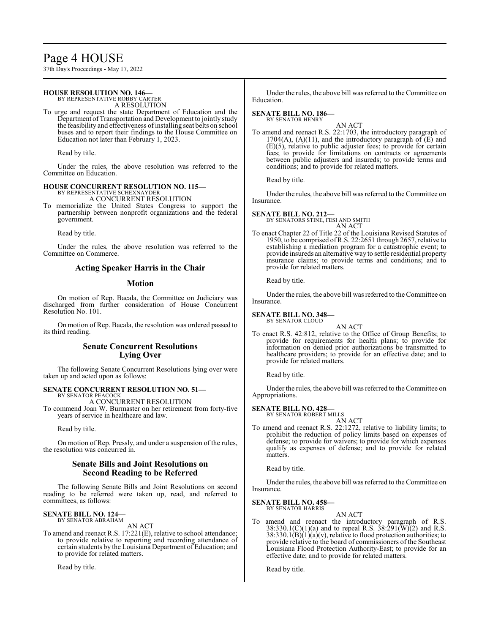# Page 4 HOUSE

37th Day's Proceedings - May 17, 2022

### **HOUSE RESOLUTION NO. 146—** BY REPRESENTATIVE ROBBY CARTER

A RESOLUTION

To urge and request the state Department of Education and the Department ofTransportation and Development to jointly study the feasibility and effectiveness of installing seat belts on school buses and to report their findings to the House Committee on Education not later than February 1, 2023.

Read by title.

Under the rules, the above resolution was referred to the Committee on Education.

# **HOUSE CONCURRENT RESOLUTION NO. 115—** BY REPRESENTATIVE SCHEXNAYDER

A CONCURRENT RESOLUTION

To memorialize the United States Congress to support the partnership between nonprofit organizations and the federal government.

Read by title.

Under the rules, the above resolution was referred to the Committee on Commerce.

## **Acting Speaker Harris in the Chair**

## **Motion**

On motion of Rep. Bacala, the Committee on Judiciary was discharged from further consideration of House Concurrent Resolution No. 101.

On motion of Rep. Bacala, the resolution was ordered passed to its third reading.

## **Senate Concurrent Resolutions Lying Over**

The following Senate Concurrent Resolutions lying over were taken up and acted upon as follows:

# **SENATE CONCURRENT RESOLUTION NO. 51—** BY SENATOR PEACOCK

A CONCURRENT RESOLUTION

To commend Joan W. Burmaster on her retirement from forty-five years of service in healthcare and law.

Read by title.

On motion of Rep. Pressly, and under a suspension of the rules, the resolution was concurred in.

## **Senate Bills and Joint Resolutions on Second Reading to be Referred**

The following Senate Bills and Joint Resolutions on second reading to be referred were taken up, read, and referred to committees, as follows:

## **SENATE BILL NO. 124—** BY SENATOR ABRAHAM

AN ACT

To amend and reenact R.S. 17:221(E), relative to school attendance; to provide relative to reporting and recording attendance of certain students by the Louisiana Department of Education; and to provide for related matters.

Read by title.

Under the rules, the above bill was referred to the Committee on Education.

#### **SENATE BILL NO. 186—** BY SENATOR HENRY

AN ACT To amend and reenact R.S. 22:1703, the introductory paragraph of  $1704(A)$ ,  $(A)(11)$ , and the introductory paragraph of  $(E)$  and (E)(5), relative to public adjuster fees; to provide for certain fees; to provide for limitations on contracts or agreements between public adjusters and insureds; to provide terms and conditions; and to provide for related matters.

Read by title.

Under the rules, the above bill was referred to the Committee on Insurance.

**SENATE BILL NO. 212—** BY SENATORS STINE, FESI AND SMITH AN ACT

To enact Chapter 22 of Title 22 of the Louisiana Revised Statutes of 1950, to be comprised ofR.S. 22:2651 through 2657, relative to establishing a mediation program for a catastrophic event; to provide insureds an alternative way to settle residential property insurance claims; to provide terms and conditions; and to provide for related matters.

Read by title.

Under the rules, the above bill was referred to the Committee on Insurance.

## **SENATE BILL NO. 348—**

BY SENATOR CLOUD

AN ACT To enact R.S. 42:812, relative to the Office of Group Benefits; to provide for requirements for health plans; to provide for information on denied prior authorizations be transmitted to healthcare providers; to provide for an effective date; and to provide for related matters.

Read by title.

Under the rules, the above bill was referred to the Committee on Appropriations.

# **SENATE BILL NO. 428—** BY SENATOR ROBERT MILLS

AN ACT

To amend and reenact R.S. 22:1272, relative to liability limits; to prohibit the reduction of policy limits based on expenses of defense; to provide for waivers; to provide for which expenses qualify as expenses of defense; and to provide for related matters.

Read by title.

Under the rules, the above bill was referred to the Committee on Insurance.

#### **SENATE BILL NO. 458—** BY SENATOR HARRIS

AN ACT

To amend and reenact the introductory paragraph of R.S. 38:330.1(C)(1)(a) and to repeal R.S. 38:291( $\bar{W}$ )(2) and R.S. 38:330.1( $\overline{B}$ )(1)( $\overline{a}$ )(v), relative to flood protection authorities; to provide relative to the board of commissioners of the Southeast Louisiana Flood Protection Authority-East; to provide for an effective date; and to provide for related matters.

Read by title.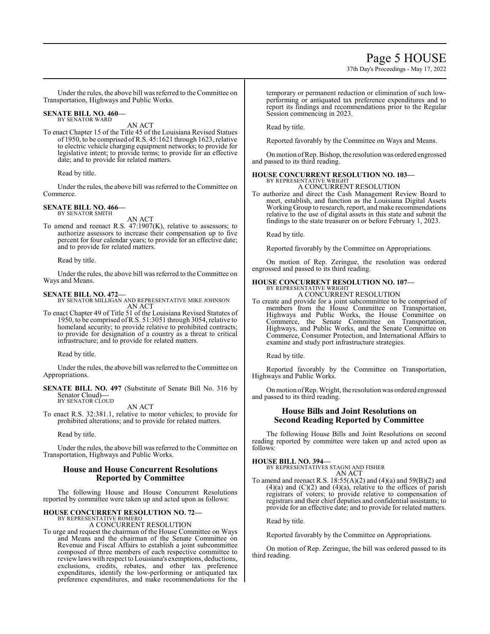37th Day's Proceedings - May 17, 2022

Under the rules, the above bill was referred to the Committee on Transportation, Highways and Public Works.

#### **SENATE BILL NO. 460—** BY SENATOR WARD

AN ACT

To enact Chapter 15 of the Title 45 of the Louisiana Revised Statues of 1950, to be comprised ofR.S. 45:1621 through 1623, relative to electric vehicle charging equipment networks; to provide for legislative intent; to provide terms; to provide for an effective date; and to provide for related matters.

Read by title.

Under the rules, the above bill was referred to the Committee on Commerce.

## **SENATE BILL NO. 466—**

BY SENATOR SMITH

AN ACT

To amend and reenact R.S. 47:1907(K), relative to assessors; to authorize assessors to increase their compensation up to five percent for four calendar years; to provide for an effective date; and to provide for related matters.

Read by title.

Under the rules, the above bill was referred to the Committee on Ways and Means.

### **SENATE BILL NO. 472—**

BY SENATOR MILLIGAN AND REPRESENTATIVE MIKE JOHNSON AN ACT

To enact Chapter 49 of Title 51 of the Louisiana Revised Statutes of 1950, to be comprised ofR.S. 51:3051 through 3054, relative to homeland security; to provide relative to prohibited contracts; to provide for designation of a country as a threat to critical infrastructure; and to provide for related matters.

Read by title.

Under the rules, the above bill was referred to the Committee on Appropriations.

**SENATE BILL NO. 497** (Substitute of Senate Bill No. 316 by Senator Cloud)**—** BY SENATOR CLOUD

AN ACT

To enact R.S. 32:381.1, relative to motor vehicles; to provide for prohibited alterations; and to provide for related matters.

Read by title.

Under the rules, the above bill was referred to the Committee on Transportation, Highways and Public Works.

## **House and House Concurrent Resolutions Reported by Committee**

The following House and House Concurrent Resolutions reported by committee were taken up and acted upon as follows:

#### **HOUSE CONCURRENT RESOLUTION NO. 72—** BY REPRESENTATIVE ROMERO

A CONCURRENT RESOLUTION

To urge and request the chairman of the House Committee on Ways and Means and the chairman of the Senate Committee on Revenue and Fiscal Affairs to establish a joint subcommittee composed of three members of each respective committee to reviewlaws with respect to Louisiana's exemptions, deductions, exclusions, credits, rebates, and other tax preference expenditures, identify the low-performing or antiquated tax preference expenditures, and make recommendations for the temporary or permanent reduction or elimination of such lowperforming or antiquated tax preference expenditures and to report its findings and recommendations prior to the Regular Session commencing in 2023.

Read by title.

Reported favorably by the Committee on Ways and Means.

Onmotion ofRep. Bishop, the resolution was ordered engrossed and passed to its third reading.

### **HOUSE CONCURRENT RESOLUTION NO. 103—** BY REPRESENTATIVE WRIGHT

A CONCURRENT RESOLUTION

To authorize and direct the Cash Management Review Board to meet, establish, and function as the Louisiana Digital Assets Working Group to research, report, and make recommendations relative to the use of digital assets in this state and submit the findings to the state treasurer on or before February 1, 2023.

Read by title.

Reported favorably by the Committee on Appropriations.

On motion of Rep. Zeringue, the resolution was ordered engrossed and passed to its third reading.

## **HOUSE CONCURRENT RESOLUTION NO. 107—**

BY REPRESENTATIVE WRIGHT A CONCURRENT RESOLUTION

To create and provide for a joint subcommittee to be comprised of members from the House Committee on Transportation, Highways and Public Works, the House Committee on Commerce, the Senate Committee on Transportation, Highways, and Public Works, and the Senate Committee on Commerce, Consumer Protection, and International Affairs to examine and study port infrastructure strategies.

Read by title.

Reported favorably by the Committee on Transportation, Highways and Public Works.

Onmotion ofRep. Wright, the resolution was ordered engrossed and passed to its third reading.

## **House Bills and Joint Resolutions on Second Reading Reported by Committee**

The following House Bills and Joint Resolutions on second reading reported by committee were taken up and acted upon as follows:

**HOUSE BILL NO. 394—** BY REPRESENTATIVES STAGNI AND FISHER AN ACT

To amend and reenact R.S. 18:55(A)(2) and (4)(a) and 59(B)(2) and  $(4)(a)$  and  $(C)(2)$  and  $(4)(a)$ , relative to the offices of parish registrars of voters; to provide relative to compensation of registrars and their chief deputies and confidential assistants; to provide for an effective date; and to provide for related matters.

Read by title.

Reported favorably by the Committee on Appropriations.

On motion of Rep. Zeringue, the bill was ordered passed to its third reading.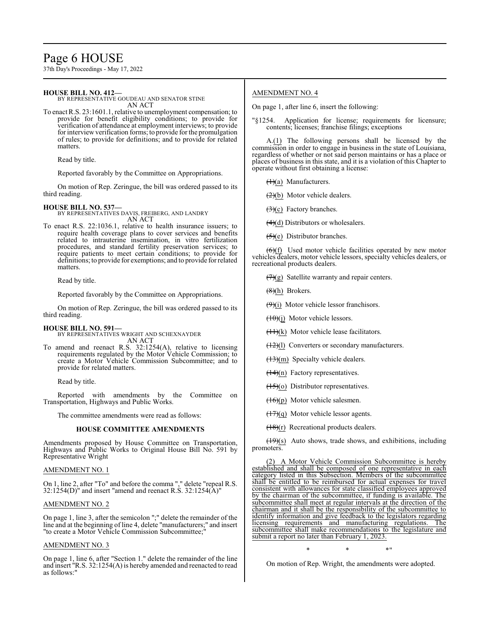# Page 6 HOUSE

37th Day's Proceedings - May 17, 2022

## **HOUSE BILL NO. 412—**

BY REPRESENTATIVE GOUDEAU AND SENATOR STINE AN ACT

To enact R.S. 23:1601.1, relative to unemployment compensation; to provide for benefit eligibility conditions; to provide for verification of attendance at employment interviews; to provide for interview verification forms; to provide for the promulgation of rules; to provide for definitions; and to provide for related matters.

Read by title.

Reported favorably by the Committee on Appropriations.

On motion of Rep. Zeringue, the bill was ordered passed to its third reading.

## **HOUSE BILL NO. 537—**

BY REPRESENTATIVES DAVIS, FREIBERG, AND LANDRY AN ACT

To enact R.S. 22:1036.1, relative to health insurance issuers; to require health coverage plans to cover services and benefits related to intrauterine insemination, in vitro fertilization procedures, and standard fertility preservation services; to require patients to meet certain conditions; to provide for definitions; to provide for exemptions; and to provide for related matters.

Read by title.

Reported favorably by the Committee on Appropriations.

On motion of Rep. Zeringue, the bill was ordered passed to its third reading.

## **HOUSE BILL NO. 591—** BY REPRESENTATIVES WRIGHT AND SCHEXNAYDER AN ACT

To amend and reenact R.S. 32:1254(A), relative to licensing requirements regulated by the Motor Vehicle Commission; to create a Motor Vehicle Commission Subcommittee; and to provide for related matters.

Read by title.

Reported with amendments by the Committee on Transportation, Highways and Public Works.

The committee amendments were read as follows:

## **HOUSE COMMITTEE AMENDMENTS**

Amendments proposed by House Committee on Transportation, Highways and Public Works to Original House Bill No. 591 by Representative Wright

## AMENDMENT NO. 1

On 1, line 2, after "To" and before the comma "," delete "repeal R.S. 32:1254(D)" and insert "amend and reenact R.S. 32:1254(A)"

## AMENDMENT NO. 2

On page 1, line 3, after the semicolon ";" delete the remainder of the line and at the beginning of line 4, delete "manufacturers;" and insert "to create a Motor Vehicle Commission Subcommittee;"

## AMENDMENT NO. 3

On page 1, line 6, after "Section 1." delete the remainder of the line and insert "R.S. 32:1254(A) is hereby amended and reenacted to read as follows:"

## AMENDMENT NO. 4

On page 1, after line 6, insert the following:

"§1254. Application for license; requirements for licensure; contents; licenses; franchise filings; exceptions

A.(1) The following persons shall be licensed by the commission in order to engage in business in the state of Louisiana, regardless of whether or not said person maintains or has a place or places of business in this state, and it is a violation of this Chapter to operate without first obtaining a license:

 $\left(\frac{1}{a}\right)$  Manufacturers.

 $(2)(b)$  Motor vehicle dealers.

 $(3)(c)$  Factory branches.

 $(4)(d)$  Distributors or wholesalers.

 $(5)(e)$  Distributor branches.

 $\left(\frac{6}{1}\right)$  Used motor vehicle facilities operated by new motor vehicles dealers, motor vehicle lessors, specialty vehicles dealers, or recreational products dealers.

 $(7)(g)$  Satellite warranty and repair centers.

 $(8)(h)$  Brokers.

 $(9)(i)$  Motor vehicle lessor franchisors.

 $(10)(i)$  Motor vehicle lessors.

 $(11)(k)$  Motor vehicle lease facilitators.

 $(12)(1)$  Converters or secondary manufacturers.

 $(13)(m)$  Specialty vehicle dealers.

 $(14)(n)$  Factory representatives.

 $(15)(0)$  Distributor representatives.

(16)(p) Motor vehicle salesmen.

 $(17)(q)$  Motor vehicle lessor agents.

 $\frac{(18)(r)}{r}$  Recreational products dealers.

 $(19)(s)$  Auto shows, trade shows, and exhibitions, including promoters.

(2) A Motor Vehicle Commission Subcommittee is hereby established and shall be composed of one representative in each category listed in this Subsection. Members of the subcommittee shall be entitled to be reimbursed for actual expenses for travel consistent with allowances for state classified employees approved by the chairman of the subcommittee, if funding is available. The subcommittee shall meet at regular intervals at the direction of the chairman and it shall be the responsibility of the subcommittee to identify information and give feedback to the legislators regarding<br>licensing requirements and manufacturing regulations. The licensing requirements and manufacturing regulations. subcommittee shall make recommendations to the legislature and submit a report no later than February 1, 2023.

\* \* \*"

On motion of Rep. Wright, the amendments were adopted.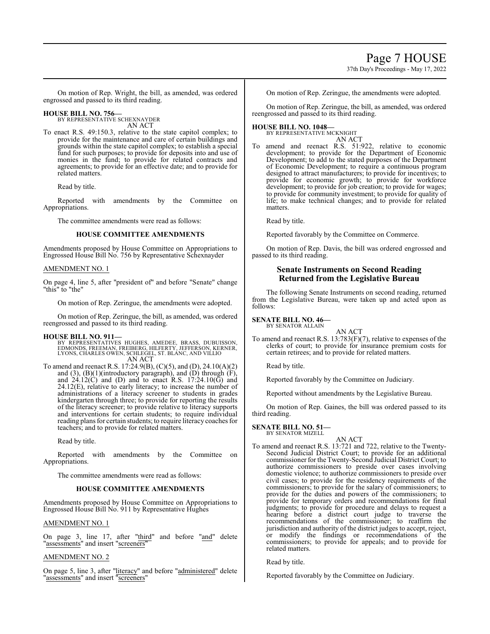## Page 7 HOUSE

37th Day's Proceedings - May 17, 2022

On motion of Rep. Wright, the bill, as amended, was ordered engrossed and passed to its third reading.

**HOUSE BILL NO. 756—** BY REPRESENTATIVE SCHEXNAYDER AN ACT

To enact R.S. 49:150.3, relative to the state capitol complex; to provide for the maintenance and care of certain buildings and grounds within the state capitol complex; to establish a special fund for such purposes; to provide for deposits into and use of monies in the fund; to provide for related contracts and agreements; to provide for an effective date; and to provide for related matters.

Read by title.

Reported with amendments by the Committee on Appropriations.

The committee amendments were read as follows:

## **HOUSE COMMITTEE AMENDMENTS**

Amendments proposed by House Committee on Appropriations to Engrossed House Bill No. 756 by Representative Schexnayder

## AMENDMENT NO. 1

On page 4, line 5, after "president of" and before "Senate" change "this" to "the"

On motion of Rep. Zeringue, the amendments were adopted.

On motion of Rep. Zeringue, the bill, as amended, was ordered reengrossed and passed to its third reading.

### **HOUSE BILL NO. 911—**

BY REPRESENTATIVES HUGHES, AMEDEE, BRASS, DUBUISSON,<br>EDMONDS, FREEMAN, FREIBERG, HILFERTY, JEFFERSON, KERNER,<br>LYONS, CHARLES OWEN, SCHLEGEL, ST. BLANC, AND VILLIO AN ACT

To amend and reenact R.S. 17:24.9(B), (C)(5), and (D), 24.10(A)(2) and (3),  $(B)(1)$ (introductory paragraph), and  $(D)$  through  $(F)$ , and  $24.12(\text{C})$  and (D) and to enact R.S.  $17:24.10(\text{G})$  and 24.12(E), relative to early literacy; to increase the number of administrations of a literacy screener to students in grades kindergarten through three; to provide for reporting the results of the literacy screener; to provide relative to literacy supports and interventions for certain students; to require individual reading plans for certain students; to require literacy coaches for teachers; and to provide for related matters.

Read by title.

Reported with amendments by the Committee on Appropriations.

The committee amendments were read as follows:

### **HOUSE COMMITTEE AMENDMENTS**

Amendments proposed by House Committee on Appropriations to Engrossed House Bill No. 911 by Representative Hughes

### AMENDMENT NO. 1

On page 3, line 17, after "third" and before "and" delete "assessments" and insert "screeners"

### AMENDMENT NO. 2

On page 5, line 3, after "literacy" and before "administered" delete "assessments" and insert "screeners"

On motion of Rep. Zeringue, the amendments were adopted.

On motion of Rep. Zeringue, the bill, as amended, was ordered reengrossed and passed to its third reading.

## **HOUSE BILL NO. 1048—**

BY REPRESENTATIVE MCKNIGHT AN ACT

To amend and reenact R.S. 51:922, relative to economic development; to provide for the Department of Economic Development; to add to the stated purposes of the Department of Economic Development; to require a continuous program designed to attract manufacturers; to provide for incentives; to provide for economic growth; to provide for workforce development; to provide for job creation; to provide for wages; to provide for community investment; to provide for quality of life; to make technical changes; and to provide for related matters.

Read by title.

Reported favorably by the Committee on Commerce.

On motion of Rep. Davis, the bill was ordered engrossed and passed to its third reading.

## **Senate Instruments on Second Reading Returned from the Legislative Bureau**

The following Senate Instruments on second reading, returned from the Legislative Bureau, were taken up and acted upon as follows:

#### **SENATE BILL NO. 46—** BY SENATOR ALLAIN

AN ACT

To amend and reenact R.S. 13:783(F)(7), relative to expenses of the clerks of court; to provide for insurance premium costs for certain retirees; and to provide for related matters.

Read by title.

Reported favorably by the Committee on Judiciary.

Reported without amendments by the Legislative Bureau.

On motion of Rep. Gaines, the bill was ordered passed to its third reading.

**SENATE BILL NO. 51—** BY SENATOR MIZELL

- AN ACT
- To amend and reenact R.S. 13:721 and 722, relative to the Twenty-Second Judicial District Court; to provide for an additional commissioner for the Twenty-Second Judicial District Court; to authorize commissioners to preside over cases involving domestic violence; to authorize commissioners to preside over civil cases; to provide for the residency requirements of the commissioners; to provide for the salary of commissioners; to provide for the duties and powers of the commissioners; to provide for temporary orders and recommendations for final judgments; to provide for procedure and delays to request a hearing before a district court judge to traverse the recommendations of the commissioner; to reaffirm the jurisdiction and authority of the district judges to accept, reject, or modify the findings or recommendations of the commissioners; to provide for appeals; and to provide for related matters.

Read by title.

Reported favorably by the Committee on Judiciary.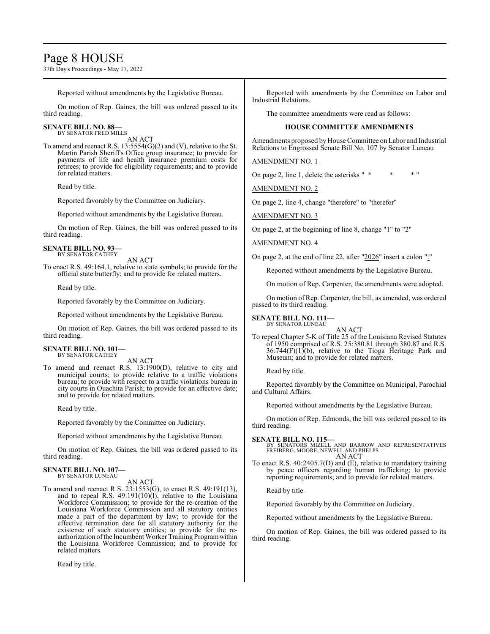## Page 8 HOUSE

37th Day's Proceedings - May 17, 2022

Reported without amendments by the Legislative Bureau.

On motion of Rep. Gaines, the bill was ordered passed to its third reading.

## **SENATE BILL NO. 88—** BY SENATOR FRED MILLS

AN ACT

To amend and reenact R.S. 13:5554(G)(2) and (V), relative to the St. Martin Parish Sheriff's Office group insurance; to provide for payments of life and health insurance premium costs for retirees; to provide for eligibility requirements; and to provide for related matters.

Read by title.

Reported favorably by the Committee on Judiciary.

Reported without amendments by the Legislative Bureau.

On motion of Rep. Gaines, the bill was ordered passed to its third reading.

#### **SENATE BILL NO. 93—** BY SENATOR CATHEY

AN ACT

To enact R.S. 49:164.1, relative to state symbols; to provide for the official state butterfly; and to provide for related matters.

Read by title.

Reported favorably by the Committee on Judiciary.

Reported without amendments by the Legislative Bureau.

On motion of Rep. Gaines, the bill was ordered passed to its third reading.

#### **SENATE BILL NO. 101—** BY SENATOR CATHEY

AN ACT

To amend and reenact R.S. 13:1900(D), relative to city and municipal courts; to provide relative to a traffic violations bureau; to provide with respect to a traffic violations bureau in city courts in Ouachita Parish; to provide for an effective date; and to provide for related matters.

Read by title.

Reported favorably by the Committee on Judiciary.

Reported without amendments by the Legislative Bureau.

On motion of Rep. Gaines, the bill was ordered passed to its third reading.

### **SENATE BILL NO. 107—** BY SENATOR LUNEAU

AN ACT

To amend and reenact R.S. 23:1553(G), to enact R.S. 49:191(13), and to repeal R.S.  $49:191(10)(1)$ , relative to the Louisiana Workforce Commission; to provide for the re-creation of the Louisiana Workforce Commission and all statutory entities made a part of the department by law; to provide for the effective termination date for all statutory authority for the existence of such statutory entities; to provide for the reauthorization ofthe Incumbent Worker Training Programwithin the Louisiana Workforce Commission; and to provide for related matters.

Read by title.

Reported with amendments by the Committee on Labor and Industrial Relations.

The committee amendments were read as follows:

## **HOUSE COMMITTEE AMENDMENTS**

Amendments proposed by House Committee on Labor and Industrial Relations to Engrossed Senate Bill No. 107 by Senator Luneau

AMENDMENT NO. 1

On page 2, line 1, delete the asterisks " $*$ 

AMENDMENT NO. 2

On page 2, line 4, change "therefore" to "therefor"

AMENDMENT NO. 3

On page 2, at the beginning of line 8, change "1" to "2"

## AMENDMENT NO. 4

On page 2, at the end of line 22, after "2026" insert a colon ":"

Reported without amendments by the Legislative Bureau.

On motion of Rep. Carpenter, the amendments were adopted.

On motion of Rep. Carpenter, the bill, as amended, was ordered passed to its third reading.

**SENATE BILL NO. 111—** BY SENATOR LUNEAU

AN ACT

To repeal Chapter 5-K of Title 25 of the Louisiana Revised Statutes of 1950 comprised of R.S. 25:380.81 through 380.87 and R.S.  $36:744(F)(1)(b)$ , relative to the Tioga Heritage Park and Museum; and to provide for related matters.

Read by title.

Reported favorably by the Committee on Municipal, Parochial and Cultural Affairs.

Reported without amendments by the Legislative Bureau.

On motion of Rep. Edmonds, the bill was ordered passed to its third reading.

**SENATE BILL NO. 115—**<br>BY SENATORS MIZELL AND BARROW AND REPRESENTATIVES<br>FREIBERG, MOORE, NEWELL AND PHELPS AN ACT

To enact R.S. 40:2405.7(D) and (E), relative to mandatory training by peace officers regarding human trafficking; to provide reporting requirements; and to provide for related matters.

Read by title.

Reported favorably by the Committee on Judiciary.

Reported without amendments by the Legislative Bureau.

On motion of Rep. Gaines, the bill was ordered passed to its third reading.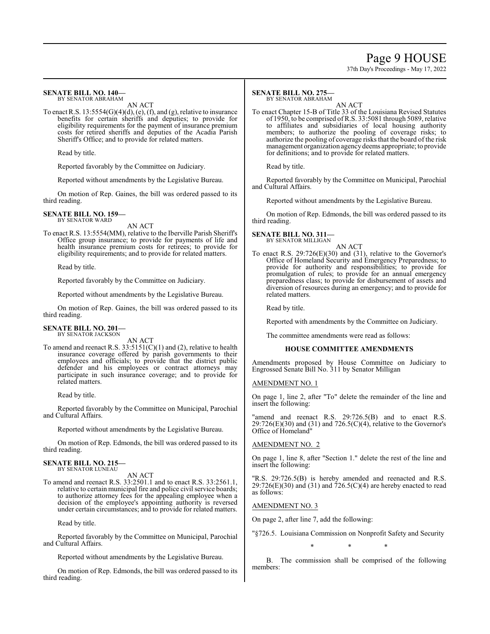## Page 9 HOUSE

37th Day's Proceedings - May 17, 2022

#### **SENATE BILL NO. 140—** BY SENATOR ABRAHAM

AN ACT

To enact R.S.  $13:5554(G)(4)(d)$ , (e), (f), and (g), relative to insurance benefits for certain sheriffs and deputies; to provide for eligibility requirements for the payment of insurance premium costs for retired sheriffs and deputies of the Acadia Parish Sheriff's Office; and to provide for related matters.

Read by title.

Reported favorably by the Committee on Judiciary.

Reported without amendments by the Legislative Bureau.

On motion of Rep. Gaines, the bill was ordered passed to its third reading.

#### **SENATE BILL NO. 159—** BY SENATOR WARD

AN ACT

To enact R.S. 13:5554(MM), relative to the Iberville Parish Sheriff's Office group insurance; to provide for payments of life and health insurance premium costs for retirees; to provide for eligibility requirements; and to provide for related matters.

Read by title.

Reported favorably by the Committee on Judiciary.

Reported without amendments by the Legislative Bureau.

On motion of Rep. Gaines, the bill was ordered passed to its third reading.

# **SENATE BILL NO. 201—** BY SENATOR JACKSON

AN ACT

To amend and reenact R.S.  $33:5151(C)(1)$  and (2), relative to health insurance coverage offered by parish governments to their employees and officials; to provide that the district public defender and his employees or contract attorneys may participate in such insurance coverage; and to provide for related matters.

Read by title.

Reported favorably by the Committee on Municipal, Parochial and Cultural Affairs.

Reported without amendments by the Legislative Bureau.

On motion of Rep. Edmonds, the bill was ordered passed to its third reading.

#### **SENATE BILL NO. 215—** BY SENATOR LUNEAU

AN ACT

To amend and reenact R.S. 33:2501.1 and to enact R.S. 33:2561.1, relative to certain municipal fire and police civil service boards; to authorize attorney fees for the appealing employee when a decision of the employee's appointing authority is reversed under certain circumstances; and to provide for related matters.

Read by title.

Reported favorably by the Committee on Municipal, Parochial and Cultural Affairs.

Reported without amendments by the Legislative Bureau.

On motion of Rep. Edmonds, the bill was ordered passed to its third reading.

#### **SENATE BILL NO. 275—** BY SENATOR ABRAHAM

AN ACT

To enact Chapter 15-B of Title 33 of the Louisiana Revised Statutes of 1950, to be comprised ofR.S. 33:5081 through 5089, relative to affiliates and subsidiaries of local housing authority members; to authorize the pooling of coverage risks; to authorize the pooling of coverage risks that the board of the risk management organization agencydeems appropriate; to provide for definitions; and to provide for related matters.

Read by title.

Reported favorably by the Committee on Municipal, Parochial and Cultural Affairs.

Reported without amendments by the Legislative Bureau.

On motion of Rep. Edmonds, the bill was ordered passed to its third reading.

#### **SENATE BILL NO. 311—** BY SENATOR MILLIGAN

AN ACT

To enact R.S. 29:726(E)(30) and (31), relative to the Governor's Office of Homeland Security and Emergency Preparedness; to provide for authority and responsibilities; to provide for promulgation of rules; to provide for an annual emergency preparedness class; to provide for disbursement of assets and diversion of resources during an emergency; and to provide for related matters.

Read by title.

Reported with amendments by the Committee on Judiciary.

The committee amendments were read as follows:

### **HOUSE COMMITTEE AMENDMENTS**

Amendments proposed by House Committee on Judiciary to Engrossed Senate Bill No. 311 by Senator Milligan

## AMENDMENT NO. 1

On page 1, line 2, after "To" delete the remainder of the line and insert the following:

"amend and reenact R.S. 29:726.5(B) and to enact R.S.  $29:726(E)(30)$  and  $(31)$  and  $726.5(C)(4)$ , relative to the Governor's Office of Homeland"

## AMENDMENT NO. 2

On page 1, line 8, after "Section 1." delete the rest of the line and insert the following:

'R.S. 29:726.5(B) is hereby amended and reenacted and R.S.  $29:726(E)(30)$  and  $(31)$  and  $726.5(C)(4)$  are hereby enacted to read as follows:

## AMENDMENT NO. 3

On page 2, after line 7, add the following:

"§726.5. Louisiana Commission on Nonprofit Safety and Security

\* \* \*

B. The commission shall be comprised of the following members: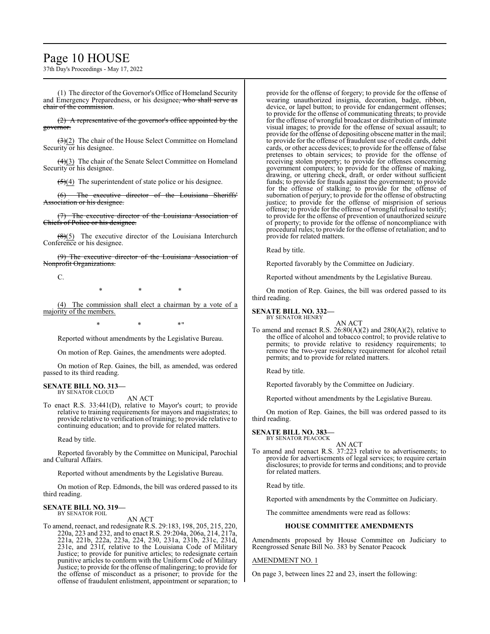## Page 10 HOUSE

37th Day's Proceedings - May 17, 2022

(1) The director of the Governor's Office of Homeland Security and Emergency Preparedness, or his designee, who shall serve as chair of the commission.

(2) A representative of the governor's office appointed by the governor.

 $\left(\frac{3}{2}\right)$  The chair of the House Select Committee on Homeland Security or his designee.

 $\left(\frac{4}{3}\right)$  The chair of the Senate Select Committee on Homeland Security or his designee.

 $\left(\frac{5}{4}\right)$  The superintendent of state police or his designee.

(6) The executive director of the Louisiana Sheriffs' Association or his designee.

The executive director of the Louisiana Association of Chiefs of Police or his designee.

 $(8)(5)$  The executive director of the Louisiana Interchurch Conference or his designee.

(9) The executive director of the Louisiana Association of Nonprofit Organizations.

C.

\* \* \*

(4) The commission shall elect a chairman by a vote of a majority of the members.

 $*$  \*  $*$  \*  $*$  "

Reported without amendments by the Legislative Bureau.

On motion of Rep. Gaines, the amendments were adopted.

On motion of Rep. Gaines, the bill, as amended, was ordered passed to its third reading.

### **SENATE BILL NO. 313—** BY SENATOR CLOUD

AN ACT

To enact R.S. 33:441(D), relative to Mayor's court; to provide relative to training requirements for mayors and magistrates; to provide relative to verification of training; to provide relative to continuing education; and to provide for related matters.

Read by title.

Reported favorably by the Committee on Municipal, Parochial and Cultural Affairs.

Reported without amendments by the Legislative Bureau.

On motion of Rep. Edmonds, the bill was ordered passed to its third reading.

#### **SENATE BILL NO. 319—** BY SENATOR FOIL

### AN ACT

To amend, reenact, and redesignate R.S. 29:183, 198, 205, 215, 220, 220a, 223 and 232, and to enact R.S. 29:204a, 206a, 214, 217a, 221a, 221b, 222a, 223a, 224, 230, 231a, 231b, 231c, 231d, 231e, and 231f, relative to the Louisiana Code of Military Justice; to provide for punitive articles; to redesignate certain punitive articles to conform with the Uniform Code of Military Justice; to provide for the offense of malingering; to provide for the offense of misconduct as a prisoner; to provide for the offense of fraudulent enlistment, appointment or separation; to

provide for the offense of forgery; to provide for the offense of wearing unauthorized insignia, decoration, badge, ribbon, device, or lapel button; to provide for endangerment offenses; to provide for the offense of communicating threats; to provide for the offense of wrongful broadcast or distribution of intimate visual images; to provide for the offense of sexual assault; to provide for the offense of depositing obscene matter in the mail; to provide for the offense of fraudulent use of credit cards, debit cards, or other access devices; to provide for the offense of false pretenses to obtain services; to provide for the offense of receiving stolen property; to provide for offenses concerning government computers; to provide for the offense of making, drawing, or uttering check, draft, or order without sufficient funds; to provide for frauds against the government; to provide for the offense of stalking; to provide for the offense of subornation of perjury; to provide for the offense of obstructing justice; to provide for the offense of misprision of serious offense; to provide for the offense of wrongful refusal to testify; to provide for the offense of prevention of unauthorized seizure of property; to provide for the offense of noncompliance with procedural rules; to provide for the offense of retaliation; and to provide for related matters.

Read by title.

Reported favorably by the Committee on Judiciary.

Reported without amendments by the Legislative Bureau.

On motion of Rep. Gaines, the bill was ordered passed to its third reading.

## **SENATE BILL NO. 332—** BY SENATOR HENRY

AN ACT To amend and reenact R.S. 26:80(A)(2) and 280(A)(2), relative to the office of alcohol and tobacco control; to provide relative to permits; to provide relative to residency requirements; to remove the two-year residency requirement for alcohol retail permits; and to provide for related matters.

Read by title.

Reported favorably by the Committee on Judiciary.

Reported without amendments by the Legislative Bureau.

On motion of Rep. Gaines, the bill was ordered passed to its third reading.

#### **SENATE BILL NO. 383—** BY SENATOR PEACOCK

AN ACT

To amend and reenact R.S. 37:223 relative to advertisements; to provide for advertisements of legal services; to require certain disclosures; to provide for terms and conditions; and to provide for related matters.

Read by title.

Reported with amendments by the Committee on Judiciary.

The committee amendments were read as follows:

### **HOUSE COMMITTEE AMENDMENTS**

Amendments proposed by House Committee on Judiciary to Reengrossed Senate Bill No. 383 by Senator Peacock

### AMENDMENT NO. 1

On page 3, between lines 22 and 23, insert the following: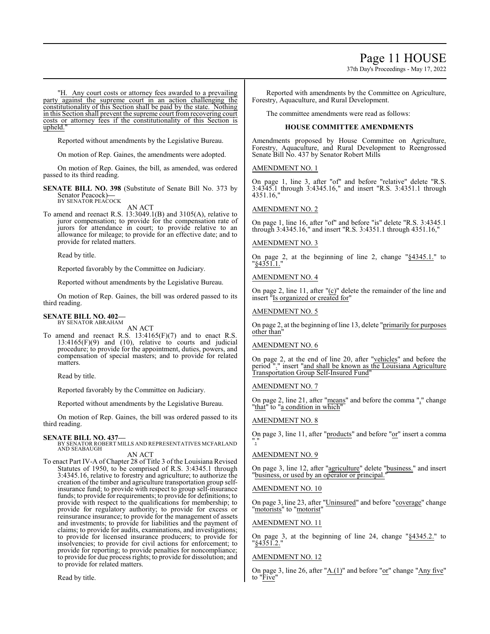## Page 11 HOUSE

37th Day's Proceedings - May 17, 2022

"H. Any court costs or attorney fees awarded to a prevailing party against the supreme court in an action challenging the constitutionality of this Section shall be paid by the state. Nothing in this Section shall prevent the supreme court from recovering court costs or attorney fees if the constitutionality of this Section is upheld.

Reported without amendments by the Legislative Bureau.

On motion of Rep. Gaines, the amendments were adopted.

On motion of Rep. Gaines, the bill, as amended, was ordered passed to its third reading.

**SENATE BILL NO. 398** (Substitute of Senate Bill No. 373 by Senator Peacock)**—** BY SENATOR PEACOCK

AN ACT

To amend and reenact R.S. 13:3049.1(B) and 3105(A), relative to juror compensation; to provide for the compensation rate of jurors for attendance in court; to provide relative to an allowance for mileage; to provide for an effective date; and to provide for related matters.

Read by title.

Reported favorably by the Committee on Judiciary.

Reported without amendments by the Legislative Bureau.

On motion of Rep. Gaines, the bill was ordered passed to its third reading.

### **SENATE BILL NO. 402—** BY SENATOR ABRAHAM

AN ACT

To amend and reenact R.S.  $13:4165(F)(7)$  and to enact R.S.  $13:4165(F)(9)$  and  $(10)$ , relative to courts and judicial procedure; to provide for the appointment, duties, powers, and compensation of special masters; and to provide for related matters.

Read by title.

Reported favorably by the Committee on Judiciary.

Reported without amendments by the Legislative Bureau.

On motion of Rep. Gaines, the bill was ordered passed to its third reading.

### **SENATE BILL NO. 437—**

BY SENATOR ROBERT MILLS AND REPRESENTATIVES MCFARLAND AND SEABAUGH AN ACT

To enact Part IV-A of Chapter 28 of Title 3 of the Louisiana Revised Statutes of 1950, to be comprised of R.S. 3:4345.1 through 3:4345.16, relative to forestry and agriculture; to authorize the creation of the timber and agriculture transportation group selfinsurance fund; to provide with respect to group self-insurance funds; to provide for requirements; to provide for definitions; to provide with respect to the qualifications for membership; to provide for regulatory authority; to provide for excess or reinsurance insurance; to provide for the management of assets and investments; to provide for liabilities and the payment of claims; to provide for audits, examinations, and investigations; to provide for licensed insurance producers; to provide for insolvencies; to provide for civil actions for enforcement; to provide for reporting; to provide penalties for noncompliance; to provide for due process rights; to provide for dissolution; and to provide for related matters.

Read by title.

Reported with amendments by the Committee on Agriculture, Forestry, Aquaculture, and Rural Development.

The committee amendments were read as follows:

## **HOUSE COMMITTEE AMENDMENTS**

Amendments proposed by House Committee on Agriculture, Forestry, Aquaculture, and Rural Development to Reengrossed Senate Bill No. 437 by Senator Robert Mills

AMENDMENT NO. 1

On page 1, line 3, after "of" and before "relative" delete "R.S. 3:4345.1 through 3:4345.16," and insert "R.S. 3:4351.1 through  $4351.16$ 

AMENDMENT NO. 2

On page 1, line 16, after "of" and before "is" delete "R.S. 3:4345.1 through 3:4345.16," and insert "R.S. 3:4351.1 through 4351.16,"

### AMENDMENT NO. 3

On page 2, at the beginning of line 2, change "§4345.1." to "<u>§4351.1.</u>"

### AMENDMENT NO. 4

On page 2, line 11, after " $(c)$ " delete the remainder of the line and insert "Is organized or created for"

### AMENDMENT NO. 5

On page 2, at the beginning of line 13, delete "primarily for purposes other than"

### AMENDMENT NO. 6

On page 2, at the end of line 20, after "vehicles" and before the period "." insert "and shall be known as the Louisiana Agriculture Transportation Group Self-Insured Fund"

### AMENDMENT NO. 7

On page 2, line 21, after "means" and before the comma "," change "that" to "a condition in which"

### AMENDMENT NO. 8

On page 3, line 11, after "products" and before "or" insert a comma ","

## AMENDMENT NO. 9

On page 3, line 12, after "agriculture" delete "business." and insert "business, or used by an operator or principal.

### AMENDMENT NO. 10

On page 3, line 23, after "Uninsured" and before "coverage" change "motorists" to "motorist"

### AMENDMENT NO. 11

On page 3, at the beginning of line 24, change "§4345.2." to "§4351.2."

### AMENDMENT NO. 12

On page 3, line 26, after "A.(1)" and before "or" change "Any five" to "Five"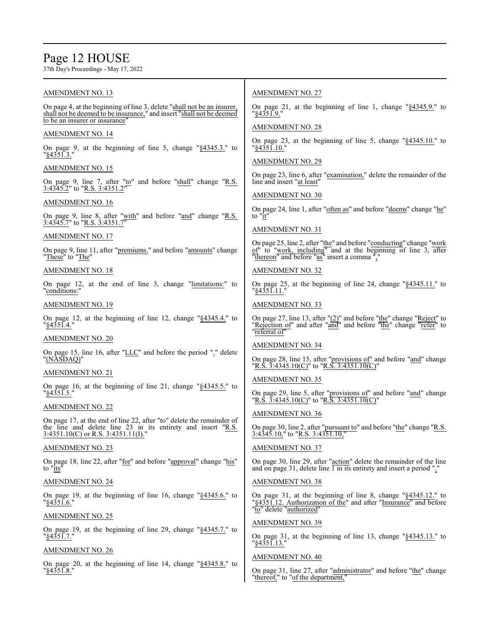# Page 12 HOUSE

"<u>§4351.8.</u>"

37th Day's Proceedings - May 17, 2022

| <b>AMENDMENT NO. 13</b>                                                                                                                                                            | <b>AMENDMENT NO. 27</b>                                                                                                                                                                |
|------------------------------------------------------------------------------------------------------------------------------------------------------------------------------------|----------------------------------------------------------------------------------------------------------------------------------------------------------------------------------------|
| On page 4, at the beginning of line 3, delete "shall not be an insurer,<br>shall not be deemed to be insurance," and insert "shall not be deemed<br>to be an insurer or insurance" | On page 21, at the beginning of line 1, change " $§$ 4345.9." to<br>"§4351.9."                                                                                                         |
|                                                                                                                                                                                    | <b>AMENDMENT NO. 28</b>                                                                                                                                                                |
| <b>AMENDMENT NO. 14</b>                                                                                                                                                            | On page 23, at the beginning of line 5, change " $§$ 4345.10." to                                                                                                                      |
| On page 9, at the beginning of line 5, change "§4345.3." to<br>"§4351.3."                                                                                                          | "§4351.10."<br><b>AMENDMENT NO. 29</b>                                                                                                                                                 |
| <b>AMENDMENT NO. 15</b>                                                                                                                                                            |                                                                                                                                                                                        |
| On page 9, line 7, after "to" and before "shall" change "R.S.<br>3:4345.2" to "R.S. 3:4351.2"                                                                                      | On page 23, line 6, after "examination," delete the remainder of the<br>line and insert "at least"                                                                                     |
| <b>AMENDMENT NO. 16</b>                                                                                                                                                            | <b>AMENDMENT NO. 30</b>                                                                                                                                                                |
| On page 9, line 8, after "with" and before "and" change "R.S.<br>3:4345.7" to "R.S. 3:4351.7"                                                                                      | On page 24, line 1, after "often as" and before "deems" change "he"<br>to "it"                                                                                                         |
| <b>AMENDMENT NO. 17</b>                                                                                                                                                            | <b>AMENDMENT NO. 31</b>                                                                                                                                                                |
| On page 9, line 11, after "premiums." and before "amounts" change<br>"These" to "The"                                                                                              | On page 25, line 2, after "the" and before "conducting" change "work<br>of" to "work, including" and at the beginning of line 3, after<br>"thereon" and before "as" insert a comma "," |
| <b>AMENDMENT NO. 18</b>                                                                                                                                                            | <b>AMENDMENT NO. 32</b>                                                                                                                                                                |
| On page 12, at the end of line 3, change "limitations:" to<br>"conditions:"                                                                                                        | On page 25, at the beginning of line 24, change "§4345.11." to<br>"§4351.11."                                                                                                          |
| <b>AMENDMENT NO. 19</b>                                                                                                                                                            | <b>AMENDMENT NO. 33</b>                                                                                                                                                                |
| On page 12, at the beginning of line 12, change "§4345.4." to<br>"§4351.4."                                                                                                        | On page 27, line 13, after "(2)" and before "the" change "Reject" to<br>"Rejection of" and after "and" and before "the" change "refer" to<br>"referral of"                             |
| <b>AMENDMENT NO. 20</b>                                                                                                                                                            |                                                                                                                                                                                        |
| On page 15, line 16, after "LLC" and before the period "." delete<br>"(NASDAQ)"                                                                                                    | <b>AMENDMENT NO. 34</b><br>On page 28, line 15, after "provisions of" and before "and" change                                                                                          |
| AMENDMENT NO. 21                                                                                                                                                                   | "R.S. $\overline{3}$ :4345.10(C)" to "R.S. $\overline{3}$ :4351.10(C)"                                                                                                                 |
| On page 16, at the beginning of line 21, change "§4345.5." to                                                                                                                      | <b>AMENDMENT NO. 35</b>                                                                                                                                                                |
| $\frac{184351.5}{.}$                                                                                                                                                               | On page 29, line 5, after "provisions of" and before "and" change<br>"R.S. $\overline{3}$ :4345.10(C)" to "R.S. 3:4351.10(C)"                                                          |
| <b>AMENDMENT NO. 22</b>                                                                                                                                                            | <b>AMENDMENT NO. 36</b>                                                                                                                                                                |
| On page 17, at the end of line 22, after "to" delete the remainder of<br>the line and delete line 23 in its entirety and insert "R.S.<br>3:4351.10(C) or R.S. 3:4351.11(I)."       | On page 30, line 2, after "pursuant to" and before "the" change "R.S.<br>$3:4345.10$ ," to "R.S. $3:4351.10$ ,"                                                                        |
| <b>AMENDMENT NO. 23</b>                                                                                                                                                            | <b>AMENDMENT NO. 37</b>                                                                                                                                                                |
| On page 18, line 22, after "for" and before "approval" change "his"<br>to " $\frac{it}{s}$ "                                                                                       | On page 30, line 29, after "action" delete the remainder of the line<br>and on page 31, delete line $\overline{1}$ in its entirety and insert a period "."                             |
| <b>AMENDMENT NO. 24</b>                                                                                                                                                            | <b>AMENDMENT NO. 38</b>                                                                                                                                                                |
| On page 19, at the beginning of line 16, change " $§$ 4345.6." to<br>"§4351.6."                                                                                                    | On page 31, at the beginning of line 8, change " $§4345.12."$ to<br>"§4351.12. Authorization of the" and after "Insurance" and before<br>"to" delete "authorized"                      |
| <b>AMENDMENT NO. 25</b>                                                                                                                                                            |                                                                                                                                                                                        |
| On page 19, at the beginning of line 29, change "§4345.7." to                                                                                                                      | <b>AMENDMENT NO. 39</b>                                                                                                                                                                |
| "§435 I.7."<br><b>AMENDMENT NO. 26</b>                                                                                                                                             | On page 31, at the beginning of line 13, change "§4345.13." to<br>"§4351.13."                                                                                                          |
| On page 20, at the beginning of line 14, change "§4345.8." to                                                                                                                      | <b>AMENDMENT NO. 40</b>                                                                                                                                                                |
|                                                                                                                                                                                    |                                                                                                                                                                                        |

On page 31, line 27, after "administrator" and before "the" change "thereof," to "of the department,"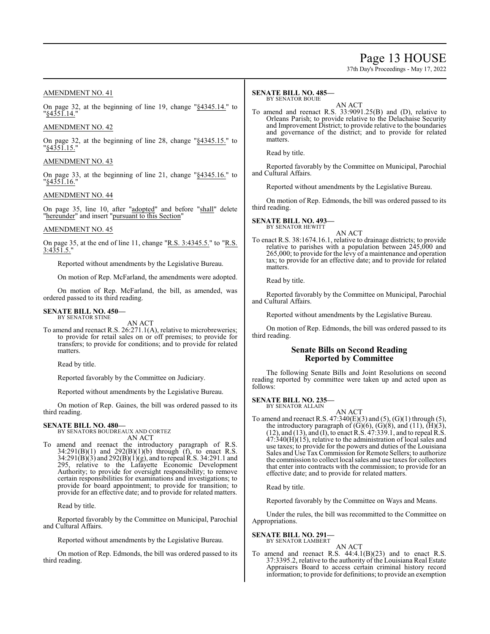## Page 13 HOUSE

37th Day's Proceedings - May 17, 2022

## AMENDMENT NO. 41

On page 32, at the beginning of line 19, change "§4345.14." to "§4351.14."

## AMENDMENT NO. 42

On page 32, at the beginning of line 28, change " $§4345.15."$ " to "§4351.15."

## AMENDMENT NO. 43

On page 33, at the beginning of line 21, change "§4345.16." to "§4351.16."

## AMENDMENT NO. 44

On page 35, line 10, after "adopted" and before "shall" delete "hereunder" and insert "pursuant to this Section"

## AMENDMENT NO. 45

On page 35, at the end of line 11, change "R.S.  $3:4345.5$ ." to "R.S. <u>3:4351.5."</u>

Reported without amendments by the Legislative Bureau.

On motion of Rep. McFarland, the amendments were adopted.

On motion of Rep. McFarland, the bill, as amended, was ordered passed to its third reading.

#### **SENATE BILL NO. 450—** BY SENATOR STINE

AN ACT

To amend and reenact R.S. 26:271.1(A), relative to microbreweries; to provide for retail sales on or off premises; to provide for transfers; to provide for conditions; and to provide for related matters.

Read by title.

Reported favorably by the Committee on Judiciary.

Reported without amendments by the Legislative Bureau.

On motion of Rep. Gaines, the bill was ordered passed to its third reading.

**SENATE BILL NO. 480—** BY SENATORS BOUDREAUX AND CORTEZ AN ACT

To amend and reenact the introductory paragraph of R.S.  $34:291(B)(1)$  and  $292(B)(1)(b)$  through (f), to enact R.S. 34:291(B)(3) and 292(B)(1)(g), and to repeal R.S. 34:291.1 and 295, relative to the Lafayette Economic Development Authority; to provide for oversight responsibility; to remove certain responsibilities for examinations and investigations; to provide for board appointment; to provide for transition; to provide for an effective date; and to provide for related matters.

Read by title.

Reported favorably by the Committee on Municipal, Parochial and Cultural Affairs.

Reported without amendments by the Legislative Bureau.

On motion of Rep. Edmonds, the bill was ordered passed to its third reading.

#### **SENATE BILL NO. 485—** BY SENATOR BOUIE

AN ACT

To amend and reenact R.S. 33:9091.25(B) and (D), relative to Orleans Parish; to provide relative to the Delachaise Security and Improvement District; to provide relative to the boundaries and governance of the district; and to provide for related matters.

Read by title.

Reported favorably by the Committee on Municipal, Parochial and Cultural Affairs.

Reported without amendments by the Legislative Bureau.

On motion of Rep. Edmonds, the bill was ordered passed to its third reading.

**SENATE BILL NO. 493—** BY SENATOR HEWITT

AN ACT

To enact R.S. 38:1674.16.1, relative to drainage districts; to provide relative to parishes with a population between 245,000 and 265,000; to provide for the levy of a maintenance and operation tax; to provide for an effective date; and to provide for related matters.

Read by title.

Reported favorably by the Committee on Municipal, Parochial and Cultural Affairs.

Reported without amendments by the Legislative Bureau.

On motion of Rep. Edmonds, the bill was ordered passed to its third reading.

## **Senate Bills on Second Reading Reported by Committee**

The following Senate Bills and Joint Resolutions on second reading reported by committee were taken up and acted upon as follows:

**SENATE BILL NO. 235—** BY SENATOR ALLAIN

AN ACT

To amend and reenact R.S. 47:340(E)(3) and (5), (G)(1) through (5), the introductory paragraph of  $(G)(6)$ ,  $(G)(8)$ , and  $(11)$ ,  $(H)(3)$ , (12), and (13), and (I), to enact R.S. 47:339.1, and to repeal R.S.  $47:340(H)(15)$ , relative to the administration of local sales and use taxes; to provide for the powers and duties of the Louisiana Sales and Use TaxCommission for Remote Sellers; to authorize the commission to collect local sales and use taxes for collectors that enter into contracts with the commission; to provide for an effective date; and to provide for related matters.

Read by title.

Reported favorably by the Committee on Ways and Means.

Under the rules, the bill was recommitted to the Committee on Appropriations.

## **SENATE BILL NO. 291—**

BY SENATOR LAMBERT

AN ACT To amend and reenact R.S. 44:4.1(B)(23) and to enact R.S. 37:3395.2, relative to the authority of the Louisiana Real Estate Appraisers Board to access certain criminal history record information; to provide for definitions; to provide an exemption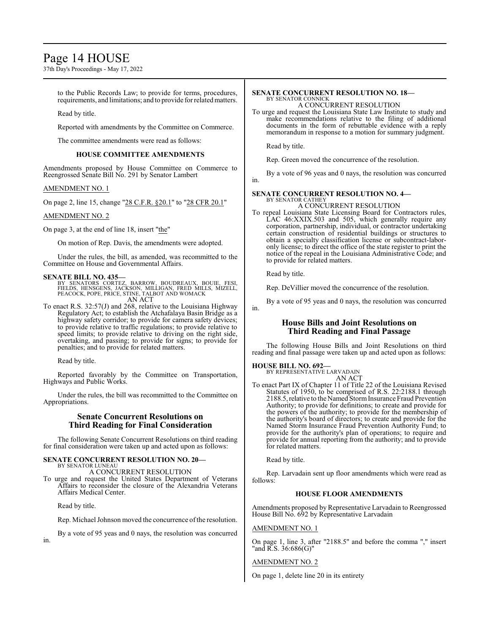## Page 14 HOUSE

37th Day's Proceedings - May 17, 2022

to the Public Records Law; to provide for terms, procedures, requirements, and limitations; and to provide for relatedmatters.

Read by title.

Reported with amendments by the Committee on Commerce.

The committee amendments were read as follows:

## **HOUSE COMMITTEE AMENDMENTS**

Amendments proposed by House Committee on Commerce to Reengrossed Senate Bill No. 291 by Senator Lambert

### AMENDMENT NO. 1

On page 2, line 15, change "28 C.F.R. §20.1" to "28 CFR 20.1"

### AMENDMENT NO. 2

On page 3, at the end of line 18, insert "the"

On motion of Rep. Davis, the amendments were adopted.

Under the rules, the bill, as amended, was recommitted to the Committee on House and Governmental Affairs.

### **SENATE BILL NO. 435—**

- BY SENATORS CORTEZ, BARROW, BOUDREAUX, BOUIE, FESI,<br>FIELDS, HENSGENS, JACKSON, MILLIGAN, FRED MILLS, MIZELL,<br>PEACOCK,POPE,PRICE,STINE,TALBOT AND WOMACK AN ACT
- To enact R.S. 32:57(J) and 268, relative to the Louisiana Highway Regulatory Act; to establish the Atchafalaya Basin Bridge as a highway safety corridor; to provide for camera safety devices; to provide relative to traffic regulations; to provide relative to speed limits; to provide relative to driving on the right side, overtaking, and passing; to provide for signs; to provide for penalties; and to provide for related matters.

Read by title.

Reported favorably by the Committee on Transportation, Highways and Public Works.

Under the rules, the bill was recommitted to the Committee on Appropriations.

## **Senate Concurrent Resolutions on Third Reading for Final Consideration**

The following Senate Concurrent Resolutions on third reading for final consideration were taken up and acted upon as follows:

#### **SENATE CONCURRENT RESOLUTION NO. 20—** BY SENATOR LUNEAU

A CONCURRENT RESOLUTION

To urge and request the United States Department of Veterans Affairs to reconsider the closure of the Alexandria Veterans Affairs Medical Center.

Read by title.

in.

Rep. Michael Johnson moved the concurrence of the resolution.

By a vote of 95 yeas and 0 nays, the resolution was concurred

#### **SENATE CONCURRENT RESOLUTION NO. 18—** BY SENATOR CONNICK

A CONCURRENT RESOLUTION

To urge and request the Louisiana State Law Institute to study and make recommendations relative to the filing of additional documents in the form of rebuttable evidence with a reply memorandum in response to a motion for summary judgment.

Read by title.

Rep. Green moved the concurrence of the resolution.

By a vote of 96 yeas and 0 nays, the resolution was concurred in.

#### **SENATE CONCURRENT RESOLUTION NO. 4—** BY SENATOR CATHEY A CONCURRENT RESOLUTION

To repeal Louisiana State Licensing Board for Contractors rules, LAC 46:XXIX.503 and 505, which generally require any corporation, partnership, individual, or contractor undertaking certain construction of residential buildings or structures to obtain a specialty classification license or subcontract-laboronly license; to direct the office of the state register to print the notice of the repeal in the Louisiana Administrative Code; and to provide for related matters.

Read by title.

in.

Rep. DeVillier moved the concurrence of the resolution.

By a vote of 95 yeas and 0 nays, the resolution was concurred

## **House Bills and Joint Resolutions on Third Reading and Final Passage**

The following House Bills and Joint Resolutions on third reading and final passage were taken up and acted upon as follows:

## **HOUSE BILL NO. 692—** BY REPRESENTATIVE LARVADAIN

AN ACT

To enact Part IX of Chapter 11 of Title 22 of the Louisiana Revised Statutes of 1950, to be comprised of R.S. 22:2188.1 through 2188.5,relative to the Named StormInsurance Fraud Prevention Authority; to provide for definitions; to create and provide for the powers of the authority; to provide for the membership of the authority's board of directors; to create and provide for the Named Storm Insurance Fraud Prevention Authority Fund; to provide for the authority's plan of operations; to require and provide for annual reporting from the authority; and to provide for related matters.

Read by title.

Rep. Larvadain sent up floor amendments which were read as follows:

### **HOUSE FLOOR AMENDMENTS**

Amendments proposed by Representative Larvadain to Reengrossed House Bill No. 692 by Representative Larvadain

## AMENDMENT NO. 1

On page 1, line 3, after "2188.5" and before the comma "," insert "and R.S. 36:686(G)"

### AMENDMENT NO. 2

On page 1, delete line 20 in its entirety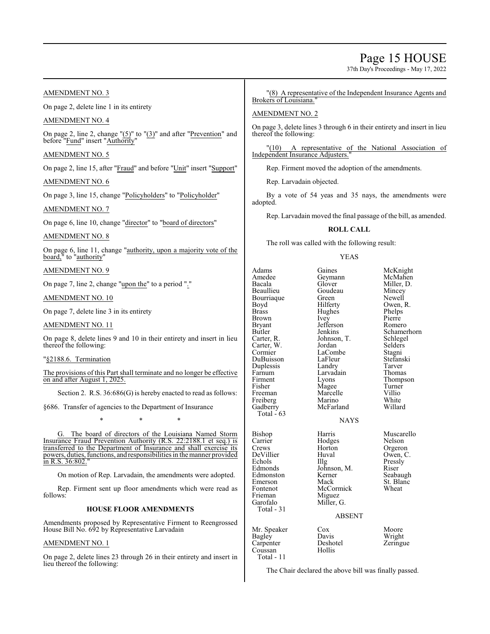## Page 15 HOUSE

37th Day's Proceedings - May 17, 2022

## AMENDMENT NO. 3

On page 2, delete line 1 in its entirety

## AMENDMENT NO. 4

On page 2, line 2, change "(5)" to "(3)" and after "Prevention" and before "Fund" insert "Authority"

## AMENDMENT NO. 5

On page 2, line 15, after "Fraud" and before "Unit" insert "Support"

## AMENDMENT NO. 6

On page 3, line 15, change "Policyholders" to "Policyholder"

## AMENDMENT NO. 7

On page 6, line 10, change "director" to "board of directors"

## AMENDMENT NO. 8

On page 6, line 11, change "authority, upon a majority vote of the board," to "authority"

## AMENDMENT NO. 9

On page 7, line 2, change "upon the" to a period "."

### AMENDMENT NO. 10

On page 7, delete line 3 in its entirety

## AMENDMENT NO. 11

On page 8, delete lines 9 and 10 in their entirety and insert in lieu thereof the following:

### "§2188.6. Termination

The provisions of this Part shall terminate and no longer be effective on and after August 1, 2025.

Section 2. R.S.  $36:686$ (G) is hereby enacted to read as follows:

§686. Transfer of agencies to the Department of Insurance

\* \* \*

G. The board of directors of the Louisiana Named Storm Insurance Fraud Prevention Authority (R.S. 22:2188.1 et seq.) is transferred to the Department of Insurance and shall exercise its powers, duties, functions, and responsibilities in the manner provided  $\frac{\text{in R.S. }36:802.}{\text{in R.S. }36.802.}$ 

On motion of Rep. Larvadain, the amendments were adopted.

Rep. Firment sent up floor amendments which were read as follows:

### **HOUSE FLOOR AMENDMENTS**

Amendments proposed by Representative Firment to Reengrossed House Bill No. 692 by Representative Larvadain

## AMENDMENT NO. 1

On page 2, delete lines 23 through 26 in their entirety and insert in lieu thereof the following:

"(8) A representative of the Independent Insurance Agents and Brokers of Louisiana.

## AMENDMENT NO. 2

On page 3, delete lines 3 through 6 in their entirety and insert in lieu thereof the following:

"(10) A representative of the National Association of Independent Insurance Adjusters.

Rep. Firment moved the adoption of the amendments.

Rep. Larvadain objected.

By a vote of 54 yeas and 35 nays, the amendments were adopted.

Rep. Larvadain moved the final passage of the bill, as amended.

## **ROLL CALL**

The roll was called with the following result:

### YEAS

Adams Gaines McKnight<br>
Amedee Geymann McMahen Amedee Geymann<br>Bacala Glover Bacala Glover Miller, D. Bourriaque Green<br>Boyd Hilferty Boyd Hilferty Owen, R.<br>Brass Hughes Phelps Brown Ivey Pierre<br>Bryant Jefferson Romero Bryant Jefferson<br>Butler Jenkins Butler Jenkins Schamerhorn<br>Carter, R. Johnson, T. Schlegel Carter, W. Jordan Selders<br>Cormier LaCombe Stagni DuBuisson LaFleur Stefans<br>
Duplessis Landry Tarver Duplessis Landry Tarver Farnum Larvadain<br>Firment Lyons Firment Lyons Thompson<br>
Fisher Magee Turner Freeman Marcelle Villio<br>
Freiberg Marino White Freiberg Marino White<br>Gadberry McFarland Willard Gadberry Total  $-63$ Bishop Harris Muscarello<br>Carrier Hodges Nelson Carrier Hodges<br>Crews Horton Crews Horton Orgeron<br>
DeVillier Huval Owen, C DeVillier Huval Owen, C.<br>
Echols Hlg Pressly Echols IIIg Pressly<br>Edmonds Johnson, M. Riser Edmonston Kerne<br>Emerson Mack

Goudeau Mincey<br>Green Newell Hughes Phelps<br>Ivey Pierre Johnson, T. LaCombe<br>
LaFleur Stefanski Magee Turner<br>Marcelle Villio

## **NAYS**

Emerson Mack St. Blanc<br>Fontenot McCormick Wheat McCormick<br>Miguez Miller, G.

Johnson, M. Riser<br>Kerner Seabaugh

### ABSENT

Carpenter Desho<br>Coussan Hollis Coussan Total - 11

Frieman<br>Garofalo

Total - 31

Mr. Speaker Cox Moore<br>Bagley Davis Wright Bagley Davis Wright

The Chair declared the above bill was finally passed.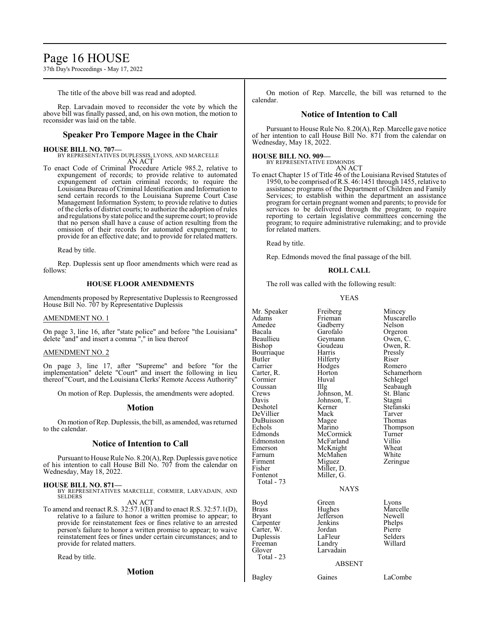## Page 16 HOUSE

37th Day's Proceedings - May 17, 2022

The title of the above bill was read and adopted.

Rep. Larvadain moved to reconsider the vote by which the above bill was finally passed, and, on his own motion, the motion to reconsider was laid on the table.

## **Speaker Pro Tempore Magee in the Chair**

## **HOUSE BILL NO. 707—**

BY REPRESENTATIVES DUPLESSIS, LYONS, AND MARCELLE AN ACT

To enact Code of Criminal Procedure Article 985.2, relative to expungement of records; to provide relative to automated expungement of certain criminal records; to require the Louisiana Bureau of Criminal Identification and Information to send certain records to the Louisiana Supreme Court Case Management Information System; to provide relative to duties of the clerks of district courts; to authorize the adoption of rules and regulations by state police and the supreme court; to provide that no person shall have a cause of action resulting from the omission of their records for automated expungement; to provide for an effective date; and to provide for related matters.

Read by title.

Rep. Duplessis sent up floor amendments which were read as follows:

### **HOUSE FLOOR AMENDMENTS**

Amendments proposed by Representative Duplessis to Reengrossed House Bill No. 707 by Representative Duplessis

### AMENDMENT NO. 1

On page 3, line 16, after "state police" and before "the Louisiana" delete "and" and insert a comma "," in lieu thereof

### AMENDMENT NO. 2

On page 3, line 17, after "Supreme" and before "for the implementation" delete "Court" and insert the following in lieu thereof "Court, and the Louisiana Clerks' Remote Access Authority"

On motion of Rep. Duplessis, the amendments were adopted.

### **Motion**

On motion ofRep. Duplessis, the bill, as amended, was returned to the calendar.

## **Notice of Intention to Call**

Pursuant to House Rule No. 8.20(A), Rep.Duplessis gave notice of his intention to call House Bill No. 707 from the calendar on Wednesday, May 18, 2022.

### **HOUSE BILL NO. 871—**

BY REPRESENTATIVES MARCELLE, CORMIER, LARVADAIN, AND SELDERS<sup>1</sup>

AN ACT

To amend and reenact R.S. 32:57.1(B) and to enact R.S. 32:57.1(D), relative to a failure to honor a written promise to appear; to provide for reinstatement fees or fines relative to an arrested person's failure to honor a written promise to appear; to waive reinstatement fees or fines under certain circumstances; and to provide for related matters.

Read by title.

**Motion**

On motion of Rep. Marcelle, the bill was returned to the calendar.

## **Notice of Intention to Call**

Pursuant to House Rule No. 8.20(A), Rep. Marcelle gave notice of her intention to call House Bill No. 871 from the calendar on Wednesday, May 18, 2022.

### **HOUSE BILL NO. 909—**

BY REPRESENTATIVE EDMONDS AN ACT

To enact Chapter 15 of Title 46 of the Louisiana Revised Statutes of 1950, to be comprised ofR.S. 46:1451 through 1455, relative to assistance programs of the Department of Children and Family Services; to establish within the department an assistance program for certain pregnant women and parents; to provide for services to be delivered through the program; to require reporting to certain legislative committees concerning the program; to require administrative rulemaking; and to provide for related matters.

Read by title.

Rep. Edmonds moved the final passage of the bill.

### **ROLL CALL**

The roll was called with the following result:

### YEAS

| Adams<br>Frieman<br>Muscarello<br>Gadberry<br>Amedee<br>Nelson |  |
|----------------------------------------------------------------|--|
|                                                                |  |
|                                                                |  |
| Garofalo<br>Bacala<br>Orgeron                                  |  |
| Beaullieu<br>Owen, C.<br>Geymann                               |  |
| Bishop<br>Owen, R.<br>Goudeau                                  |  |
| Harris<br>Pressly<br>Bourriaque                                |  |
| Butler<br>Hilferty<br>Riser                                    |  |
| Carrier<br>Hodges<br>Romero                                    |  |
| Horton<br>Schamerhorn<br>Carter, R.                            |  |
| Huval<br>Schlegel<br>Cormier                                   |  |
| Illg<br>Seabaugh<br>Coussan                                    |  |
| St. Blanc<br>Johnson, M.<br>Crews                              |  |
| Johnson, T.<br>Stagni<br>Davis                                 |  |
| Deshotel<br>Kerner<br>Stefanski                                |  |
| DeVillier<br>Mack<br>Tarver                                    |  |
| DuBuisson<br>Thomas<br>Magee                                   |  |
| Echols<br>Marino<br>Thompson                                   |  |
| Edmonds<br>McCormick<br>Turner                                 |  |
| Villio<br>McFarland<br>Edmonston                               |  |
| McKnight<br>Wheat<br>Emerson                                   |  |
| McMahen<br>White<br>Farnum                                     |  |
| Miguez<br>Zeringue<br>Firment                                  |  |
| Fisher<br>Miller, D.                                           |  |
| Miller, G.<br>Fontenot                                         |  |
| Total - 73                                                     |  |
| <b>NAYS</b>                                                    |  |
|                                                                |  |
| Boyd<br>Green<br>Lyons                                         |  |
| Hughes<br>Marcelle<br>Brass                                    |  |
| Newell<br>Jefferson<br>Bryant                                  |  |
| Jenkins<br>Phelps<br>Carpenter                                 |  |
| Pierre<br>Carter, W.<br>Jordan                                 |  |
| Selders<br>Duplessis<br>LaFleur                                |  |
| Willard<br>Freeman<br>Landry                                   |  |
| Glover<br>Larvadain                                            |  |
| Total - 23                                                     |  |
| ABSENT                                                         |  |
| LaCombe<br>Gaines<br>Bagley                                    |  |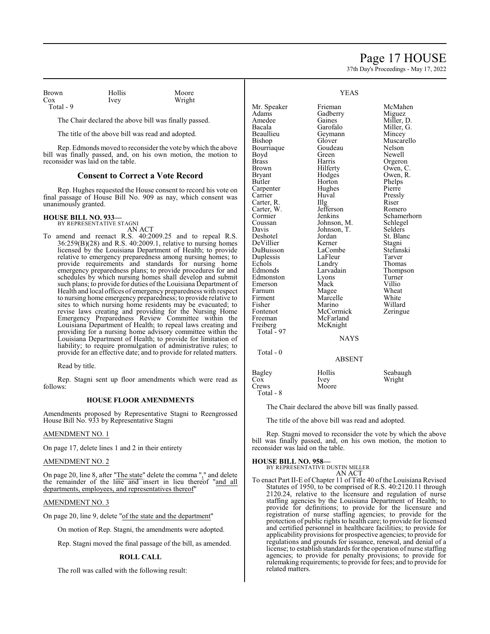## Page 17 HOUSE

37th Day's Proceedings - May 17, 2022

| Brown     |  |
|-----------|--|
| Cox       |  |
| Total - 9 |  |

Hollis Moore<br>Ivey Wright Wright

The Chair declared the above bill was finally passed.

The title of the above bill was read and adopted.

Rep. Edmonds moved to reconsider the vote by which the above bill was finally passed, and, on his own motion, the motion to reconsider was laid on the table.

## **Consent to Correct a Vote Record**

Rep. Hughes requested the House consent to record his vote on final passage of House Bill No. 909 as nay, which consent was unanimously granted.

### **HOUSE BILL NO. 933—**

BY REPRESENTATIVE STAGNI AN ACT

To amend and reenact R.S. 40:2009.25 and to repeal R.S.  $36:259(B)(28)$  and R.S.  $40:2009.1$ , relative to nursing homes licensed by the Louisiana Department of Health; to provide relative to emergency preparedness among nursing homes; to provide requirements and standards for nursing home emergency preparedness plans; to provide procedures for and schedules by which nursing homes shall develop and submit such plans; to provide for duties of the Louisiana Department of Health and local offices of emergency preparedness with respect to nursing home emergency preparedness; to provide relative to sites to which nursing home residents may be evacuated; to revise laws creating and providing for the Nursing Home Emergency Preparedness Review Committee within the Louisiana Department of Health; to repeal laws creating and providing for a nursing home advisory committee within the Louisiana Department of Health; to provide for limitation of liability; to require promulgation of administrative rules; to provide for an effective date; and to provide for related matters.

Read by title.

Rep. Stagni sent up floor amendments which were read as follows:

### **HOUSE FLOOR AMENDMENTS**

Amendments proposed by Representative Stagni to Reengrossed House Bill No. 933 by Representative Stagni

## AMENDMENT NO. 1

On page 17, delete lines 1 and 2 in their entirety

## AMENDMENT NO. 2

On page 20, line 8, after "The state" delete the comma "," and delete the remainder of the line and insert in lieu thereof "and all departments, employees, and representatives thereof"

### AMENDMENT NO. 3

On page 20, line 9, delete "of the state and the department"

On motion of Rep. Stagni, the amendments were adopted.

Rep. Stagni moved the final passage of the bill, as amended.

### **ROLL CALL**

The roll was called with the following result:

|               | <b>YEAS</b>   |            |
|---------------|---------------|------------|
| Mr. Speaker   | Frieman       | McMahen    |
| Adams         | Gadberry      | Miguez     |
| Amedee        | Gaines        | Miller, D. |
| Bacala        | Garofalo      | Miller, G. |
| Beaullieu     | Geymann       | Mincey     |
| Bishop        | Glover        | Muscarello |
| Bourriaque    | Goudeau       | Nelson     |
| Boyd          | Green         | Newell     |
| Brass         | Harris        | Orgeron    |
| Brown         | Hilferty      | Owen, C.   |
| Bryant        | Hodges        | Owen, R.   |
| <b>Butler</b> | Horton        | Phelps     |
| Carpenter     | Hughes        | Pierre     |
| Carrier       | Huval         | Pressly    |
| Carter, R.    | $\prod$ llg   | Riser      |
| Carter, W.    | Jefferson     | Romero     |
| Cormier       | Jenkins       | Schamerho  |
| Coussan       | Johnson, M.   | Schlegel   |
| Davis         | Johnson, T.   | Selders    |
| Deshotel      | Jordan        | St. Blanc  |
| DeVillier     | Kerner        | Stagni     |
| DuBuisson     | LaCombe       | Stefanski  |
| Duplessis     | LaFleur       | Tarver     |
| Echols        | Landry        | Thomas     |
| Edmonds       | Larvadain     | Thompson   |
| Edmonston     | Lyons         | Turner     |
| Emerson       | Mack          | Villio     |
| Farnum        | Magee         | Wheat      |
| Firment       | Marcelle      | White      |
| Fisher        | Marino        | Willard    |
| Fontenot      | McCormick     | Zeringue   |
| Freeman       | McFarland     |            |
| Freiberg      | McKnight      |            |
| Total - 97    |               |            |
|               | <b>NIA VC</b> |            |

### YEAS

Miller, G. ieymann Mincey<br>ilover Muscar Muscarello<br>Nelson Freen Newell<br>Ferris Greeton Iarris Orgeron<br>
Illferty Owen, C Iilferty Owen, C.<br>Iodges Owen, R. Formation School Coven, R.<br>Bryant Holden Phelps Phelps<br>Pierre Carrier Huval Pressly efferson Romero<br>enkins Schamer Schamerhorn<br>Schlegel ohnson, M. Schlege<br>ohnson, T. Selders ordan St. Blanc<br>
Stagni Eerner Stagni<br>ACombe Stefans aCombe Stefanski<br>aFleur Tarver A andry Thomas<br>A arvadain Thombs Thompson yons Turner<br>Iack Villio Ancelle White<br>The Willar Willard<br>Zeringue

### **NAYS**

Total - 0

#### ABSENT

| Bagley    | Hollis | Seabaugh |
|-----------|--------|----------|
| Cox       | Ivev   | Wright   |
| Crews     | Moore  |          |
| Total - 8 |        |          |

The Chair declared the above bill was finally passed.

The title of the above bill was read and adopted.

Rep. Stagni moved to reconsider the vote by which the above bill was finally passed, and, on his own motion, the motion to reconsider was laid on the table.

### **HOUSE BILL NO. 958—**

BY REPRESENTATIVE DUSTIN MILLER AN ACT

To enact Part II-E of Chapter 11 of Title 40 of the Louisiana Revised Statutes of 1950, to be comprised of R.S. 40:2120.11 through 2120.24, relative to the licensure and regulation of nurse staffing agencies by the Louisiana Department of Health; to provide for definitions; to provide for the licensure and registration of nurse staffing agencies; to provide for the protection of public rights to health care; to provide for licensed and certified personnel in healthcare facilities; to provide for applicability provisions for prospective agencies; to provide for regulations and grounds for issuance, renewal, and denial of a license; to establish standards for the operation of nurse staffing agencies; to provide for penalty provisions; to provide for rulemaking requirements; to provide for fees; and to provide for related matters.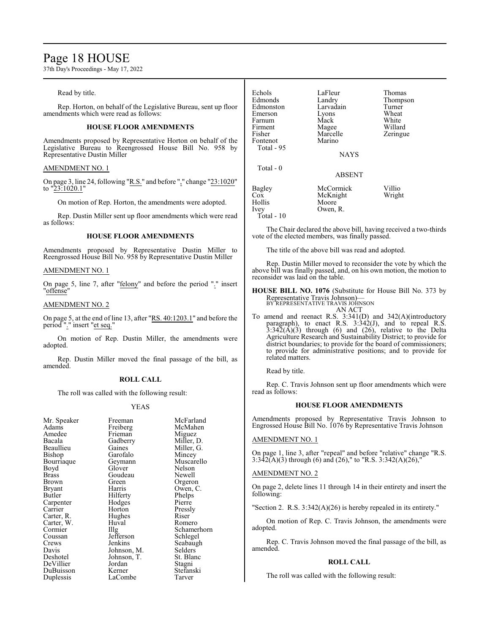## Page 18 HOUSE

37th Day's Proceedings - May 17, 2022

### Read by title.

Rep. Horton, on behalf of the Legislative Bureau, sent up floor amendments which were read as follows:

## **HOUSE FLOOR AMENDMENTS**

Amendments proposed by Representative Horton on behalf of the Legislative Bureau to Reengrossed House Bill No. 958 by Representative Dustin Miller

### AMENDMENT NO. 1

On page 3, line 24, following "R.S." and before "," change "23:1020" to "23:1020.1"

On motion of Rep. Horton, the amendments were adopted.

Rep. Dustin Miller sent up floor amendments which were read as follows:

### **HOUSE FLOOR AMENDMENTS**

Amendments proposed by Representative Dustin Miller to Reengrossed House Bill No. 958 by Representative Dustin Miller

### AMENDMENT NO. 1

On page 5, line 7, after "felony" and before the period "." insert "offense"

### AMENDMENT NO. 2

On page 5, at the end of line 13, after "RS. 40:1203.1" and before the period "." insert "et seq."

On motion of Rep. Dustin Miller, the amendments were adopted.

Rep. Dustin Miller moved the final passage of the bill, as amended.

### **ROLL CALL**

The roll was called with the following result:

Huval<br>Illg

### YEAS

| ічн. әрсақсі  |
|---------------|
| Adams         |
| Amedee        |
| Bacala        |
| Beaullieu     |
| Bishop        |
| Bourriaque    |
| Boyd          |
| <b>Brass</b>  |
| <b>Brown</b>  |
| <b>Bryant</b> |
| Butler        |
| Carpenter     |
| Carrier       |
|               |
| Carter, R.    |
| Carter, W.    |
| Cormier       |
| Coussan       |
| Crews         |
| Davis         |
| Deshotel      |
| DeVillier     |
| DuBuisson     |
| Duplessis     |
|               |

Mr. Speaker Freeman McFarland<br>Adams Freiberg McMahen Freiberg McMah<br>Frieman Miguez Frieman Miguez<br>Gadberry Miller, D. Gadberry<br>Gaines Miller, G.<br>Mincev Garofalo<br>Geymann Muscarello<br>Nelson Glover Nelson<br>Goudeau Newell Goudeau<br>Green Green Orgeron<br>Harris Owen C Owen, C.<br>Phelps Hilferty<br>
Hodges<br>
Pierre Hodges Pierre<br>
Horton Pressly Horton Pressl<br>
Hughes Riser Hughes Riser<br>
Huval Romero Schamerhorn<br>Schlegel Jefferson<br>Jenkins Seabaugh<br>Selders Johnson, M. Selders<br>Johnson, T. St. Blanc Johnson, T.<br>Jordan Jordan Stagni<br>Kerner Stefans Stefanski<br>Tarver LaCombe

| Echols<br>Edmonds<br>Edmonston<br>Emerson<br>Farnum<br>Firment<br>Fisher<br>Fontenot<br>Total - 95 | LaFleur<br>Landry<br>Larvadain<br>Lyons<br>Mack<br>Magee<br>Marcelle<br>Marino<br><b>NAYS</b> | Thomas<br>Thompson<br>Turner<br>Wheat<br>White<br>Willard<br>Zeringue |
|----------------------------------------------------------------------------------------------------|-----------------------------------------------------------------------------------------------|-----------------------------------------------------------------------|
| $Total - 0$                                                                                        | <b>ABSENT</b>                                                                                 |                                                                       |
| Bagley<br>Cox<br>Hollis<br>Ivey<br>Total - 10                                                      | McCormick<br>McKnight<br>Moore<br>Owen, R.                                                    | Villio<br>Wright                                                      |

The Chair declared the above bill, having received a two-thirds vote of the elected members, was finally passed.

The title of the above bill was read and adopted.

Rep. Dustin Miller moved to reconsider the vote by which the above bill was finally passed, and, on his own motion, the motion to reconsider was laid on the table.

**HOUSE BILL NO. 1076** (Substitute for House Bill No. 373 by Representative Travis Johnson)— BY REPRESENTATIVE TRAVIS JOHNSON

AN ACT

To amend and reenact R.S. 3:341(D) and 342(A)(introductory paragraph), to enact R.S. 3:342(J), and to repeal R.S.  $3:34\overline{2}(\overline{A})(3)$  through (6) and (26), relative to the Delta Agriculture Research and Sustainability District; to provide for district boundaries; to provide for the board of commissioners; to provide for administrative positions; and to provide for related matters.

Read by title.

Rep. C. Travis Johnson sent up floor amendments which were read as follows:

### **HOUSE FLOOR AMENDMENTS**

Amendments proposed by Representative Travis Johnson to Engrossed House Bill No. 1076 by Representative Travis Johnson

### AMENDMENT NO. 1

On page 1, line 3, after "repeal" and before "relative" change "R.S. 3:342(A)(3) through (6) and (26)," to "R.S. 3:342(A)(26),"

### AMENDMENT NO. 2

On page 2, delete lines 11 through 14 in their entirety and insert the following:

"Section 2. R.S. 3:342(A)(26) is hereby repealed in its entirety."

On motion of Rep. C. Travis Johnson, the amendments were adopted.

Rep. C. Travis Johnson moved the final passage of the bill, as amended.

### **ROLL CALL**

The roll was called with the following result: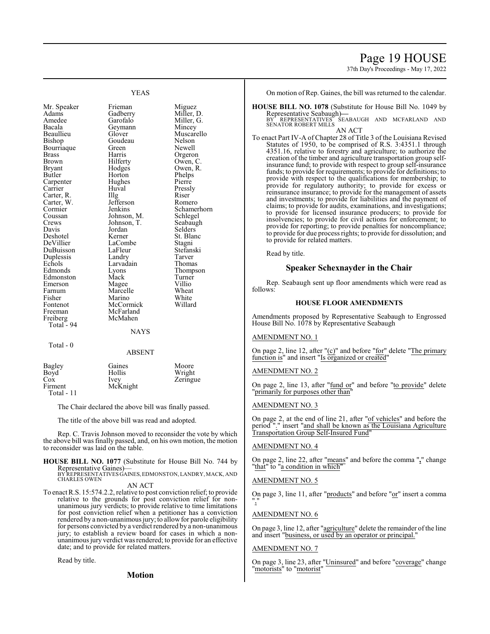## Page 19 HOUSE

37th Day's Proceedings - May 17, 2022

YEAS

Mr. Speaker Frieman Miguez<br>Adams Gadberry Miller, 1 Adams Gadberry Miller, D.<br>Amedee Garofalo Miller, G. Amedee Garofalo Miller, G.<br>Bacala Geymann Mincey Beaullieu Glover Muscarello<br>Bishop Goudeau Nelson Bourriaque Green<br>Brass Harris Brass Harris Orgeron<br>Brown Hilferty Owen, C Brown Hilferty Owen, C.<br>Bryant Hodges Owen, R. Bryant Hodges Owen, R. Carpenter Hughe<br>Carrier Huyal Carrier Huval Pressly Carter, R. Illg Riser<br>Carter, W. Jefferson Romero Carter, W. Jefferson Cormier Jenkins Schamerhorn<br>Coussan Johnson, M. Schlegel Coussan Johnson, M. Schlegel<br>Crews Johnson, T. Seabaugh Crews Johnson, T.<br>Davis Jordan Davis Jordan Selders<br>Deshotel Kerner St. Blan Deshotel Kerner St. Blanc<br>DeVillier LaCombe Stagni DuBuisson LaFleur Stefans<br>
Duplessis Landry Tarver Duplessis Landry Tarver<br>
Echols Larvadain Thomas Echols Larvadain<br>Edmonds Lyons Edmonston Mack Turne<br>
Emerson Magee Villio Emerson Magee Villio<br>Farnum Marcelle Wheat Farnum Marcelle Wheat<br>
Fisher Marino White Fisher Marino White<br>Fontenot McCormick Willard Fontenot McCormick<br>Freeman McFarland Freiberg McMahen Total - 94

Geymann Goudeau Nelson<br>Green Newell Horton Phelps<br>Hughes Pierre LaCombe<br>LaFleur Stefanski McFarland<br>McMahen

Eyons Thompson<br>
Mack Turner

### NAYS

ABSENT

Total - 0

| Bagley                | Gaines   | Moore    |
|-----------------------|----------|----------|
| Boyd                  | Hollis   | Wright   |
| Cox                   | Ivey     | Zeringue |
| Firment<br>Total - 11 | McKnight |          |

The Chair declared the above bill was finally passed.

The title of the above bill was read and adopted.

Rep. C. Travis Johnson moved to reconsider the vote by which the above bill was finally passed, and, on his own motion, the motion to reconsider was laid on the table.

- **HOUSE BILL NO. 1077** (Substitute for House Bill No. 744 by Representative Gaines)— BY REPRESENTATIVES GAINES,EDMONSTON, LANDRY, MACK, AND
	- CHARLES OWEN AN ACT
- To enact R.S. 15:574.2.2, relative to post conviction relief; to provide relative to the grounds for post conviction relief for nonunanimous jury verdicts; to provide relative to time limitations for post conviction relief when a petitioner has a conviction rendered by a non-unanimous jury; to allow for parole eligibility for persons convicted by a verdict rendered by a non-unanimous jury; to establish a review board for cases in which a nonunanimous jury verdict was rendered; to provide for an effective date; and to provide for related matters.

Read by title.

**Motion**

On motion of Rep. Gaines, the bill was returned to the calendar.

**HOUSE BILL NO. 1078** (Substitute for House Bill No. 1049 by Representative Seabaugh)**—** BY REPRESENTATIVES SEABAUGH AND MCFARLAND AND

BY REPRESENTATIVES<br>SENATOR ROBERT MILLS AN ACT

To enact Part IV-A of Chapter 28 of Title 3 of the Louisiana Revised Statutes of 1950, to be comprised of R.S. 3:4351.1 through 4351.16, relative to forestry and agriculture; to authorize the creation of the timber and agriculture transportation group selfinsurance fund; to provide with respect to group self-insurance funds; to provide for requirements; to provide for definitions; to provide with respect to the qualifications for membership; to provide for regulatory authority; to provide for excess or reinsurance insurance; to provide for the management of assets and investments; to provide for liabilities and the payment of claims; to provide for audits, examinations, and investigations; to provide for licensed insurance producers; to provide for insolvencies; to provide for civil actions for enforcement; to provide for reporting; to provide penalties for noncompliance; to provide for due process rights; to provide for dissolution; and to provide for related matters.

Read by title.

## **Speaker Schexnayder in the Chair**

Rep. Seabaugh sent up floor amendments which were read as follows:

## **HOUSE FLOOR AMENDMENTS**

Amendments proposed by Representative Seabaugh to Engrossed House Bill No. 1078 by Representative Seabaugh

## AMENDMENT NO. 1

On page 2, line 12, after "(c)" and before "for" delete "The primary function is" and insert "Is organized or created"

### AMENDMENT NO. 2

On page 2, line 13, after "fund or" and before "to provide" delete "primarily for purposes other than"

### AMENDMENT NO. 3

On page 2, at the end of line 21, after "of vehicles" and before the period "." insert "and shall be known as the Louisiana Agriculture Transportation Group Self-Insured Fund"

### AMENDMENT NO. 4

On page 2, line 22, after "means" and before the comma "**,**" change "that" to "a condition in which"

### AMENDMENT NO. 5

On page 3, line 11, after "products" and before "or" insert a comma ","

### AMENDMENT NO. 6

On page 3, line 12, after "agriculture" delete the remainder of the line and insert "business, or used by an operator or principal.

## AMENDMENT NO. 7

On page 3, line 23, after "Uninsured" and before "coverage" change "motorists" to "motorist"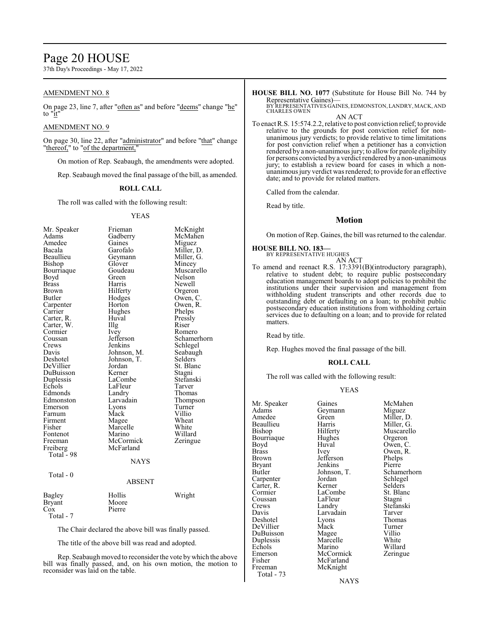## Page 20 HOUSE

37th Day's Proceedings - May 17, 2022

## AMENDMENT NO. 8

On page 23, line 7, after "often as" and before "deems" change "he" to "it"

## AMENDMENT NO. 9

On page 30, line 22, after "administrator" and before "that" change "thereof," to "of the department,"

On motion of Rep. Seabaugh, the amendments were adopted.

Rep. Seabaugh moved the final passage of the bill, as amended.

## **ROLL CALL**

The roll was called with the following result:

### YEAS

| Mr. Speaker   | Frieman     | McKnight    |
|---------------|-------------|-------------|
| Adams         | Gadberry    | McMahen     |
| Amedee        | Gaines      | Miguez      |
| Bacala        | Garofalo    | Miller, D.  |
| Beaullieu     | Geymann     | Miller, G.  |
| Bishop        | Glover      | Mincey      |
| Bourriaque    | Goudeau     | Muscarello  |
| Boyd          | Green       | Nelson      |
| <b>Brass</b>  | Harris      | Newell      |
| Brown         | Hilferty    | Orgeron     |
| Butler        | Hodges      | Owen, C.    |
| Carpenter     | Horton      | Owen, R.    |
| Carrier       | Hughes      | Phelps      |
| Carter, R.    | Huval       | Pressly     |
| Carter, W.    | Illg        | Riser       |
| Cormier       | <i>lvey</i> | Romero      |
| Coussan       | Jefferson   | Schamerhorn |
| Crews         | Jenkins     | Schlegel    |
| Davis         | Johnson, M. | Seabaugh    |
| Deshotel      | Johnson, T. | Selders     |
| DeVillier     | Jordan      | St. Blanc   |
| DuBuisson     | Kerner      | Stagni      |
| Duplessis     | LaCombe     | Stefanski   |
| Echols        | LaFleur     | Tarver      |
| Edmonds       | Landry      | Thomas      |
| Edmonston     | Larvadain   | Thompson    |
| Emerson       | Lyons       | Turner      |
| Farnum        | Mack        | Villio      |
| Firment       | Magee       | Wheat       |
| Fisher        | Marcelle    | White       |
| Fontenot      | Marino      | Willard     |
| Freeman       | McCormick   | Zeringue    |
| Freiberg      | McFarland   |             |
| Total - 98    |             |             |
|               | <b>NAYS</b> |             |
|               |             |             |
| Total - 0     |             |             |
|               | ABSENT      |             |
|               |             |             |
| Bagley        | Hollis      | Wright      |
| <b>Bryant</b> | Moore       |             |
| Cox           | Pierre      |             |
| Total - 7     |             |             |

The Chair declared the above bill was finally passed.

The title of the above bill was read and adopted.

Rep. Seabaugh moved to reconsider the vote bywhich the above bill was finally passed, and, on his own motion, the motion to reconsider was laid on the table.

# **HOUSE BILL NO. 1077** (Substitute for House Bill No. 744 by

Representative Gaines)— BY REPRESENTATIVES GAINES, EDMONSTON, LANDRY, MACK, AND CHARLES OWEN AN ACT

To enact R.S. 15:574.2.2, relative to post conviction relief; to provide relative to the grounds for post conviction relief for nonunanimous jury verdicts; to provide relative to time limitations for post conviction relief when a petitioner has a conviction rendered by a non-unanimous jury; to allow for parole eligibility for persons convicted by a verdict rendered by a non-unanimous jury; to establish a review board for cases in which a nonunanimous jury verdict was rendered; to provide for an effective date; and to provide for related matters.

Called from the calendar.

Read by title.

## **Motion**

On motion of Rep. Gaines, the bill was returned to the calendar.

#### **HOUSE BILL NO. 183—** BY REPRESENTATIVE HUGHES

AN ACT

To amend and reenact R.S. 17:3391(B)(introductory paragraph), relative to student debt; to require public postsecondary education management boards to adopt policies to prohibit the institutions under their supervision and management from withholding student transcripts and other records due to outstanding debt or defaulting on a loan; to prohibit public postsecondary education institutions from withholding certain services due to defaulting on a loan; and to provide for related matters.

Read by title.

Rep. Hughes moved the final passage of the bill.

### **ROLL CALL**

The roll was called with the following result:

## YEAS

| Mr. Speaker | Gaines      | McMahen     |
|-------------|-------------|-------------|
| Adams       | Geymann     | Miguez      |
| Amedee      | Green       | Miller, D.  |
| Beaullieu   | Harris      | Miller, G.  |
| Bishop      | Hilferty    | Muscarello  |
| Bourriaque  | Hughes      | Orgeron     |
| Boyd        | Huval       | Owen, C.    |
| Brass       | Ivey        | Owen, R.    |
| Brown       | Jefferson   | Phelps      |
| Bryant      | Jenkins     | Pierre      |
| Butler      | Johnson, T. | Schamerhorn |
| Carpenter   | Jordan      | Schlegel    |
| Carter, R.  | Kerner      | Selders     |
| Cormier     | LaCombe     | St. Blanc   |
| Coussan     | LaFleur     | Stagni      |
| Crews       | Landry      | Stefanski   |
| Davis       | Larvadain   | Tarver      |
| Deshotel    | Lyons       | Thomas      |
| DeVillier   | Mack        | Turner      |
| DuBuisson   | Magee       | Villio      |
| Duplessis   | Marcelle    | White       |
| Echols      | Marino      | Willard     |
| Emerson     | McCormick   | Zeringue    |
| Fisher      | McFarland   |             |
| Freeman     | McKnight    |             |
| Total - 73  |             |             |

NAYS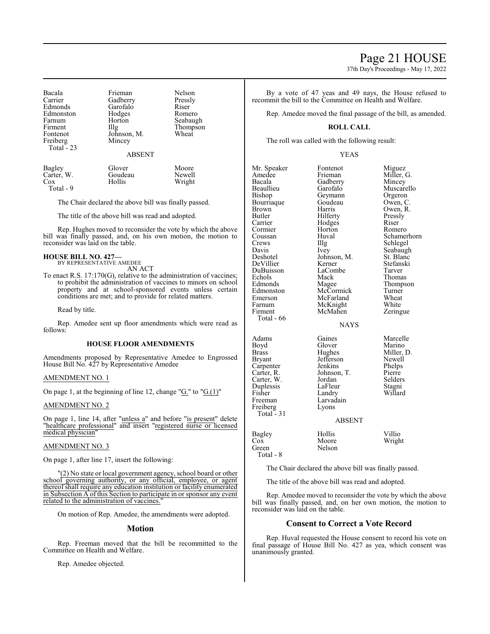37th Day's Proceedings - May 17, 2022

| Frieman       | Nelson                        |
|---------------|-------------------------------|
| Gadberry      | Pressly                       |
| Garofalo      | Riser                         |
| Hodges        | Romero                        |
| Horton        | Seabaugh                      |
|               | Thompson                      |
|               | Wheat                         |
|               |                               |
|               |                               |
| <b>ABSENT</b> |                               |
|               | Illg<br>Johnson, M.<br>Mincey |

| Bagley     | Glover  | Moore  |
|------------|---------|--------|
| Carter, W. | Goudeau | Newell |
| Cox        | Hollis  | Wright |
| Total - 9  |         |        |

The Chair declared the above bill was finally passed.

The title of the above bill was read and adopted.

Rep. Hughes moved to reconsider the vote by which the above bill was finally passed, and, on his own motion, the motion to reconsider was laid on the table.

#### **HOUSE BILL NO. 427—** BY REPRESENTATIVE AMEDEE

AN ACT

To enact R.S. 17:170(G), relative to the administration of vaccines; to prohibit the administration of vaccines to minors on school property and at school-sponsored events unless certain conditions are met; and to provide for related matters.

Read by title.

Rep. Amedee sent up floor amendments which were read as follows:

### **HOUSE FLOOR AMENDMENTS**

Amendments proposed by Representative Amedee to Engrossed House Bill No. 427 by Representative Amedee

### AMENDMENT NO. 1

On page 1, at the beginning of line 12, change " $G$ ." to " $G(1)$ "

### AMENDMENT NO. 2

On page 1, line 14, after "unless a" and before "is present" delete "healthcare professional" and insert "registered nurse or licensed medical physician"

### AMENDMENT NO. 3

On page 1, after line 17, insert the following:

"(2) No state or local government agency, school board or other school governing authority, or any official, employee, or agent thereof shall require any education institution or facility enumerated in Subsection A of this Section to participate in or sponsor any event related to the administration of vaccines.

On motion of Rep. Amedee, the amendments were adopted.

## **Motion**

Rep. Freeman moved that the bill be recommitted to the Committee on Health and Welfare.

Rep. Amedee objected.

By a vote of 47 yeas and 49 nays, the House refused to recommit the bill to the Committee on Health and Welfare.

Rep. Amedee moved the final passage of the bill, as amended.

## **ROLL CALL**

The roll was called with the following result:

### YEAS

| Mr. Speaker<br>Amedee<br>Bacala<br>Beaullieu<br>Bishop<br>Bourriaque<br>Brown<br>Butler<br>Carrier<br>Cormier<br>Coussan<br>Crews<br>Davis<br>Deshotel<br>DeVillier<br>DuBuisson<br>Echols<br>Edmonds<br>Edmonston<br>Emerson<br>Farnum<br>Firment<br>Total - 66 | Fontenot<br>Frieman<br>Gadberry<br>Garofalo<br>Geymann<br>Goudeau<br>Harris<br>Hilferty<br>Hodges<br>Horton<br>Huval<br>Illg<br>Ivey<br>Johnson, M.<br>Kerner<br>LaCombe<br>Mack<br>Magee<br>McCormick<br>McFarland<br>McKnight<br>McMahen<br><b>NAYS</b> | Miguez<br>Miller, G.<br>Mincey<br>Muscarello<br>Orgeron<br>Owen, C.<br>Owen, R.<br>Pressly<br>Riser<br>Romero<br>Schamerhorn<br>Schlegel<br>Seabaugh<br>St. Blanc<br>Stefanski<br>Tarver<br>Thomas<br>Thompson<br>Turner<br>Wheat<br>White<br>Zeringue |
|------------------------------------------------------------------------------------------------------------------------------------------------------------------------------------------------------------------------------------------------------------------|-----------------------------------------------------------------------------------------------------------------------------------------------------------------------------------------------------------------------------------------------------------|--------------------------------------------------------------------------------------------------------------------------------------------------------------------------------------------------------------------------------------------------------|
| Adams<br>Boyd<br>Brass<br>Bryant<br>Carpenter<br>Carter, R.<br>Carter, W.<br>Duplessis<br>Fisher<br>Freeman<br>Freiberg<br>Total $-31$                                                                                                                           | Gaines<br>Glover<br>Hughes<br>Jefferson<br>Jenkins<br>Johnson, T.<br>Jordan<br>LaFleur<br>Landry<br>Larvadain<br>Lyons<br><b>ABSENT</b>                                                                                                                   | Marcelle<br>Marino<br>Miller, D.<br>Newell<br>Phelps<br>Pierre<br>Selders<br>Stagni<br>Willard                                                                                                                                                         |
| Bagley<br>Cox<br>Green<br>Total - 8                                                                                                                                                                                                                              | Hollis<br>Moore<br>Nelson                                                                                                                                                                                                                                 | Villio<br>Wright                                                                                                                                                                                                                                       |

The Chair declared the above bill was finally passed.

The title of the above bill was read and adopted.

Rep. Amedee moved to reconsider the vote by which the above bill was finally passed, and, on her own motion, the motion to reconsider was laid on the table.

## **Consent to Correct a Vote Record**

Rep. Huval requested the House consent to record his vote on final passage of House Bill No. 427 as yea, which consent was unanimously granted.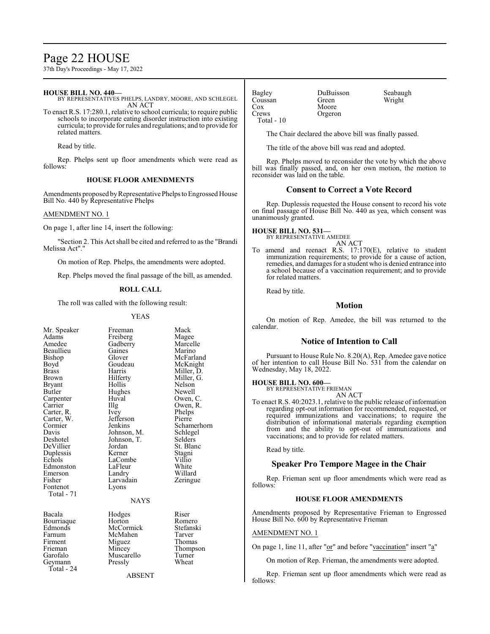## Page 22 HOUSE

37th Day's Proceedings - May 17, 2022

## **HOUSE BILL NO. 440—**

BY REPRESENTATIVES PHELPS, LANDRY, MOORE, AND SCHLEGEL AN ACT

To enact R.S. 17:280.1, relative to school curricula; to require public schools to incorporate eating disorder instruction into existing curricula; to provide for rules and regulations; and to provide for related matters.

Read by title.

Rep. Phelps sent up floor amendments which were read as follows:

## **HOUSE FLOOR AMENDMENTS**

Amendments proposed by Representative Phelps to Engrossed House Bill No. 440 by Representative Phelps

## AMENDMENT NO. 1

On page 1, after line 14, insert the following:

"Section 2. This Act shall be cited and referred to as the "Brandi Melissa Act"."

On motion of Rep. Phelps, the amendments were adopted.

Rep. Phelps moved the final passage of the bill, as amended.

## **ROLL CALL**

The roll was called with the following result:

### YEAS

Mr. Speaker Freeman Mack<br>Adams Freiberg Magee Adams Freiberg Magee Beaullieu Gaines<br>Bishop Glover Bishop Glover McFarland<br>Boyd Goudeau McKnight Boyd Goudeau McKnight<br>Brass Harris Miller, D. Brass Harris Miller, D. Brown Hilferty Miller, G.<br>Brvant Hollis Nelson Bryant Hollis Nelson<br>Butler Hughes Newell Carpenter Huv<br>Carrier Hllg Carter, R. Ivey Phelps<br>Carter, W. Jefferson Pierre Carter, W. Jefferson<br>Cormier Jenkins Cormier Jenkins Schamerhorn<br>
Davis Johnson, M. Schlegel Davis Johnson, M. Schlege<br>Deshotel Johnson, T. Selders DeVillier Jordan St. Blanch<br>Duplessis Kerner Stagni Duplessis Kerner Stagni Edmonston LaFleur White<br>
Emerson Landry Willard Emerson Landry<br>Fisher Larvadain Fisher Larvadain Zeringue<br>Fontenot Lyons Total - 71

Geymann Total - 24

Gadberry Marcell<br>Gaines Marino Hughes Newell<br>Huval Owen, C Illg Owen, R.<br>Ivey Phelps Johnson, T. Selders<br>Jordan St. Blanc LaCombe Villio<br>LaFleur White Lyons

NAYS

Bacala Hodges Riser Bourriaque Horton Romero<br>Edmonds McCormick Stefanski Edmonds McCormick Stefans<br>Farnum McMahen Tarver Farnum McMahen Tarver<br>Firment Miguez Thomas Firment Miguez<br>Frieman Mincey Frieman Mincey Thompson<br>
Garofalo Muscarello Turner Muscarello Turner<br>Pressly Wheat

ABSENT

| Bagley     |  |
|------------|--|
| Coussan    |  |
| Cox        |  |
| Crews      |  |
| Total - 10 |  |

Moore Orgeron

DuBuisson Seabaugh<br>Green Wright

Wright

The Chair declared the above bill was finally passed.

The title of the above bill was read and adopted.

Rep. Phelps moved to reconsider the vote by which the above bill was finally passed, and, on her own motion, the motion to reconsider was laid on the table.

## **Consent to Correct a Vote Record**

Rep. Duplessis requested the House consent to record his vote on final passage of House Bill No. 440 as yea, which consent was unanimously granted.

#### **HOUSE BILL NO. 531—** BY REPRESENTATIVE AMEDEE

AN ACT

To amend and reenact R.S. 17:170(E), relative to student immunization requirements; to provide for a cause of action, remedies, and damages for a student who is denied entrance into a school because of a vaccination requirement; and to provide for related matters.

Read by title.

## **Motion**

On motion of Rep. Amedee, the bill was returned to the calendar.

## **Notice of Intention to Call**

Pursuant to House Rule No. 8.20(A), Rep. Amedee gave notice of her intention to call House Bill No. 531 from the calendar on Wednesday, May 18, 2022.

## **HOUSE BILL NO. 600—**

BY REPRESENTATIVE FRIEMAN AN ACT

To enact R.S. 40:2023.1, relative to the public release of information regarding opt-out information for recommended, requested, or required immunizations and vaccinations; to require the distribution of informational materials regarding exemption from and the ability to opt-out of immunizations and vaccinations; and to provide for related matters.

Read by title.

## **Speaker Pro Tempore Magee in the Chair**

Rep. Frieman sent up floor amendments which were read as follows:

## **HOUSE FLOOR AMENDMENTS**

Amendments proposed by Representative Frieman to Engrossed House Bill No. 600 by Representative Frieman

### AMENDMENT NO. 1

On page 1, line 11, after "or" and before "vaccination" insert "a"

On motion of Rep. Frieman, the amendments were adopted.

Rep. Frieman sent up floor amendments which were read as follows: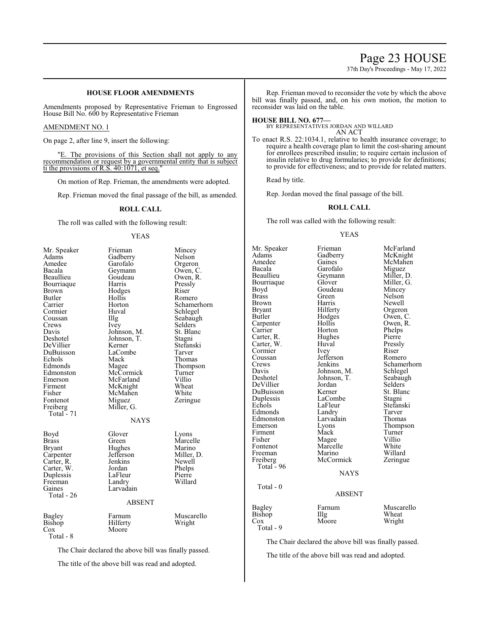## Page 23 HOUSE

37th Day's Proceedings - May 17, 2022

## **HOUSE FLOOR AMENDMENTS**

Amendments proposed by Representative Frieman to Engrossed House Bill No. 600 by Representative Frieman

## AMENDMENT NO. 1

On page 2, after line 9, insert the following:

"E. The provisions of this Section shall not apply to any recommendation or request by a governmental entity that is subject ti the provisions of R.S. 40:1071, et seq."

On motion of Rep. Frieman, the amendments were adopted.

Rep. Frieman moved the final passage of the bill, as amended.

### **ROLL CALL**

The roll was called with the following result:

YEAS

| Mr. Speaker<br>Adams<br>Amedee<br>Bacala<br>Beaullieu<br>Bourriaque<br>Brown<br>Butler<br>Carrier<br>Cormier<br>Coussan<br>Crews<br>Davis<br>Deshotel<br>DeVillier<br>DuBuisson<br>Echols<br>Edmonds<br>Edmonston<br>Emerson<br>Firment<br>Fisher<br>Fontenot<br>Freiberg<br>Total - 71 | Frieman<br>Gadberry<br>Garofalo<br>Geymann<br>Goudeau<br>Harris<br>Hodges<br>Hollis<br>Horton<br>Huval<br>$\prod_{i=1}^{n}$<br>Ivey<br>Johnson, M.<br>Johnson, T.<br>Kerner<br>LaCombe<br>Mack<br>Magee<br>McCormick<br>McFarland<br>McKnight<br>McMahen<br>Miguez<br>Miller, G.<br><b>NAYS</b> | Mincey<br>Nelson<br>Orgeron<br>Owen, C.<br>Owen, R.<br>Pressly<br>Riser<br>Romero<br>Schamerhorn<br>Schlegel<br>Seabaugh<br>Selders<br>St. Blanc<br>Stagni<br>Stefanski<br>Tarver<br>Thomas<br>Thompson<br>Turner<br>Villio<br>Wheat<br>White<br>Zeringue |
|-----------------------------------------------------------------------------------------------------------------------------------------------------------------------------------------------------------------------------------------------------------------------------------------|-------------------------------------------------------------------------------------------------------------------------------------------------------------------------------------------------------------------------------------------------------------------------------------------------|-----------------------------------------------------------------------------------------------------------------------------------------------------------------------------------------------------------------------------------------------------------|
| Boyd<br>Brass<br><b>Bryant</b><br>Carpenter<br>Carter, R.<br>Carter, W.<br>Duplessis<br>Freeman<br>Gaines<br>Total - 26                                                                                                                                                                 | Glover<br>Green<br>Hughes<br>Jefferson<br>Jenkins<br>Jordan<br>LaFleur<br>Landry<br>Larvadain<br><b>ABSENT</b>                                                                                                                                                                                  | Lyons<br>Marcelle<br>Marino<br>Miller, D.<br>Newell<br>Phelps<br>Pierre<br>Willard                                                                                                                                                                        |
| Bagley<br>Bishop<br>Cox<br>Total - 8                                                                                                                                                                                                                                                    | Farnum<br>Hilferty<br>Moore                                                                                                                                                                                                                                                                     | Muscarello<br>Wright                                                                                                                                                                                                                                      |

The Chair declared the above bill was finally passed.

The title of the above bill was read and adopted.

Rep. Frieman moved to reconsider the vote by which the above bill was finally passed, and, on his own motion, the motion to reconsider was laid on the table.

#### **HOUSE BILL NO. 677—**

BY REPRESENTATIVES JORDAN AND WILLARD AN ACT

To enact R.S. 22:1034.1, relative to health insurance coverage; to require a health coverage plan to limit the cost-sharing amount for enrollees prescribed insulin; to require certain inclusion of insulin relative to drug formularies; to provide for definitions; to provide for effectiveness; and to provide for related matters.

Read by title.

Rep. Jordan moved the final passage of the bill.

## **ROLL CALL**

The roll was called with the following result:

### YEAS

Mr. Speaker Frieman McFarland<br>Adams Gadberry McKnight Adams Gadberry McKnight<br>Amedee Gaines McMahen Amedee Gaines McMahen<br>Bacala Garofalo Miguez Bacala Garofalo Miguez<br>Beaullieu Geymann Miller, D. Geymann Miller, D.<br>Glover Miller, G. Bourriaque Glover Miller, (Boyd Goudeau Mincey Boyd Goudeau<br>Brass Green Brass Green Nelson<br>Brown Harris Newell Brown Harris Newell<br>Bryant Hilferty Orgeron Bryant Hilferty Orgeron<br>Butler Hodges Owen, C Hodges Owen, C.<br>Hollis Owen, R. Carpenter Hollis<br>Carrier Horton Carrier Horton Phelps<br>Carter, R. Hughes Pierre Carter, R. Hughes Pierre<br>Carter, W. Huval Pressly Carter, W. Huval Pressl<br>
Cormier Ivey Riser Cormier Ivey Riser -<br>Coussan - Jefferson - Romero Coussan Jefferson<br>Crews Jenkins Crews Jenkins Schamerhorn<br>
Davis Johnson, M. Schlegel Davis Johnson, M. Schlegel<br>Deshotel Johnson, T. Seabaugh Johnson, T. Seabaughter Seabaughter Seabaughter Seabaughter Seabaughter Seabaughter Seabaughter Seabaughter Seabaughter Seabaughter Seabaughter Seabaughter Seabaughter Seabaughter Seabaughter Seabaughter Seabaughter Seabau DeVillier Jordan<br>DuBuisson Kerner DuBuisson Kerner St. Blanc Duplessis LaCombe<br>
Echols LaFleur LaFleur Stefanski<br>Landry Tarver Edmonds Landry Tarver<br>
Edmonston Larvadain Thomas Edmonston Larvadain<br>Emerson Lyons Lyons Thompson<br>Mack Turner Firment Mack Turner<br>Fisher Magee Villio Fisher Magee Villio<br>Fontenot Marcelle White Marcelle White<br>Marino Willard Freeman Marino Willard<br>
Freiberg McCormick Zeringue McCormick Total  $-96$ **NAYS**  Total - 0 ABSENT Bagley Farnum Muscarello<br>Bishop IIIg Wheat Bishop Illg<br>Cox Moore Total - 9

Wright

The Chair declared the above bill was finally passed.

The title of the above bill was read and adopted.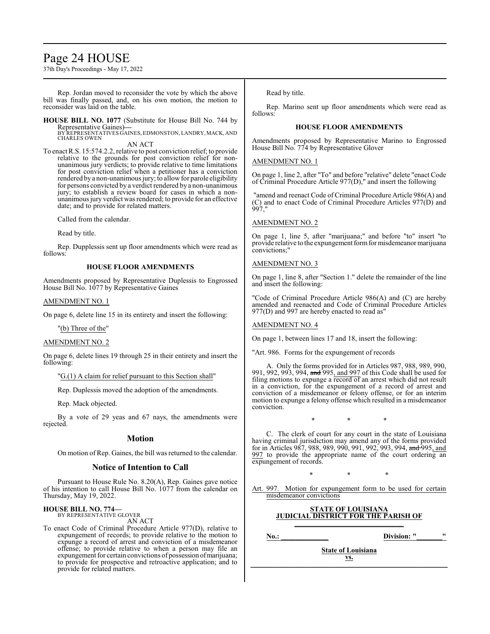## Page 24 HOUSE

37th Day's Proceedings - May 17, 2022

Rep. Jordan moved to reconsider the vote by which the above bill was finally passed, and, on his own motion, the motion to reconsider was laid on the table.

**HOUSE BILL NO. 1077** (Substitute for House Bill No. 744 by Representative Gaines)**—** BY REPRESENTATIVES GAINES, EDMONSTON, LANDRY,MACK, AND

CHARLES OWEN AN ACT

To enact R.S. 15:574.2.2, relative to post conviction relief; to provide relative to the grounds for post conviction relief for nonunanimous jury verdicts; to provide relative to time limitations for post conviction relief when a petitioner has a conviction rendered by a non-unanimous jury; to allow for parole eligibility for persons convicted by a verdict rendered by a non-unanimous jury; to establish a review board for cases in which a nonunanimous jury verdict was rendered; to provide for an effective date; and to provide for related matters.

Called from the calendar.

Read by title.

Rep. Dupplessis sent up floor amendments which were read as follows:

## **HOUSE FLOOR AMENDMENTS**

Amendments proposed by Representative Duplessis to Engrossed House Bill No. 1077 by Representative Gaines

## AMENDMENT NO. 1

On page 6, delete line 15 in its entirety and insert the following:

## "(b) Three of the"

## AMENDMENT NO. 2

On page 6, delete lines 19 through 25 in their entirety and insert the following:

"G.(1) A claim for relief pursuant to this Section shall"

Rep. Duplessis moved the adoption of the amendments.

Rep. Mack objected.

By a vote of 29 yeas and 67 nays, the amendments were rejected.

## **Motion**

On motion of Rep. Gaines, the bill was returned to the calendar.

## **Notice of Intention to Call**

Pursuant to House Rule No. 8.20(A), Rep. Gaines gave notice of his intention to call House Bill No. 1077 from the calendar on Thursday, May 19, 2022.

#### **HOUSE BILL NO. 774—** BY REPRESENTATIVE GLOVER

AN ACT

To enact Code of Criminal Procedure Article 977(D), relative to expungement of records; to provide relative to the motion to expunge a record of arrest and conviction of a misdemeanor offense; to provide relative to when a person may file an expungement for certain convictions of possession of marijuana; to provide for prospective and retroactive application; and to provide for related matters.

Read by title.

Rep. Marino sent up floor amendments which were read as follows:

## **HOUSE FLOOR AMENDMENTS**

Amendments proposed by Representative Marino to Engrossed House Bill No. 774 by Representative Glover

## AMENDMENT NO. 1

On page 1, line 2, after "To" and before "relative" delete "enact Code of Criminal Procedure Article 977(D)," and insert the following

"amend and reenact Code of Criminal Procedure Article 986(A) and (C) and to enact Code of Criminal Procedure Articles 977(D) and 997,"

## AMENDMENT NO. 2

On page 1, line 5, after "marijuana;" and before "to" insert "to provide relative to the expungement form for misdemeanor marijuana convictions;"

### AMENDMENT NO. 3

On page 1, line 8, after "Section 1." delete the remainder of the line and insert the following:

"Code of Criminal Procedure Article 986(A) and (C) are hereby amended and reenacted and Code of Criminal Procedure Articles 977(D) and 997 are hereby enacted to read as"

## AMENDMENT NO. 4

On page 1, between lines 17 and 18, insert the following:

"Art. 986. Forms for the expungement of records

A. Only the forms provided for in Articles 987, 988, 989, 990, 991, 992, 993, 994, and 995, and 997 of this Code shall be used for filing motions to expunge a record of an arrest which did not result in a conviction, for the expungement of a record of arrest and conviction of a misdemeanor or felony offense, or for an interim motion to expunge a felony offense which resulted in a misdemeanor conviction.

\* \* \*

C. The clerk of court for any court in the state of Louisiana having criminal jurisdiction may amend any of the forms provided for in Articles 987, 988, 989, 990, 991, 992, 993, 994, and 995, and 997 to provide the appropriate name of the court ordering an expungement of records.

\* \* \*

Art. 997. Motion for expungement form to be used for certain misdemeanor convictions

### **STATE OF LOUISIANA JUDICIAL DISTRICT FOR THE PARISH OF \_\_\_\_\_\_\_\_\_\_\_\_\_\_\_\_\_\_\_\_\_\_\_\_\_\_\_\_\_\_**

**No.: Division: "** 

**State of Louisiana vs. \_\_\_\_\_\_\_\_\_\_\_\_\_\_\_\_\_\_\_\_\_\_\_\_\_\_\_\_\_\_\_\_\_\_\_\_\_\_\_\_\_\_\_\_\_\_\_\_\_\_\_\_\_\_**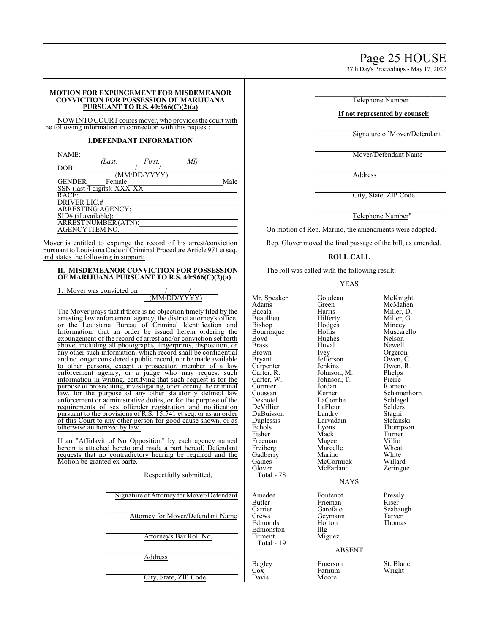37th Day's Proceedings - May 17, 2022

### **MOTION FOR EXPUNGEMENT FOR MISDEMEANOR CONVICTION FOR POSSESSION OF MARIJUANA PURSUANT TO R.S. 40:966(C)(2)(a)**

NOW INTO COURT comes mover, who provides the court with the following information in connection with this request:

## **I.DEFENDANT INFORMATION**

| NAME:                             |        |             |      |
|-----------------------------------|--------|-------------|------|
|                                   | 'Last, | First,      |      |
| DOB:                              |        |             |      |
|                                   |        | (MM/DD/YYYY |      |
| <b>GENDER</b>                     | Female |             | Male |
| SSN (last 4 digits): XXX-XX-      |        |             |      |
| RACE:                             |        |             |      |
| <b>DRIVER LIC.#</b>               |        |             |      |
| <b>ARRESTING AGENCY:</b>          |        |             |      |
| $\overline{SID#}$ (if available): |        |             |      |
| <b>ARREST NUMBER (ATN):</b>       |        |             |      |
| <b>AGENCY ITEM NO.</b>            |        |             |      |
|                                   |        |             |      |

Mover is entitled to expunge the record of his arrest/conviction pursuant to Louisiana Code of Criminal Procedure Article 971 et seq. and states the following in support:

## **II. MISDEMEANOR CONVICTION FOR POSSESSION OF MARIJUANA PURSUANT TO R.S. 40:966(C)(2)(a)**

1. Mover was convicted on

## (MM/DD/YYYY)

The Mover prays that if there is no objection timely filed by the arresting law enforcement agency, the district attorney's office, or the Louisiana Bureau of Criminal Identification and Information, that an order be issued herein ordering the expungement of the record of arrest and/or conviction set for above, including all photographs, fingerprints, disposition, any other such information, which record shall be confident and no longer considered a public record, nor be made available to other persons, except a prosecutor, member of a la enforcement agency, or a judge who may request su information in writing, certifying that such request is for the purpose of prosecuting, investigating, or enforcing the criminal law, for the purpose of any other statutorily defined la enforcement or administrative duties, or for the purpose of the requirements of sex offender registration and notification pursuant to the provisions of R.S.  $15:541$  et seq. or as an order of this Court to any other person for good cause shown, or otherwise authorized by law.

If an "Affidavit of No Opposition" by each agency name herein is attached hereto and made a part hereof, Defendant requests that no contradictory hearing be required and the Motion be granted ex parte.

## Respectfully submitted,

 $\_$ City, State, ZIP Code

 $\mathcal{L}_\text{max}$  and  $\mathcal{L}_\text{max}$  and  $\mathcal{L}_\text{max}$  and  $\mathcal{L}_\text{max}$ Telephone Number

## **If not represented by counsel:**

 $\mathcal{L}_\text{max}$  and  $\mathcal{L}_\text{max}$  and  $\mathcal{L}_\text{max}$  and  $\mathcal{L}_\text{max}$ Signature of Mover/Defendant

 $\mathcal{L}_\text{max}$  and  $\mathcal{L}_\text{max}$  and  $\mathcal{L}_\text{max}$  and  $\mathcal{L}_\text{max}$ Mover/Defendant Name

 $\mathcal{L}_\text{max}$  and  $\mathcal{L}_\text{max}$  and  $\mathcal{L}_\text{max}$  and  $\mathcal{L}_\text{max}$ Address

 $\mathcal{L}_\text{max}$  and  $\mathcal{L}_\text{max}$  and  $\mathcal{L}_\text{max}$  and  $\mathcal{L}_\text{max}$ City, State, ZIP Code

 $\mathcal{L}_\text{max}$  and  $\mathcal{L}_\text{max}$  and  $\mathcal{L}_\text{max}$  and  $\mathcal{L}_\text{max}$ Telephone Number"

On motion of Rep. Marino, the amendments were adopted.

Rep. Glover moved the final passage of the bill, as amended.

## **ROLL CALL**

The roll was called with the following result:

## YEAS

| nvicted on                                                                           |                      |                   |                      |
|--------------------------------------------------------------------------------------|----------------------|-------------------|----------------------|
| (MM/DD/YYYY)                                                                         | Mr. Speaker<br>Adams | Goudeau<br>Green  | McKnight<br>McMahen  |
| that if there is no objection timely filed by the                                    | Bacala               | Harris            | Miller, D.           |
| orcement agency, the district attorney's office,                                     | Beaullieu            | Hilferty          | Miller, G.           |
| ia Bureau of Criminal Identification and                                             |                      |                   |                      |
|                                                                                      | Bishop               | Hodges            | Mincey<br>Muscarello |
| t an order be issued herein ordering the                                             | Bourriaque           | Hollis            |                      |
| the record of arrest and/or conviction set forth                                     | Boyd                 | Hughes            | Nelson               |
| all photographs, fingerprints, disposition, or                                       | <b>Brass</b>         | Huval             | Newell               |
| formation, which record shall be confidential                                        | <b>Brown</b>         | Ivey              | Orgeron              |
| nsidered a public record, nor be made available                                      | <b>Bryant</b>        | Jefferson         | Owen, C.             |
| s, except a prosecutor, member of a law                                              | Carpenter            | Jenkins           | Owen, R.             |
| ency, or a judge who may request such                                                | Carter, R.           | Johnson, M.       | Phelps               |
| triting, certifying that such request is for the                                     | Carter, W.           | Johnson, T.       | Pierre               |
| cuting, investigating, or enforcing the criminal                                     | Cormier              | Jordan            | Romero               |
| rpose of any other statutorily defined law                                           | Coussan              | Kerner            | Schamerhorn          |
| dministrative duties, or for the purpose of the                                      | Deshotel             | LaCombe           | Schlegel             |
| sex offender registration and notification                                           | DeVillier            | LaFleur           | Selders              |
| rovisions of R.S. 15:541 et seq. or as an order                                      | DuBuisson            | Landry            | Stagni               |
| any other person for good cause shown, or as                                         | Duplessis            | Larvadain         | Stefanski            |
| ized by law.                                                                         | Echols               | Lyons             | Thompson             |
|                                                                                      | Fisher               | Mack              | Turner               |
|                                                                                      | Freeman              | Magee             | Villio               |
| of No Opposition" by each agency named<br>d hereto and made a part hereof, Defendant | Freiberg             | Marcelle          | Wheat                |
| contradictory hearing be required and the                                            | Gadberry             | Marino            | White                |
|                                                                                      | Gaines               | McCormick         | Willard              |
| ed ex parte.                                                                         | Glover               | McFarland         |                      |
|                                                                                      |                      |                   | Zeringue             |
| Respectfully submitted,                                                              | Total - 78           |                   |                      |
|                                                                                      |                      | <b>NAYS</b>       |                      |
| Signature of Attorney for Mover/Defendant                                            | Amedee               | Fontenot          | Pressly              |
|                                                                                      | <b>Butler</b>        | Frieman           | Riser                |
|                                                                                      | Carrier              | Garofalo          | Seabaugh             |
| Attorney for Mover/Defendant Name                                                    | Crews                | Geymann           | Tarver               |
|                                                                                      | Edmonds              | Horton            | Thomas               |
|                                                                                      | Edmonston            | $\prod_{i=1}^{n}$ |                      |
| Attorney's Bar Roll No.                                                              | Firment              | Miguez            |                      |
|                                                                                      | Total - 19           |                   |                      |
|                                                                                      |                      | <b>ABSENT</b>     |                      |
| Address                                                                              |                      |                   |                      |
|                                                                                      | Bagley               | Emerson           | St. Blanc            |
|                                                                                      |                      |                   |                      |

Cox Farnum Wright<br>Davis Moore Wright Moore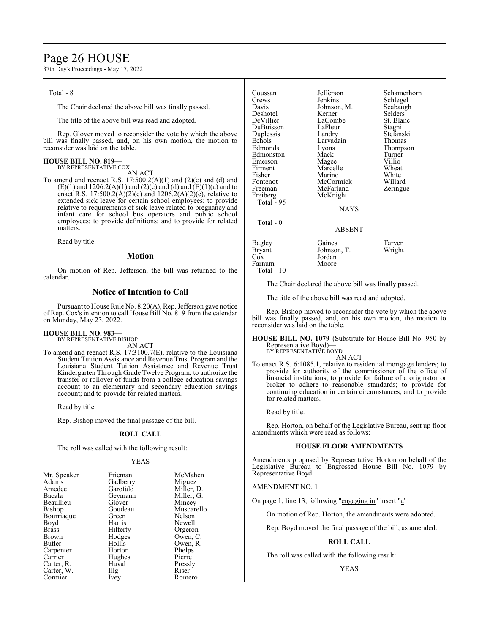## Page 26 HOUSE

37th Day's Proceedings - May 17, 2022

Total - 8

The Chair declared the above bill was finally passed.

The title of the above bill was read and adopted.

Rep. Glover moved to reconsider the vote by which the above bill was finally passed, and, on his own motion, the motion to reconsider was laid on the table.

## **HOUSE BILL NO. 819—** BY REPRESENTATIVE COX

AN ACT

To amend and reenact R.S.  $17:500.2(A)(1)$  and  $(2)(c)$  and  $(d)$  and  $(E)(1)$  and  $1206.2(A)(1)$  and  $(2)(c)$  and  $(d)$  and  $(E)(1)(a)$  and to enact R.S. 17:500.2( $\hat{A}$ )(2)(e) and 1206.2( $\hat{A}$ )(2)(e), relative to extended sick leave for certain school employees; to provide relative to requirements of sick leave related to pregnancy and infant care for school bus operators and public school employees; to provide definitions; and to provide for related matters.

Read by title.

### **Motion**

On motion of Rep. Jefferson, the bill was returned to the calendar.

## **Notice of Intention to Call**

Pursuant to House Rule No. 8.20(A), Rep. Jefferson gave notice of Rep. Cox's intention to call House Bill No. 819 from the calendar on Monday, May 23, 2022.

### **HOUSE BILL NO. 983—**

BY REPRESENTATIVE BISHOP

AN ACT

To amend and reenact R.S. 17:3100.7(E), relative to the Louisiana Student Tuition Assistance and Revenue Trust Program and the Louisiana Student Tuition Assistance and Revenue Trust Kindergarten Through Grade Twelve Program; to authorize the transfer or rollover of funds from a college education savings account to an elementary and secondary education savings account; and to provide for related matters.

Read by title.

Rep. Bishop moved the final passage of the bill.

### **ROLL CALL**

The roll was called with the following result:

### YEAS

| Mr. Speaker  | Frieman  | McMahen    |
|--------------|----------|------------|
| Adams        | Gadberry | Miguez     |
| Amedee       | Garofalo | Miller, D. |
| Bacala       | Geymann  | Miller, G. |
| Beaullieu    | Glover   | Mincey     |
| Bishop       | Goudeau  | Muscarello |
| Bourriaque   | Green    | Nelson     |
| Boyd         | Harris   | Newell     |
| <b>Brass</b> | Hilferty | Orgeron    |
| Brown        | Hodges   | Owen, C.   |
| Butler       | Hollis   | Owen, R.   |
| Carpenter    | Horton   | Phelps     |
| Carrier      | Hughes   | Pierre     |
| Carter, R.   | Huval    | Pressly    |
| Carter, W.   | Illg     | Riser      |
| Cormier      | Ivey     | Romero     |
|              |          |            |

| Coussan<br>Crews<br>Davis<br>Deshotel<br>DeVillier<br>DuBuisson<br>Duplessis<br>Echols<br>Edmonds<br>Edmonston<br>Emerson<br>Firment<br>Fisher<br>Fontenot<br>Freeman<br>Freiberg | Jefferson<br>Jenkins<br>Johnson, M.<br>Kerner<br>LaCombe<br>LaFleur<br>Landry<br>Larvadain<br>Lyons<br>Mack<br>Magee<br>Marcelle<br>Marino<br>McCormick<br>McFarland<br>McKnight | Schamerhorn<br>Schlegel<br>Seabaugh<br>Selders<br>St. Blanc<br>Stagni<br>Stefanski<br>Thomas<br>Thompson<br>Turner<br>Villio<br>Wheat<br>White<br>Willard<br>Zeringue |
|-----------------------------------------------------------------------------------------------------------------------------------------------------------------------------------|----------------------------------------------------------------------------------------------------------------------------------------------------------------------------------|-----------------------------------------------------------------------------------------------------------------------------------------------------------------------|
| Total - 95                                                                                                                                                                        | <b>NAYS</b>                                                                                                                                                                      |                                                                                                                                                                       |
| Total - 0                                                                                                                                                                         | ABSENT                                                                                                                                                                           |                                                                                                                                                                       |
| Bagley<br>Bryant<br>Cox<br>Farnum                                                                                                                                                 | Gaines<br>Johnson, T.<br>Jordan<br>Moore                                                                                                                                         | Tarver<br>Wright                                                                                                                                                      |

The Chair declared the above bill was finally passed.

The title of the above bill was read and adopted.

Rep. Bishop moved to reconsider the vote by which the above bill was finally passed, and, on his own motion, the motion to reconsider was laid on the table.

**HOUSE BILL NO. 1079** (Substitute for House Bill No. 950 by Representative Boyd)**—** BY REPRESENTATIVE BOYD

### AN ACT

To enact R.S. 6:1085.1, relative to residential mortgage lenders; to provide for authority of the commissioner of the office of financial institutions; to provide for failure of a originator or broker to adhere to reasonable standards; to provide for continuing education in certain circumstances; and to provide for related matters.

Read by title.

Total - 10

Rep. Horton, on behalf of the Legislative Bureau, sent up floor amendments which were read as follows:

#### **HOUSE FLOOR AMENDMENTS**

Amendments proposed by Representative Horton on behalf of the Legislative Bureau to Engrossed House Bill No. 1079 by Representative Boyd

### AMENDMENT NO. 1

On page 1, line 13, following "engaging in" insert "a"

On motion of Rep. Horton, the amendments were adopted.

Rep. Boyd moved the final passage of the bill, as amended.

## **ROLL CALL**

The roll was called with the following result:

YEAS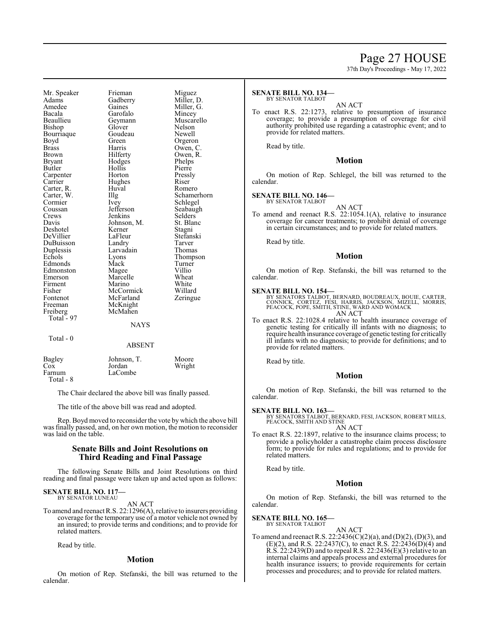## Page 27 HOUSE

37th Day's Proceedings - May 17, 2022

Mr. Speaker Frieman Miguez<br>Adams Gadberry Miller, 1 Adams Gadberry Miller, D.<br>Amedee Gaines Miller, G. Amedee Gaines Miller, G. Bacala Garofalo<br>Beaullieu Geymann Bishop Bourriaque Goudeau Newell<br>Boyd Green Orgerol Boyd Green Orgeron<br>Brass Harris Owen, C Brass Harris Owen, C. Brown Hilferty Owen, R.<br>Bryant Hodges Phelps Bryant Hodges Phelps<br>Butler Hollis Pierre Carpenter Horton Pressl<br>Carrier Hughes Riser Carter, R.<br>Carter, W. Cormier Ivey Schlegel<br>Coussan Jefferson Seabaugh Coussan Jefferson Seabaugh<br>Crews Jenkins Selders Crews Jenkins Selders<br>Davis Johnson, M. St. Blanc Deshotel Kerner Stagni<br>
DeVillier LaFleur Stefanski DeVillier LaFleur Stefans<br>DuBuisson Landry Tarver DuBuisson Landry Tarver Duplessis Larvad<br>
Echols Lyons Edmonds Mack Turner<br>Edmonston Magee Villio Edmonston Magee Villio<br>
Emerson Marcelle Wheat Emerson Marcelle Wheat<br>
Firment Marino White Firment Marino White<br>
Fisher McCormick Willard Fisher McCormick Willard<br>Fontenot McFarland Zeringue Fontenot McFarland<br>Freeman McKnight Freeman McKnight<br>Freiberg McMahen Total - 97

Total - 0

Hollis Pierre<br>
Horton Pressly Hughes Riser<br>Huval Romero Johnson, M. St. Blanck<br>Kerner Stagni McMahen

Geymann Muscarello<br>Glover Nelson Carter, W. Illg Schamerhorn<br>
Cormier Ivey Schlegel Extension Lyons Thompson<br>
Mack Turner

### ABSENT

**NAYS** 

| Bagley    | Johnson, T. | Moore  |
|-----------|-------------|--------|
| Cox       | Jordan      | Wright |
| Farnum    | LaCombe     |        |
| Total - 8 |             |        |

The Chair declared the above bill was finally passed.

The title of the above bill was read and adopted.

Rep. Boyd moved to reconsider the vote by which the above bill was finally passed, and, on her own motion, the motion to reconsider was laid on the table.

## **Senate Bills and Joint Resolutions on Third Reading and Final Passage**

The following Senate Bills and Joint Resolutions on third reading and final passage were taken up and acted upon as follows:

#### **SENATE BILL NO. 117** BY SENATOR LUNEAU

AN ACT

To amend and reenact R.S. 22:1296(A), relative to insurers providing coverage for the temporary use of a motor vehicle not owned by an insured; to provide terms and conditions; and to provide for related matters.

Read by title.

### **Motion**

On motion of Rep. Stefanski, the bill was returned to the calendar.

#### **SENATE BILL NO. 134—** BY SENATOR TALBOT

#### AN ACT

To enact R.S. 22:1273, relative to presumption of insurance coverage; to provide a presumption of coverage for civil authority prohibited use regarding a catastrophic event; and to provide for related matters.

Read by title.

### **Motion**

On motion of Rep. Schlegel, the bill was returned to the calendar.

### **SENATE BILL NO. 146—**

BY SENATOR TALBOT

AN ACT To amend and reenact R.S. 22:1054.1(A), relative to insurance coverage for cancer treatments; to prohibit denial of coverage in certain circumstances; and to provide for related matters.

Read by title.

### **Motion**

On motion of Rep. Stefanski, the bill was returned to the calendar.

### **SENATE BILL NO. 154—**

BY SENATORS TALBOT, BERNARD, BOUDREAUX, BOUIE, CARTER,<br>CONNICK, CORTEZ, FESI, HARRIS, JACKSON, MIZELL, MORRIS,<br>PEACOCK, POPE, SMITH, STINE, WARD AND WOMACK AN ACT

To enact R.S. 22:1028.4 relative to health insurance coverage of genetic testing for critically ill infants with no diagnosis; to require health insurance coverage of genetic testing for critically ill infants with no diagnosis; to provide for definitions; and to provide for related matters.

Read by title.

### **Motion**

On motion of Rep. Stefanski, the bill was returned to the calendar.

**SENATE BILL NO. 163—** BY SENATORS TALBOT, BERNARD, FESI, JACKSON, ROBERT MILLS, PEACOCK, SMITH AND STINE AN ACT

To enact R.S. 22:1897, relative to the insurance claims process; to provide a policyholder a catastrophe claim process disclosure form; to provide for rules and regulations; and to provide for related matters.

Read by title.

## **Motion**

On motion of Rep. Stefanski, the bill was returned to the calendar.

#### **SENATE BILL NO. 165—** BY SENATOR TALBOT

AN ACT

To amend and reenact R.S. 22:2436(C)(2)(a), and (D)(2), (D)(3), and  $(E)(2)$ , and R.S. 22:2437(C), to enact R.S. 22:2436(D)(4) and R.S. 22:2439(D) and to repeal R.S. 22:2436(E)(3) relative to an internal claims and appeals process and external procedures for health insurance issuers; to provide requirements for certain processes and procedures; and to provide for related matters.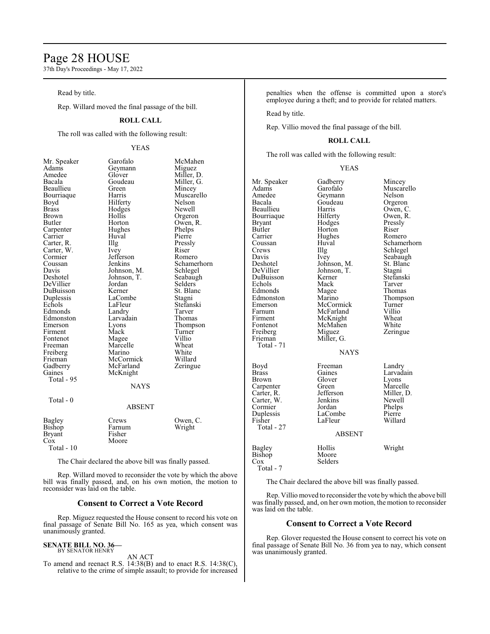## Page 28 HOUSE

37th Day's Proceedings - May 17, 2022

Read by title.

Rep. Willard moved the final passage of the bill.

## **ROLL CALL**

The roll was called with the following result:

## YEAS

| Mr. Speaker   | Garofalo      | McMahen     |
|---------------|---------------|-------------|
| Adams         | Geymann       | Miguez      |
| Amedee        | Glover        | Miller, D.  |
| Bacala        | Goudeau       | Miller, G.  |
| Beaullieu     | Green         | Mincey      |
| Bourriaque    | Harris        | Muscarello  |
| Boyd          | Hilferty      | Nelson      |
| <b>Brass</b>  | Hodges        | Newell      |
| Brown         | Hollis        | Orgeron     |
| Butler        | Horton        | Owen, R.    |
| Carpenter     | Hughes        | Phelps      |
| Carrier       | Huval         | Pierre      |
| Carter, R.    | Illg          | Pressly     |
| Carter, W.    | <i>lvey</i>   | Riser       |
| Cormier       | Jefferson     | Romero      |
| Coussan       | Jenkins       | Schamerhorn |
| Davis         | Johnson, M.   | Schlegel    |
| Deshotel      | Johnson, T.   | Seabaugh    |
| DeVillier     | Jordan        | Selders     |
| DuBuisson     | Kerner        | St. Blanc   |
| Duplessis     | LaCombe       | Stagni      |
| Echols        | LaFleur       | Stefanski   |
| Edmonds       | Landry        | Tarver      |
| Edmonston     | Larvadain     | Thomas      |
| Emerson       | Lyons         | Thompson    |
| Firment       | Mack          | Turner      |
| Fontenot      | Magee         | Villio      |
| Freeman       | Marcelle      | Wheat       |
| Freiberg      | Marino        | White       |
| Frieman       | McCormick     | Willard     |
| Gadberry      | McFarland     | Zeringue    |
| Gaines        | McKnight      |             |
| Total - 95    |               |             |
|               | <b>NAYS</b>   |             |
| Total - 0     |               |             |
|               | <b>ABSENT</b> |             |
| <b>Bagley</b> | Crews         | Owen, C.    |
| Bishop        | Farnum        | Wright      |
| <b>Bryant</b> | Fisher        |             |
| Cox           | Moore         |             |
| Total - 10    |               |             |

The Chair declared the above bill was finally passed.

Rep. Willard moved to reconsider the vote by which the above bill was finally passed, and, on his own motion, the motion to reconsider was laid on the table.

## **Consent to Correct a Vote Record**

Rep. Miguez requested the House consent to record his vote on final passage of Senate Bill No. 165 as yea, which consent was unanimously granted.

#### **SENATE BILL NO. 36—** BY SENATOR HENRY

AN ACT

To amend and reenact R.S. 14:38(B) and to enact R.S. 14:38(C), relative to the crime of simple assault; to provide for increased penalties when the offense is committed upon a store's employee during a theft; and to provide for related matters.

Read by title.

Rep. Villio moved the final passage of the bill.

### **ROLL CALL**

The roll was called with the following result:

### YEAS

| Mr. Speaker<br>Adams<br>Amedee<br>Bacala<br>Beaullieu<br>Bourriaque<br><b>Bryant</b><br>Butler<br>Carrier<br>Coussan<br>Crews<br>Davis<br>Deshotel<br>DeVillier<br>DuBuisson<br>Echols<br>Edmonds<br>Edmonston<br>Emerson<br>Farnum<br>Firment<br>Fontenot<br>Freiberg<br>Frieman<br>Total - 71 | Gadberry<br>Garofalo<br>Geymann<br>Goudeau<br>Harris<br>Hilferty<br>Hodges<br>Horton<br>Hughes<br>Huval<br>Illg<br>Ivey<br>Johnson, M.<br>Johnson, T.<br>Kerner<br>Mack<br>Magee<br>Marino<br>McCormick<br>McFarland<br>McKnight<br>McMahen<br>Miguez<br>Miller, G.<br><b>NAYS</b> | Mincey<br>Muscarello<br>Nelson<br>Orgeron<br>Owen, C.<br>Owen, R.<br>Pressly<br>Riser<br>Romero<br>Schamerhorn<br>Schlegel<br>Seabaugh<br>St. Blanc<br>Stagni<br>Stefanski<br>Tarver<br>Thomas<br>Thompson<br>Turner<br>Villio<br>Wheat<br>White<br>Zeringue |
|-------------------------------------------------------------------------------------------------------------------------------------------------------------------------------------------------------------------------------------------------------------------------------------------------|------------------------------------------------------------------------------------------------------------------------------------------------------------------------------------------------------------------------------------------------------------------------------------|--------------------------------------------------------------------------------------------------------------------------------------------------------------------------------------------------------------------------------------------------------------|
| Boyd<br>Brass<br>Brown<br>Carpenter<br>Carter, R.<br>Carter, W.<br>Cormier<br>Duplessis<br>Fisher<br>Total - 27                                                                                                                                                                                 | Freeman<br>Gaines<br>Glover<br>Green<br>Jefferson<br>Jenkins<br>Jordan<br>LaCombe<br>LaFleur<br><b>ABSENT</b>                                                                                                                                                                      | Landry<br>Larvadain<br>Lyons<br>Marcelle<br>Miller, D.<br>Newell<br>Phelps<br>Pierre<br>Willard                                                                                                                                                              |
| Bagley<br>Bishop<br>$\cos$<br>Total - 7                                                                                                                                                                                                                                                         | Hollis<br>Moore<br>Selders                                                                                                                                                                                                                                                         | Wright                                                                                                                                                                                                                                                       |

The Chair declared the above bill was finally passed.

Rep. Villio moved to reconsider the vote bywhich the above bill was finally passed, and, on her own motion, the motion to reconsider was laid on the table.

## **Consent to Correct a Vote Record**

Rep. Glover requested the House consent to correct his vote on final passage of Senate Bill No. 36 from yea to nay, which consent was unanimously granted.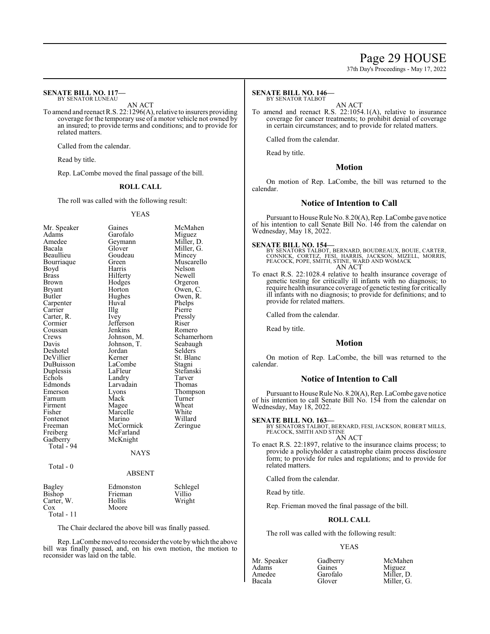## Page 29 HOUSE

37th Day's Proceedings - May 17, 2022

#### **SENATE BILL NO. 117—** BY SENATOR LUNEAU

AN ACT

To amend and reenact R.S. 22:1296(A), relative to insurers providing coverage for the temporary use of a motor vehicle not owned by an insured; to provide terms and conditions; and to provide for related matters.

Called from the calendar.

Read by title.

Rep. LaCombe moved the final passage of the bill.

### **ROLL CALL**

The roll was called with the following result:

### YEAS

| Mr. Speaker<br>Adams<br>Amedee<br>Bacala<br>Beaullieu<br>Bourriaque<br>Boyd<br><b>Brass</b><br><b>Brown</b><br>Bryant<br>Butler<br>Carpenter<br>Carrier<br>Carter, R.<br>Cormier<br>Coussan<br>Crews<br>Davis<br>Deshotel<br>DeVillier<br>DuBuisson<br>Duplessis<br>Echols<br>Edmonds<br>Emerson<br>Farnum<br>Firment<br>Fisher<br>Fontenot<br>Freeman<br>Freiberg<br>Gadberry<br>Total - 94 | Gaines<br>Garofalo<br>Geymann<br>Glover<br>Goudeau<br>Green<br>Harris<br>Hilferty<br>Hodges<br>Horton<br>Hughes<br>Huval<br>Illg<br>Ivey<br>Jefferson<br>Jenkins<br>Johnson, M.<br>Johnson, T.<br>Jordan<br>Kerner<br>LaCombe<br>LaFleur<br>Landry<br>Larvadain<br>Lyons<br>Mack<br>Magee<br>Marcelle<br>Marino<br>McCormick<br>McFarland<br>McKnight | McMahen<br>Miguez<br>Miller, D.<br>Miller, G.<br>Mincey<br>Muscarello<br>Nelson<br>Newell<br>Orgeron<br>Owen, C.<br>Owen, R.<br>Phelps<br>Pierre<br>Pressly<br>Riser<br>Romero<br>Schamerhorn<br>Seabaugh<br>Selders<br>St. Blanc<br>Stagni<br>Stefanski<br>Tarver<br>Thomas<br>Thompson<br>Turner<br>Wheat<br>White<br>Willard<br>Zeringue |
|----------------------------------------------------------------------------------------------------------------------------------------------------------------------------------------------------------------------------------------------------------------------------------------------------------------------------------------------------------------------------------------------|-------------------------------------------------------------------------------------------------------------------------------------------------------------------------------------------------------------------------------------------------------------------------------------------------------------------------------------------------------|---------------------------------------------------------------------------------------------------------------------------------------------------------------------------------------------------------------------------------------------------------------------------------------------------------------------------------------------|
|                                                                                                                                                                                                                                                                                                                                                                                              | <b>NAYS</b>                                                                                                                                                                                                                                                                                                                                           |                                                                                                                                                                                                                                                                                                                                             |
| Total - $0$                                                                                                                                                                                                                                                                                                                                                                                  | <b>ABSENT</b>                                                                                                                                                                                                                                                                                                                                         |                                                                                                                                                                                                                                                                                                                                             |
| Bagley<br>Bishop<br>Carter, W.<br>Cox<br>Total - 11                                                                                                                                                                                                                                                                                                                                          | Edmonston<br>Frieman<br>Hollis<br>Moore                                                                                                                                                                                                                                                                                                               | Schlegel<br>Villio<br>Wright                                                                                                                                                                                                                                                                                                                |

The Chair declared the above bill was finally passed.

Rep. LaCombemoved to reconsider the vote bywhich the above bill was finally passed, and, on his own motion, the motion to reconsider was laid on the table.

#### **SENATE BILL NO. 146—** BY SENATOR TALBOT

AN ACT

To amend and reenact R.S. 22:1054.1(A), relative to insurance coverage for cancer treatments; to prohibit denial of coverage in certain circumstances; and to provide for related matters.

Called from the calendar.

Read by title.

### **Motion**

On motion of Rep. LaCombe, the bill was returned to the calendar.

### **Notice of Intention to Call**

Pursuant to House Rule No. 8.20(A), Rep. LaCombe gave notice of his intention to call Senate Bill No. 146 from the calendar on Wednesday, May 18, 2022.

#### **SENATE BILL NO. 154—**

BY SENATORS TALBOT, BERNARD, BOUDREAUX, BOUIE, CARTER,<br>CONNICK, CORTEZ, FESI, HARRIS, JACKSON, MIZELL, MORRIS,<br>PEACOCK, POPE, SMITH, STINE, WARD AND WOMACK AN ACT

To enact R.S. 22:1028.4 relative to health insurance coverage of genetic testing for critically ill infants with no diagnosis; to require health insurance coverage of genetic testing for critically ill infants with no diagnosis; to provide for definitions; and to provide for related matters.

Called from the calendar.

Read by title.

## **Motion**

On motion of Rep. LaCombe, the bill was returned to the calendar.

## **Notice of Intention to Call**

Pursuant to House Rule No. 8.20(A), Rep. LaCombe gave notice of his intention to call Senate Bill No. 154 from the calendar on Wednesday, May 18, 2022.

### **SENATE BILL NO. 163—**

BY SENATORS TALBOT, BERNARD, FESI, JACKSON, ROBERT MILLS, PEACOCK, SMITH AND STINE

AN ACT

To enact R.S. 22:1897, relative to the insurance claims process; to provide a policyholder a catastrophe claim process disclosure form; to provide for rules and regulations; and to provide for related matters.

Called from the calendar.

Read by title.

Rep. Frieman moved the final passage of the bill.

## **ROLL CALL**

The roll was called with the following result:

### YEAS

| Mr. Speak |
|-----------|
| Adams     |
| Amedee    |
| Bacala    |

ker Gadberry McMahen<br>Gaines Miguez Gaines Miguez<br>Garofalo Miller, I Garofalo Miller, D.<br>Glover Miller, G. Miller, G.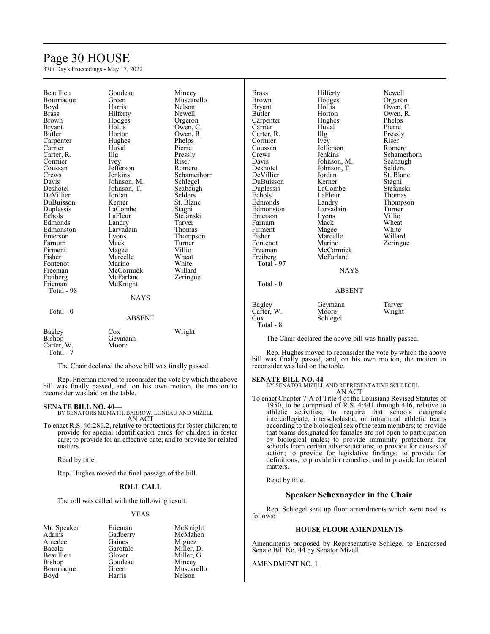# Page 30 HOUSE

37th Day's Proceedings - May 17, 2022

| Beaullieu     | Goudeau       | Mincey         | <b>Brass</b>  |
|---------------|---------------|----------------|---------------|
| Bourriaque    | Green         | Muscarello     | <b>Brown</b>  |
| Boyd          | Harris        | Nelson         | <b>Bryant</b> |
| <b>Brass</b>  | Hilferty      | Newell         | Butler        |
| <b>Brown</b>  | Hodges        | Orgeron        | Carpenter     |
| <b>Bryant</b> | Hollis        | Owen, C.       | Carrier       |
| Butler        | Horton        | Owen, R.       | Carter, R.    |
| Carpenter     | Hughes        | Phelps         | Cormier       |
| Carrier       | Huval         | Pierre         | Coussan       |
| Carter, R.    | Illg          | Pressly        | Crews         |
| Cormier       | Ivey          | Riser          | Davis         |
| Coussan       | Jefferson     | Romero         | Deshotel      |
| Crews         | Jenkins       | Schamerhorn    | DeVillier     |
| Davis         | Johnson, M.   | Schlegel       | DuBuisson     |
| Deshotel      | Johnson, T.   | Seabaugh       | Duplessis     |
| DeVillier     | Jordan        | <b>Selders</b> | Echols        |
| DuBuisson     | Kerner        | St. Blanc      | Edmonds       |
| Duplessis     | LaCombe       | Stagni         | Edmonston     |
| Echols        | LaFleur       | Stefanski      | Emerson       |
| Edmonds       | Landry        | Tarver         | Farnum        |
| Edmonston     | Larvadain     | Thomas         | Firment       |
| Emerson       | Lyons         | Thompson       | Fisher        |
| Farnum        | Mack          | Turner         | Fontenot      |
| Firment       | Magee         | Villio         | Freeman       |
| Fisher        | Marcelle      | Wheat          | Freiberg      |
| Fontenot      | Marino        | White          | Total - 97    |
| Freeman       | McCormick     | Willard        |               |
| Freiberg      | McFarland     | Zeringue       |               |
| Frieman       | McKnight      |                | Total - 0     |
| Total - 98    |               |                |               |
|               | <b>NAYS</b>   |                |               |
|               |               |                | Bagley        |
| Total - $0$   |               |                | Carter, W.    |
|               | <b>ABSENT</b> |                | Cox           |
|               |               |                | Total - 8     |
| Bagley        | Cox           | Wright         |               |
| Bishop        | Geymann       |                | The Chair dec |
| Carter, W.    | Moore         |                |               |
| Total - 7     |               |                | Rep. Hughes 1 |

The Chair declared the above bill was finally passed.

Rep. Frieman moved to reconsider the vote by which the above bill was finally passed, and, on his own motion, the motion to reconsider was laid on the table.

### **SENATE BILL NO. 40—**

BY SENATORS MCMATH, BARROW, LUNEAU AND MIZELL AN ACT

To enact R.S. 46:286.2, relative to protections for foster children; to provide for special identification cards for children in foster care; to provide for an effective date; and to provide for related matters.

Read by title.

Rep. Hughes moved the final passage of the bill.

### **ROLL CALL**

The roll was called with the following result:

### YEAS

| Mr. Speaker | Frieman  | McKni   |
|-------------|----------|---------|
| Adams       | Gadberry | McMal   |
| Amedee      | Gaines   | Miguez  |
| Bacala      | Garofalo | Miller, |
| Beaullieu   | Glover   | Miller, |
| Bishop      | Goudeau  | Mincey  |
| Bourriaque  | Green    | Muscar  |
| Boyd        | Harris   | Nelson  |

McKnight McMahen Miguez Miller, D. Miller, G. Mincey Muscarello

| Brass<br>Brown<br>Bryant                                                                                                                                                                                                                   | Hilferty<br>Hodges<br>Hollis<br>Horton<br>Hughes<br>Huval                                                                                                                                        | Newell<br>Orgero<br>Owen,<br>Owen,<br>Phelps                                                                                                                |
|--------------------------------------------------------------------------------------------------------------------------------------------------------------------------------------------------------------------------------------------|--------------------------------------------------------------------------------------------------------------------------------------------------------------------------------------------------|-------------------------------------------------------------------------------------------------------------------------------------------------------------|
| Butler<br>Carpenter<br>Carrier<br>Carter, R.<br>Cormier<br>Coussan<br>Crews<br>Davis<br>Deshotel<br>DeVillier<br>DuBuisson<br>Duplessis<br>Echols<br>Edmonds<br>Edmonston<br>Emerson<br>Farnum<br>Firment<br>Fisher<br>Fontenot<br>Freeman | Illg<br>Ivey<br>Jefferson<br>Jenkins<br>Johnson, M.<br>Johnson, T.<br>Jordan<br>Kerner<br>LaCombe<br>LaFleur<br>Landry<br>Larvadain<br>Lyons<br>Mack<br>Magee<br>Marcelle<br>Marino<br>McCormick | Pierre<br>Pressly<br>Riser<br>Romero<br>Scham<br>Seabau<br>Selders<br>St. Blai<br>Stagni<br>Stefans<br>Thoma<br>Thomp<br>Turner<br>Villio<br>Wheat<br>White |
| Freiberg                                                                                                                                                                                                                                   | McFarland                                                                                                                                                                                        | Willard<br>Zeringu                                                                                                                                          |
| Total - 97<br>Total - 0                                                                                                                                                                                                                    | <b>NAYS</b><br><b>ABSENT</b>                                                                                                                                                                     |                                                                                                                                                             |
|                                                                                                                                                                                                                                            |                                                                                                                                                                                                  |                                                                                                                                                             |

## Ferty Newell<br>1ges Orgeroi dges Orgeron<br>lis Owen, C lis Owen, C.<br>ton Owen, R. ton Owen, R.<br>ghes Phelps phes Phelps<br>
val Pierre Pierre y Riser<br>
erson Rome erson Romero<br>kins Schame kins Schamerhorn<br>
nson, M. Seabaugh nson, M. Seabaugh<br>nson, T. Selders Deshotel Johnson, T. Selders dan St. Blanc<br>
The Stagni ner Stagni<br>Combe Stefans Stefanski Fleur Thomas<br>
dry Thomps dry Thompson<br>vadain Turner Turner emers<br>External Units<br>Supervisory<br>Supervisory<br>Supervisory<br>Supervisory<br>Supervisory<br>Supervisory<br>Supervisory<br>Supervisory<br>Supervisory<br>Supervisory<br>Supervisory<br>Supervisory<br>Supervisory<br>Supervisory<br>Supervisory<br>Supervisory<br>Superviso ek Wheat<br>gee White gee White<br>rcelle Willar rcelle Willard<br>rino Zeringu Zeringue

ABSENT Geymann Tarver<br>Moore Wright Moore Schlegel

clared the above bill was finally passed.

moved to reconsider the vote by which the above bill was finally passed, and, on his own motion, the motion to reconsider was laid on the table.

**SENATE BILL NO. 44—** BY SENATOR MIZELL AND REPRESENTATIVE SCHLEGEL AN ACT

To enact Chapter 7-A of Title 4 of the Louisiana Revised Statutes of 1950, to be comprised of R.S. 4:441 through 446, relative to athletic activities; to require that schools designate intercollegiate, interscholastic, or intramural athletic teams according to the biological sex of the team members; to provide that teams designated for females are not open to participation by biological males; to provide immunity protections for schools from certain adverse actions; to provide for causes of action; to provide for legislative findings; to provide for definitions; to provide for remedies; and to provide for related matters.

Read by title.

## **Speaker Schexnayder in the Chair**

Rep. Schlegel sent up floor amendments which were read as follows:

## **HOUSE FLOOR AMENDMENTS**

Amendments proposed by Representative Schlegel to Engrossed Senate Bill No. 44 by Senator Mizell

### AMENDMENT NO. 1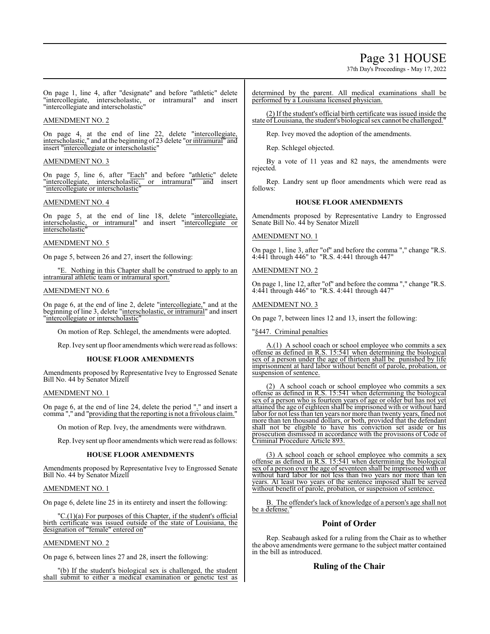## Page 31 HOUSE

37th Day's Proceedings - May 17, 2022

On page 1, line 4, after "designate" and before "athletic" delete "intercollegiate, interscholastic, or intramural" and insert "intercollegiate and interscholastic"

## AMENDMENT NO. 2

On page 4, at the end of line 22, delete "intercollegiate, interscholastic," and at the beginning of 23 delete "or intramural" and insert "intercollegiate or interscholastic"

## AMENDMENT NO. 3

On page 5, line 6, after "Each" and before "athletic" delete "intercollegiate, interscholastic, or intramural" and insert "intercollegiate or interscholastic"

## AMENDMENT NO. 4

On page 5, at the end of line 18, delete "intercollegiate, interscholastic, or intramural" and insert "intercollegiate or *interscholastic* 

## AMENDMENT NO. 5

On page 5, between 26 and 27, insert the following:

Nothing in this Chapter shall be construed to apply to an intramural athletic team or intramural sport.

## AMENDMENT NO. 6

On page 6, at the end of line 2, delete "intercollegiate," and at the beginning of line 3, delete "interscholastic, or intramural" and insert "intercollegiate or interscholastic"

On motion of Rep. Schlegel, the amendments were adopted.

Rep. Ivey sent up floor amendments which were read as follows:

## **HOUSE FLOOR AMENDMENTS**

Amendments proposed by Representative Ivey to Engrossed Senate Bill No. 44 by Senator Mizell

## AMENDMENT NO. 1

On page 6, at the end of line 24, delete the period "." and insert a comma "," and "providing that the reporting is not a frivolous claim.

On motion of Rep. Ivey, the amendments were withdrawn.

Rep. Ivey sent up floor amendments which were read as follows:

## **HOUSE FLOOR AMENDMENTS**

Amendments proposed by Representative Ivey to Engrossed Senate Bill No. 44 by Senator Mizell

## AMENDMENT NO. 1

On page 6, delete line 25 in its entirety and insert the following:

 $C.(1)(a)$  For purposes of this Chapter, if the student's official birth certificate was issued outside of the state of Louisiana, the designation of "female" entered on'

## AMENDMENT NO. 2

On page 6, between lines 27 and 28, insert the following:

(b) If the student's biological sex is challenged, the student shall submit to either a medical examination or genetic test as determined by the parent. All medical examinations shall be performed by a Louisiana licensed physician.

(2) If the student's official birth certificate was issued inside the state of Louisiana, the student's biological sex cannot be challenged."

Rep. Ivey moved the adoption of the amendments.

Rep. Schlegel objected.

By a vote of 11 yeas and 82 nays, the amendments were rejected.

Rep. Landry sent up floor amendments which were read as follows:

## **HOUSE FLOOR AMENDMENTS**

Amendments proposed by Representative Landry to Engrossed Senate Bill No. 44 by Senator Mizell

## AMENDMENT NO. 1

On page 1, line 3, after "of" and before the comma "," change "R.S. 4:441 through 446" to "R.S. 4:441 through 447"

AMENDMENT NO. 2

On page 1, line 12, after "of" and before the comma "," change "R.S. 4:441 through 446" to "R.S. 4:441 through 447"

## AMENDMENT NO. 3

On page 7, between lines 12 and 13, insert the following:

"§447. Criminal penalties

A.(1) A school coach or school employee who commits a sex offense as defined in R.S. 15:541 when determining the biological sex of a person under the age of thirteen shall be punished by life imprisonment at hard labor without benefit of parole, probation, or suspension of sentence.

(2) A school coach or school employee who commits a sex offense as defined in R.S. 15:541 when determining the biological sex of a person who is fourteen years of age or older but has not yet attained the age of eighteen shall be imprisoned with or without hard labor for not less than ten years nor more than twenty years, fined not more than ten thousand dollars, or both, provided that the defendant shall not be eligible to have his conviction set aside or his prosecution dismissed in accordance with the provisions of Code of Criminal Procedure Article 893.

(3) A school coach or school employee who commits a sex offense as defined in R.S. 15:541 when determining the biological sex of a person over the age of seventeen shall be imprisoned with or without hard labor for not less than two years nor more than ten years. At least two years of the sentence imposed shall be served without benefit of parole, probation, or suspension of sentence.

B. The offender's lack of knowledge of a person's age shall not be a defense.

## **Point of Order**

Rep. Seabaugh asked for a ruling from the Chair as to whether the above amendments were germane to the subject matter contained in the bill as introduced.

## **Ruling of the Chair**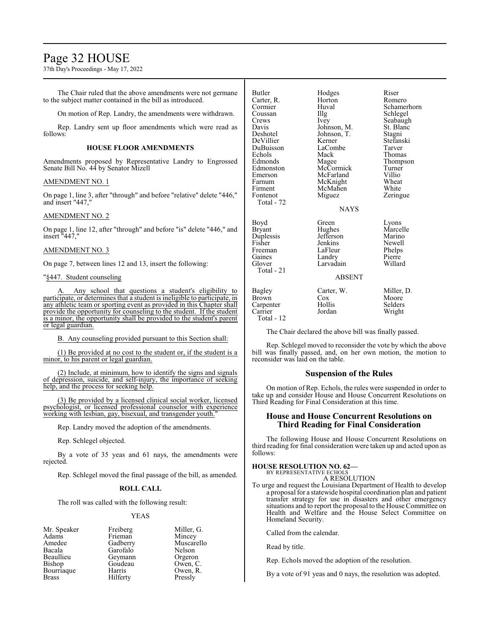## Page 32 HOUSE

37th Day's Proceedings - May 17, 2022

The Chair ruled that the above amendments were not germane to the subject matter contained in the bill as introduced.

On motion of Rep. Landry, the amendments were withdrawn.

Rep. Landry sent up floor amendments which were read as follows:

### **HOUSE FLOOR AMENDMENTS**

Amendments proposed by Representative Landry to Engrossed Senate Bill No. 44 by Senator Mizell

## AMENDMENT NO. 1

On page 1, line 3, after "through" and before "relative" delete "446," and insert "447,"

## AMENDMENT NO. 2

On page 1, line 12, after "through" and before "is" delete "446," and insert "447,"

## AMENDMENT NO. 3

On page 7, between lines 12 and 13, insert the following:

## "§447. Student counseling

Any school that questions a student's eligibility to participate, or determines that a student is ineligible to participate, in any athletic team or sporting event as provided in this Chapter shall provide the opportunity for counseling to the student. If the student is a minor, the opportunity shall be provided to the student's parent or legal guardian.

B. Any counseling provided pursuant to this Section shall:

(1) Be provided at no cost to the student or, if the student is a minor, to his parent or legal guardian.

(2) Include, at minimum, how to identify the signs and signals of depression, suicide, and self-injury, the importance of seeking help, and the process for seeking help.

(3) Be provided by a licensed clinical social worker, licensed psychologist, or licensed professional counselor with experience working with lesbian, gay, bisexual, and transgender youth."

Rep. Landry moved the adoption of the amendments.

Rep. Schlegel objected.

By a vote of 35 yeas and 61 nays, the amendments were rejected.

Rep. Schlegel moved the final passage of the bill, as amended.

## **ROLL CALL**

The roll was called with the following result:

### YEAS

- Mr. Speaker Freiberg Miller, G.<br>Adams Frieman Mincey Adams Frieman<br>Amedee Gadberry Amedee Gadberry Muscarello<br>Bacala Garofalo Nelson Bacala Garofalo Nelson Beaullieu Geymann Orgeron<br>Bishop Goudeau Owen, C Bourriaque Harris Owen, I<br>Brass Hilferty Pressly Brass Hilferty
	- Goudeau Owen, C.<br>Harris Owen, R.

| <b>Butler</b><br>Carter, R.<br>Cormier<br>Coussan<br>Crews<br>Davis<br>Deshotel<br>DeVillier<br>DuBuisson<br>Echols<br>Edmonds<br>Edmonston<br>Emerson<br>Farnum<br>Firment<br>Fontenot<br>Total - 72 | Hodges<br>Horton<br>Huval<br>Illg<br>Ivey<br>Johnson, M.<br>Johnson, T.<br>Kerner<br>LaCombe<br>Mack<br>Magee<br>McCormick<br>McFarland<br>McKnight<br>McMahen<br>Miguez<br><b>NAYS</b> | Riser<br>Romero<br>Schamerhorn<br>Schlegel<br>Seabaugh<br>St. Blanc<br>Stagni<br>Stefanski<br>Tarver<br>Thomas<br>Thompson<br>Turner<br>Villio<br>Wheat<br>White<br>Zeringue |
|-------------------------------------------------------------------------------------------------------------------------------------------------------------------------------------------------------|-----------------------------------------------------------------------------------------------------------------------------------------------------------------------------------------|------------------------------------------------------------------------------------------------------------------------------------------------------------------------------|
| Boyd<br><b>Bryant</b><br>Duplessis<br>Fisher<br>Freeman<br>Gaines<br>Glover<br>Total - 21                                                                                                             | Green<br>Hughes<br>Jefferson<br>Jenkins<br>LaFleur<br>Landry<br>Larvadain<br><b>ABSENT</b>                                                                                              | Lyons<br>Marcelle<br>Marino<br>Newell<br>Phelps<br>Pierre<br>Willard                                                                                                         |
| Bagley<br><b>Brown</b><br>Carpenter<br>Carrier<br>Total - 12                                                                                                                                          | Carter, W.<br>Cox<br>Hollis<br>Jordan                                                                                                                                                   | Miller, D.<br>Moore<br>Selders<br>Wright                                                                                                                                     |

The Chair declared the above bill was finally passed.

Rep. Schlegel moved to reconsider the vote by which the above bill was finally passed, and, on her own motion, the motion to reconsider was laid on the table.

## **Suspension of the Rules**

On motion of Rep. Echols, the rules were suspended in order to take up and consider House and House Concurrent Resolutions on Third Reading for Final Consideration at this time.

## **House and House Concurrent Resolutions on Third Reading for Final Consideration**

The following House and House Concurrent Resolutions on third reading for final consideration were taken up and acted upon as follows:

## **HOUSE RESOLUTION NO. 62—**

BY REPRESENTATIVE ECHOLS A RESOLUTION

To urge and request the Louisiana Department of Health to develop a proposal for a statewide hospital coordination plan and patient transfer strategy for use in disasters and other emergency situations and to report the proposal to the House Committee on Health and Welfare and the House Select Committee on Homeland Security.

Called from the calendar.

Read by title.

Rep. Echols moved the adoption of the resolution.

By a vote of 91 yeas and 0 nays, the resolution was adopted.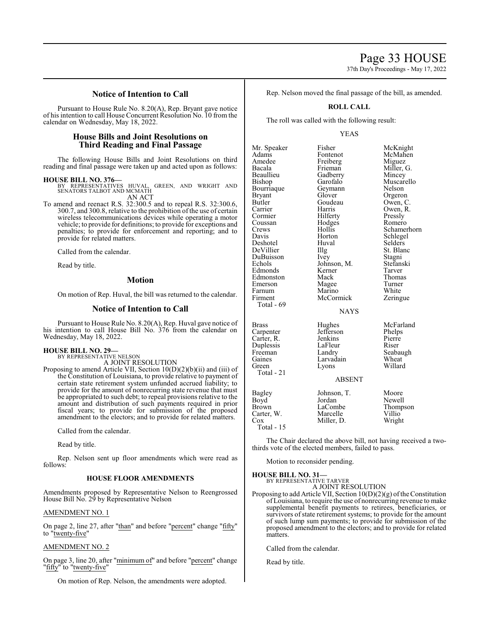37th Day's Proceedings - May 17, 2022

McKnight McMahen Miguez Miller, G. Mincey Muscarello Nelson Orgeron Owen, C. Owen, R. Pressly Romero Schamerhorn Schlegel Selders St. Blanc Stagni

## **Notice of Intention to Call**

Pursuant to House Rule No. 8.20(A), Rep. Bryant gave notice of his intention to call House Concurrent Resolution No. 10 from the calendar on Wednesday, May 18, 2022.

## **House Bills and Joint Resolutions on Third Reading and Final Passage**

The following House Bills and Joint Resolutions on third reading and final passage were taken up and acted upon as follows:

**HOUSE BILL NO. 376—** BY REPRESENTATIVES HUVAL, GREEN, AND WRIGHT AND SENATORS TALBOT AND MCMATH AN ACT

To amend and reenact R.S. 32:300.5 and to repeal R.S. 32:300.6, 300.7, and 300.8, relative to the prohibition of the use of certain wireless telecommunications devices while operating a motor vehicle; to provide for definitions; to provide for exceptions and penalties; to provide for enforcement and reporting; and to provide for related matters.

Called from the calendar.

Read by title.

## **Motion**

On motion of Rep. Huval, the bill was returned to the calendar.

## **Notice of Intention to Call**

Pursuant to House Rule No. 8.20(A), Rep. Huval gave notice of his intention to call House Bill No. 376 from the calendar on Wednesday, May 18, 2022.

#### **HOUSE BILL NO. 29—** BY REPRESENTATIVE NELSON

A JOINT RESOLUTION

Proposing to amend Article VII, Section 10(D)(2)(b)(ii) and (iii) of the Constitution of Louisiana, to provide relative to payment of certain state retirement system unfunded accrued liability; to provide for the amount of nonrecurring state revenue that must be appropriated to such debt; to repeal provisions relative to the amount and distribution of such payments required in prior fiscal years; to provide for submission of the proposed amendment to the electors; and to provide for related matters.

Called from the calendar.

Read by title.

Rep. Nelson sent up floor amendments which were read as follows:

### **HOUSE FLOOR AMENDMENTS**

Amendments proposed by Representative Nelson to Reengrossed House Bill No. 29 by Representative Nelson

### AMENDMENT NO. 1

On page 2, line 27, after "than" and before "percent" change "fifty" to "twenty-five"

## AMENDMENT NO. 2

On page 3, line 20, after "minimum of" and before "percent" change "fifty" to "twenty-five"

On motion of Rep. Nelson, the amendments were adopted.

Rep. Nelson moved the final passage of the bill, as amended.

## **ROLL CALL**

The roll was called with the following result:

### YEAS

| Mr. Speaker<br>Adams<br>Amedee<br>Bacala<br>Beaullieu<br>Bishop<br>Bourriaque<br><b>Bryant</b><br>Butler<br>Carrier<br>Cormier<br>Coussan<br>Crews<br>Davis<br>Deshotel<br>DeVillier<br>DuBuisson<br>Echols<br>Edmonds<br>Edmonston<br>Emerson<br>Farnum<br>Firment<br>Total $-69$ | Fisher<br>Fontenot<br>Freiberg<br>Frieman<br>Gadberry<br>Garofalo<br>Geymann<br>Glover<br>Goudeau<br>Harris<br>Hilferty<br>Hodges<br>Hollis<br>Horton<br>Huval<br>Illg<br>Ivey<br>Johnson, M.<br>Kerner<br>Mack<br>Magee<br>Marino<br>McCormick<br><b>NAYS</b> | McKni<br>McMal<br>Miguez<br>Miller,<br>Mincey<br>Muscar<br>Nelson<br>Orgero<br>Owen,<br>Owen,<br>Pressly<br>Romer<br>Scham<br>Schleg<br>Selders<br>St. Blai<br>Stagni<br>Stefans<br>Tarver<br>Thoma<br>Turner<br>White<br>Zering |
|------------------------------------------------------------------------------------------------------------------------------------------------------------------------------------------------------------------------------------------------------------------------------------|----------------------------------------------------------------------------------------------------------------------------------------------------------------------------------------------------------------------------------------------------------------|----------------------------------------------------------------------------------------------------------------------------------------------------------------------------------------------------------------------------------|
| Brass<br>Carpenter<br>Carter, R.<br>Duplessis<br>Freeman<br>Gaines<br>Green<br>Total - 21                                                                                                                                                                                          | Hughes<br>Jefferson<br>Jenkins<br>LaFleur<br>Landry<br>Larvadain<br>Lyons<br><b>ABSENT</b>                                                                                                                                                                     | McFarl<br>Phelps<br>Pierre<br>Riser<br>Seabau<br>Wheat<br>Willard                                                                                                                                                                |
| Bagley<br>Boyd<br>Brown                                                                                                                                                                                                                                                            | Johnson, T.<br>Jordan<br>LaCombe                                                                                                                                                                                                                               | Moore<br>Newell<br>Thomp                                                                                                                                                                                                         |

Moore<br>Newell

Total - 15

The Chair declared the above bill, not having received a twothirds vote of the elected members, failed to pass.

Motion to reconsider pending.

**HOUSE BILL NO. 31—** BY REPRESENTATIVE TARVER

A JOINT RESOLUTION

Proposing to add Article VII, Section  $10(D)(2)(g)$  of the Constitution of Louisiana, to require the use of nonrecurring revenue to make supplemental benefit payments to retirees, beneficiaries, or survivors of state retirement systems; to provide for the amount of such lump sum payments; to provide for submission of the proposed amendment to the electors; and to provide for related matters.

Called from the calendar.

Read by title.

Stefanski<br>Tarver Thomas<br>Turner Zeringue

> McFarland Phelps<br>Pierre Seabaugh Wheat Willard

LaCombe Thompson<br>Marcelle Villio Carter, W. Marcelle Villio Villio

Miller, D.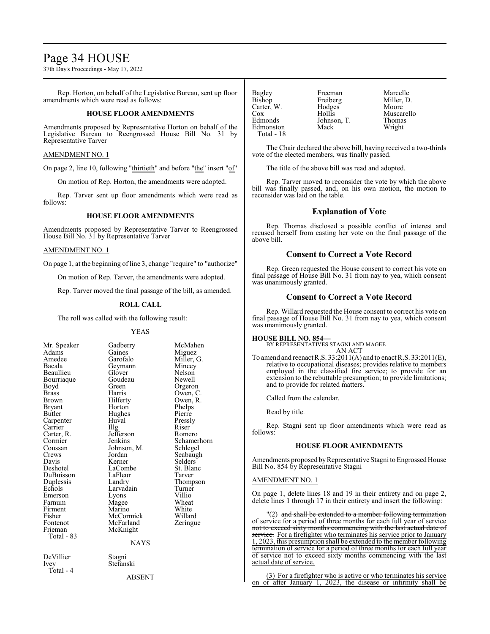## Page 34 HOUSE

37th Day's Proceedings - May 17, 2022

Rep. Horton, on behalf of the Legislative Bureau, sent up floor amendments which were read as follows:

### **HOUSE FLOOR AMENDMENTS**

Amendments proposed by Representative Horton on behalf of the Legislative Bureau to Reengrossed House Bill No. 31 by Representative Tarver

### AMENDMENT NO. 1

On page 2, line 10, following "thirtieth" and before "the" insert "of"

On motion of Rep. Horton, the amendments were adopted.

Rep. Tarver sent up floor amendments which were read as follows:

## **HOUSE FLOOR AMENDMENTS**

Amendments proposed by Representative Tarver to Reengrossed House Bill No. 31 by Representative Tarver

## AMENDMENT NO. 1

On page 1, at the beginning of line 3, change "require" to "authorize"

On motion of Rep. Tarver, the amendments were adopted.

Rep. Tarver moved the final passage of the bill, as amended.

### **ROLL CALL**

The roll was called with the following result:

Adams Gaines<br>Amedee Garofalo Bourriaque Goude<br>Boyd Green Carter, R. Jefferson Coussan Johnson, M.<br>Crews Jordan DuBuisson LaFleur<br>
Duplessis Landry Fontenot McFarland<br>Frieman McKnight Total - 83 DeVillier Stagni<br>Ivey Stefans

Total - 4

YEAS Mr. Speaker Gadberry McMahen<br>Adams Gaines Miguez Amedee Garofalo Miller, G.<br>Bacala Geymann Mincey Geymann Mincey<br>Glover Nelson Beaullieu Glover Nelson<br>Bourriaque Goudeau Newell Boyd Green Orgeron<br>Brass Harris Owen C Brass Harris Owen, C. Brown Hilferty Owen, R.<br>Bryant Horton Phelps Bryant Horton Phelps Hughes Pierre<br>Huval Pressly Carpenter Huval Pressl<br>Carrier Hulg Riser Carrier Illg Riser<br>Carter, R. Jefferson Romero Cormier Jenkins Schamerhorn<br>Coussan Johnson, M. Schlegel Crews Jordan Seabaugh<br>
Davis Kerner Selders Davis Kerner Selders<br>
Deshotel LaCombe St. Blanc Deshotel LaCombe St. Blanc Duplessis Landry Thompson<br>Echols Larvadain Turner Echols Larvadain Turner<br>
Emerson Lyons Villio Lyons Villio<br>Magee Wheat Farnum Magee Wheat<br>Firment Marino White Firment Marino White<br>
Fisher McCormick Willard Fisher McCormick Willard<br>Fontenot McFarland Zeringue McKnight

**NAYS** 

Stefanski ABSENT

| <b>Bagley</b> | Freeman     | Marcelle      |
|---------------|-------------|---------------|
| <b>Bishop</b> | Freiberg    | Miller, D.    |
| Carter, W.    | Hodges      | Moore         |
| Cox           | Hollis      | Muscarello    |
| Edmonds       | Johnson, T. | <b>Thomas</b> |
| Edmonston     | Mack        | Wright        |
| Total - 18    |             |               |
|               |             |               |

The Chair declared the above bill, having received a two-thirds vote of the elected members, was finally passed.

The title of the above bill was read and adopted.

Rep. Tarver moved to reconsider the vote by which the above bill was finally passed, and, on his own motion, the motion to reconsider was laid on the table.

## **Explanation of Vote**

Rep. Thomas disclosed a possible conflict of interest and recused herself from casting her vote on the final passage of the above bill.

## **Consent to Correct a Vote Record**

Rep. Green requested the House consent to correct his vote on final passage of House Bill No. 31 from nay to yea, which consent was unanimously granted.

## **Consent to Correct a Vote Record**

Rep. Willard requested the House consent to correct his vote on final passage of House Bill No. 31 from nay to yea, which consent was unanimously granted.

## **HOUSE BILL NO. 854—**

BY REPRESENTATIVES STAGNI AND MAGEE AN ACT

To amend and reenact R.S. 33:2011(A) and to enact R.S. 33:2011(E), relative to occupational diseases; provides relative to members employed in the classified fire service; to provide for an extension to the rebuttable presumption; to provide limitations; and to provide for related matters.

Called from the calendar.

Read by title.

Rep. Stagni sent up floor amendments which were read as follows:

### **HOUSE FLOOR AMENDMENTS**

Amendments proposed by Representative Stagni to Engrossed House Bill No. 854 by Representative Stagni

## AMENDMENT NO. 1

On page 1, delete lines 18 and 19 in their entirety and on page 2, delete lines 1 through 17 in their entirety and insert the following:

"(2) and shall be extended to a member following termination of service for a period of three months for each full year of service not to exceed sixty months commencing with the last actual date of service. For a firefighter who terminates his service prior to January 1, 2023, this presumption shall be extended to the member following termination of service for a period of three months for each full year of service not to exceed sixty months commencing with the last actual date of service.

(3) For a firefighter who is active or who terminates his service on or after January 1, 2023, the disease or infirmity shall be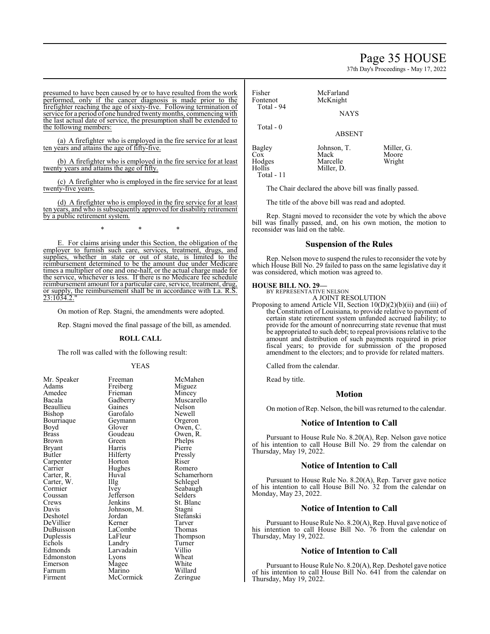## Page 35 HOUSE

37th Day's Proceedings - May 17, 2022

presumed to have been caused by or to have resulted from the work performed, only if the cancer diagnosis is made prior to the firefighter reaching the age of sixty-five. Following termination of service for a period of one hundred twenty months, commencing with the last actual date of service, the presumption shall be extended to the following members:

(a) A firefighter who is employed in the fire service for at least ten years and attains the age of fifty-five.

(b) A firefighter who is employed in the fire service for at least twenty years and attains the age of fifty.

(c) A firefighter who is employed in the fire service for at least twenty-five years.

(d) A firefighter who is employed in the fire service for at least ten years, and who is subsequently approved for disability retirement by a public retirement system.

\* \* \*

E. For claims arising under this Section, the obligation of the employer to furnish such care, services, treatment, drugs, and supplies, whether in state or out of state, is limited to the reimbursement determined to be the amount due under Medicare times a multiplier of one and one-half, or the actual charge made for the service, whichever is less. If there is no Medicare fee schedule reimbursement amount for a particular care, service, treatment, drug, or supply, the reimbursement shall be in accordance with La. R.S. 23:1034.2."

On motion of Rep. Stagni, the amendments were adopted.

Rep. Stagni moved the final passage of the bill, as amended.

### **ROLL CALL**

The roll was called with the following result:

Frieman<br>Gadberry

Geymann<br>Glover

Goudeau<br>Green

Jefferson<br>Jenkins

LaCombe<br>LaFleur

Marino

### YEAS

Mr. Speaker Freeman McMahen<br>Adams Freiberg Miguez Freiberg Miguez<br>Frieman Mincev Muscarello<br>Nelson Gaines Nelson<br>Garofalo Newell Garofalo Newell<br>Geymann Orgeron Owen, C.<br>Owen, R. Phelps<br>Pierre Harris Pierre<br>Hilferty Pressly Hilferty<br>
Horton Riser Carpenter Horton Riser Hughes Romero<br>Huval Schamer Huval Schamerhorn<br>
Illg Schlegel Schlegel Ivey Seabaugh<br>Jefferson Selders St. Blanc<br>Stagni Johnson, M.<br>Jordan Stefanski<br>Tarver Kerner Tarver<br>LaCombe Thomas Thompson<br>Turner Landry Turne<br>
Larvadain Villio Larvadain Villio<br>
Lyons Wheat Lyons Wheat<br>
Magee White Magee White<br>Marino Willard McCormick Zeringue

Fisher McFarland<br>Fontenot McKnight Total - 94 Total - 0

Total - 11

**NAYS** 

McKnight

ABSENT

Bagley Johnson, T. Miller, G.<br>Cox Mack Moore Cox Mack Moore<br>
Hodges Marcelle Wright Hodges Marcelle<br>Hollis Miller, D

Miller, D.

The Chair declared the above bill was finally passed.

The title of the above bill was read and adopted.

Rep. Stagni moved to reconsider the vote by which the above bill was finally passed, and, on his own motion, the motion to reconsider was laid on the table.

## **Suspension of the Rules**

Rep. Nelson move to suspend the rules to reconsider the vote by which House Bill No. 29 failed to pass on the same legislative day it was considered, which motion was agreed to.

## **HOUSE BILL NO. 29—**

BY REPRESENTATIVE NELSON A JOINT RESOLUTION

Proposing to amend Article VII, Section 10(D)(2)(b)(ii) and (iii) of the Constitution of Louisiana, to provide relative to payment of certain state retirement system unfunded accrued liability; to provide for the amount of nonrecurring state revenue that must be appropriated to such debt; to repeal provisions relative to the amount and distribution of such payments required in prior fiscal years; to provide for submission of the proposed amendment to the electors; and to provide for related matters.

Called from the calendar.

Read by title.

## **Motion**

On motion of Rep. Nelson, the bill was returned to the calendar.

## **Notice of Intention to Call**

Pursuant to House Rule No. 8.20(A), Rep. Nelson gave notice of his intention to call House Bill No. 29 from the calendar on Thursday, May 19, 2022.

### **Notice of Intention to Call**

Pursuant to House Rule No. 8.20(A), Rep. Tarver gave notice of his intention to call House Bill No. 32 from the calendar on Monday, May 23, 2022.

## **Notice of Intention to Call**

Pursuant to House Rule No. 8.20(A), Rep. Huval gave notice of his intention to call House Bill No. 76 from the calendar on Thursday, May 19, 2022.

## **Notice of Intention to Call**

Pursuant to House Rule No. 8.20(A), Rep. Deshotel gave notice of his intention to call House Bill No. 641 from the calendar on Thursday, May 19, 2022.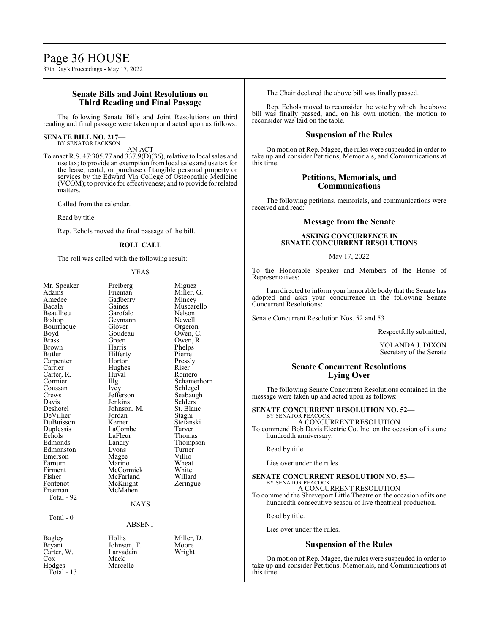## **Senate Bills and Joint Resolutions on Third Reading and Final Passage**

The following Senate Bills and Joint Resolutions on third reading and final passage were taken up and acted upon as follows:

#### **SENATE BILL NO. 217—** BY SENATOR JACKSON

AN ACT

To enact R.S. 47:305.77 and 337.9(D)(36), relative to local sales and use tax; to provide an exemption fromlocal sales and use tax for the lease, rental, or purchase of tangible personal property or services by the Edward Via College of Osteopathic Medicine (VCOM); to provide for effectiveness; and to provide for related matters.

Called from the calendar.

Read by title.

Rep. Echols moved the final passage of the bill.

### **ROLL CALL**

The roll was called with the following result:

### YEAS

Muscarello<br>Nelson

Orgeron<br>Owen, C

Phelps<br>Pierre

Pressly<br>Riser

Selders<sup>T</sup><br>St. Blanc

Stefanski<br>Tarver

Thompson<br>Turner

| Mr. Speaker           |
|-----------------------|
| Adams                 |
| Amedee                |
| Bacala                |
| Beaullieu             |
| Bishop                |
| Bourriaque            |
| Boyd                  |
| <b>Brass</b>          |
| Brown                 |
| Butler                |
| Carpenter             |
| Carrier               |
| Carter, R.<br>Cormier |
|                       |
| Coussan               |
| Crews                 |
| Davis                 |
| Deshotel              |
| DeVillier             |
| DuBuisson             |
| Duplessis             |
| Echols                |
| Edmonds               |
| Edmonston             |
| Emerson               |
| Farnum                |
| Firment               |
| Fisher                |
| Fontenot              |
| Freeman               |
| Total - 92            |
|                       |

Freiberg Miguez Frieman Miller, G.<br>Gadberry Mincey Gadberry<br>Gaines Garofalo Nelson<br>Gevmann Newell Geymann<br>Glover Goudeau<br>Green Green Owen, R.<br>Harris Phelps Hilferty<br>Horton Hughes<br>Huval Huval Romero<br>Illg Schame Illg Schamerhorn<br>Ivey Schlegel Ivey Schlegel<br>Jefferson Seabaugl Jefferson Seabaugh<br>Jenkins Selders Johnson, M. St. Blanch<br>Jordan Stagni Jordan<br>Kerner LaCombe Tarver<br>LaFleur Thomas LaFleur<br>Landrv Lyons Turner<br>
Mage Villio Magee Villio<br>
Marino Wheat Marino Wheat<br>
McCormick White McCormick White<br>
McFarland Willard McFarland Willard<br>
McKnight Zeringue McKnight McMahen

## NAYS

### ABSENT

Carter, W. Larvadain Cox Cox Mack<br>Hodges Marce Total - 13

Total - 0

Bagley Hollis Miller, D.<br>Bryant Johnson, T. Moore Bryant Johnson, T. Moore<br>Carter, W. Larvadain Wright Marcelle

The Chair declared the above bill was finally passed.

Rep. Echols moved to reconsider the vote by which the above bill was finally passed, and, on his own motion, the motion to reconsider was laid on the table.

### **Suspension of the Rules**

On motion of Rep. Magee, the rules were suspended in order to take up and consider Petitions, Memorials, and Communications at this time.

## **Petitions, Memorials, and Communications**

The following petitions, memorials, and communications were received and read:

## **Message from the Senate**

## **ASKING CONCURRENCE IN SENATE CONCURRENT RESOLUTIONS**

### May 17, 2022

To the Honorable Speaker and Members of the House of Representatives:

I am directed to inform your honorable body that the Senate has adopted and asks your concurrence in the following Senate Concurrent Resolutions:

Senate Concurrent Resolution Nos. 52 and 53

Respectfully submitted,

YOLANDA J. DIXON Secretary of the Senate

## **Senate Concurrent Resolutions Lying Over**

The following Senate Concurrent Resolutions contained in the message were taken up and acted upon as follows:

## **SENATE CONCURRENT RESOLUTION NO. 52—**

BY SENATOR PEACOCI A CONCURRENT RESOLUTION

To commend Bob Davis Electric Co. Inc. on the occasion of its one hundredth anniversary.

Read by title.

Lies over under the rules.

#### **SENATE CONCURRENT RESOLUTION NO. 53—** BY SENATOR PEACOCK

A CONCURRENT RESOLUTION To commend the Shreveport Little Theatre on the occasion of its one hundredth consecutive season of live theatrical production.

Read by title.

Lies over under the rules.

### **Suspension of the Rules**

On motion of Rep. Magee, the rules were suspended in order to take up and consider Petitions, Memorials, and Communications at this time.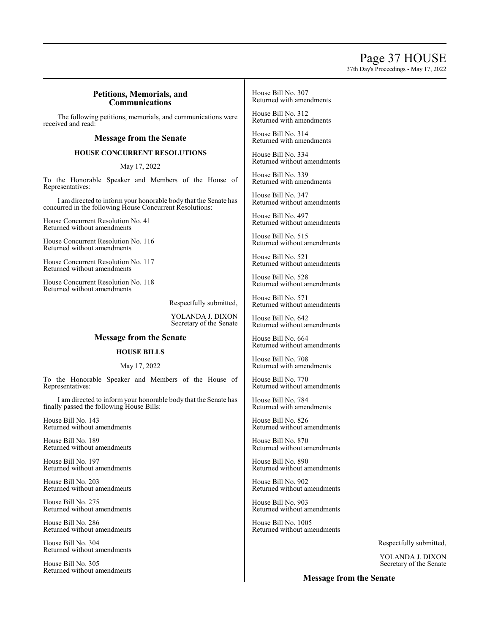## Page 37 HOUSE

37th Day's Proceedings - May 17, 2022

## **Petitions, Memorials, and Communications**

The following petitions, memorials, and communications were received and read:

## **Message from the Senate**

## **HOUSE CONCURRENT RESOLUTIONS**

May 17, 2022

To the Honorable Speaker and Members of the House of Representatives:

I am directed to inform your honorable body that the Senate has concurred in the following House Concurrent Resolutions:

House Concurrent Resolution No. 41 Returned without amendments

House Concurrent Resolution No. 116 Returned without amendments

House Concurrent Resolution No. 117 Returned without amendments

House Concurrent Resolution No. 118 Returned without amendments

Respectfully submitted,

YOLANDA J. DIXON Secretary of the Senate

## **Message from the Senate**

## **HOUSE BILLS**

## May 17, 2022

To the Honorable Speaker and Members of the House of Representatives:

I am directed to inform your honorable body that the Senate has finally passed the following House Bills:

House Bill No. 143 Returned without amendments

House Bill No. 189 Returned without amendments

House Bill No. 197 Returned without amendments

House Bill No. 203 Returned without amendments

House Bill No. 275 Returned without amendments

House Bill No. 286 Returned without amendments

House Bill No. 304 Returned without amendments

House Bill No. 305 Returned without amendments House Bill No. 307 Returned with amendments

House Bill No. 312 Returned with amendments

House Bill No. 314 Returned with amendments

House Bill No. 334 Returned without amendments

House Bill No. 339 Returned with amendments

House Bill No. 347 Returned without amendments

House Bill No. 497 Returned without amendments

House Bill No. 515 Returned without amendments

House Bill No. 521 Returned without amendments

House Bill No. 528 Returned without amendments

House Bill No. 571 Returned without amendments

House Bill No. 642 Returned without amendments

House Bill No. 664 Returned without amendments

House Bill No. 708 Returned with amendments

House Bill No. 770 Returned without amendments

House Bill No. 784 Returned with amendments

House Bill No. 826 Returned without amendments

House Bill No. 870 Returned without amendments

House Bill No. 890 Returned without amendments

House Bill No. 902 Returned without amendments

House Bill No. 903 Returned without amendments

House Bill No. 1005 Returned without amendments

Respectfully submitted,

YOLANDA J. DIXON Secretary of the Senate

**Message from the Senate**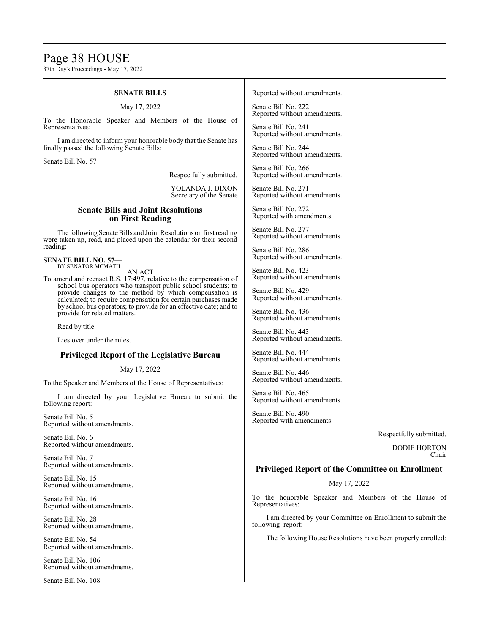## Page 38 HOUSE

37th Day's Proceedings - May 17, 2022

## **SENATE BILLS**

### May 17, 2022

To the Honorable Speaker and Members of the House of Representatives:

I am directed to inform your honorable body that the Senate has finally passed the following Senate Bills:

Senate Bill No. 57

Respectfully submitted,

YOLANDA J. DIXON Secretary of the Senate

## **Senate Bills and Joint Resolutions on First Reading**

The following Senate Bills and Joint Resolutions on first reading were taken up, read, and placed upon the calendar for their second reading:

**SENATE BILL NO. 57—** BY SENATOR MCMATH

AN ACT

To amend and reenact R.S. 17:497, relative to the compensation of school bus operators who transport public school students; to provide changes to the method by which compensation is calculated; to require compensation for certain purchases made by school bus operators; to provide for an effective date; and to provide for related matters.

Read by title.

Lies over under the rules.

## **Privileged Report of the Legislative Bureau**

May 17, 2022

To the Speaker and Members of the House of Representatives:

I am directed by your Legislative Bureau to submit the following report:

Senate Bill No. 5 Reported without amendments.

Senate Bill No. 6 Reported without amendments.

Senate Bill No. 7 Reported without amendments.

Senate Bill No. 15 Reported without amendments.

Senate Bill No. 16 Reported without amendments.

Senate Bill No. 28 Reported without amendments.

Senate Bill No. 54 Reported without amendments.

Senate Bill No. 106 Reported without amendments.

Senate Bill No. 108

Reported without amendments.

Senate Bill No. 222 Reported without amendments.

Senate Bill No. 241 Reported without amendments.

Senate Bill No. 244 Reported without amendments.

Senate Bill No. 266 Reported without amendments.

Senate Bill No. 271 Reported without amendments.

Senate Bill No. 272 Reported with amendments.

Senate Bill No. 277 Reported without amendments.

Senate Bill No. 286 Reported without amendments.

Senate Bill No. 423 Reported without amendments.

Senate Bill No. 429 Reported without amendments.

Senate Bill No. 436 Reported without amendments.

Senate Bill No. 443 Reported without amendments.

Senate Bill No. 444 Reported without amendments.

Senate Bill No. 446 Reported without amendments.

Senate Bill No. 465 Reported without amendments.

Senate Bill No. 490 Reported with amendments.

Respectfully submitted,

DODIE HORTON Chair

## **Privileged Report of the Committee on Enrollment**

May 17, 2022

To the honorable Speaker and Members of the House of Representatives:

I am directed by your Committee on Enrollment to submit the following report:

The following House Resolutions have been properly enrolled: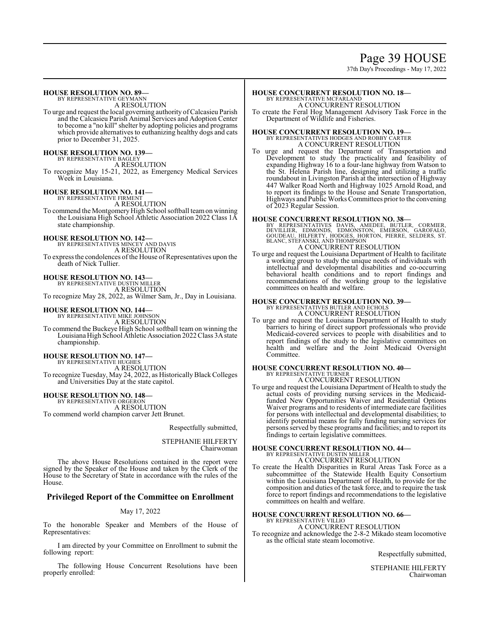# Page 39 HOUSE

37th Day's Proceedings - May 17, 2022

## **HOUSE RESOLUTION NO. 89—**

BY REPRESENTATIVE GEYMANN A RESOLUTION

To urge and request the local governing authority ofCalcasieu Parish and the Calcasieu Parish Animal Services and Adoption Center to become a "no kill" shelter by adopting policies and programs which provide alternatives to euthanizing healthy dogs and cats prior to December 31, 2025.

## **HOUSE RESOLUTION NO. 139—** BY REPRESENTATIVE BAGLEY

A RESOLUTION

To recognize May 15-21, 2022, as Emergency Medical Services Week in Louisiana.

# **HOUSE RESOLUTION NO. 141—** BY REPRESENTATIVE FIRMENT

A RESOLUTION

To commend the Montgomery High School softball teamon winning the Louisiana High School Athletic Association 2022 Class 1A state championship.

## **HOUSE RESOLUTION NO. 142—**

BY REPRESENTATIVES MINCEY AND DAVIS

A RESOLUTION To express the condolences of the House of Representatives upon the death of Nick Tullier.

**HOUSE RESOLUTION NO. 143—** BY REPRESENTATIVE DUSTIN MILLER

A RESOLUTION

To recognize May 28, 2022, as Wilmer Sam, Jr., Day in Louisiana.

# **HOUSE RESOLUTION NO. 144—** BY REPRESENTATIVE MIKE JOHNSON

A RESOLUTION

To commend the Buckeye High School softball team on winning the Louisiana High School Athletic Association 2022 Class 3A state championship.

# **HOUSE RESOLUTION NO. 147—** BY REPRESENTATIVE HUGHES

A RESOLUTION

To recognize Tuesday, May 24, 2022, as HistoricallyBlack Colleges and Universities Day at the state capitol.

## **HOUSE RESOLUTION NO. 148—** BY REPRESENTATIVE ORGERON

A RESOLUTION To commend world champion carver Jett Brunet.

### Respectfully submitted,

### STEPHANIE HILFERTY Chairwoman

The above House Resolutions contained in the report were signed by the Speaker of the House and taken by the Clerk of the House to the Secretary of State in accordance with the rules of the House.

## **Privileged Report of the Committee on Enrollment**

## May 17, 2022

To the honorable Speaker and Members of the House of Representatives:

I am directed by your Committee on Enrollment to submit the following report:

The following House Concurrent Resolutions have been properly enrolled:

## **HOUSE CONCURRENT RESOLUTION NO. 18—** BY REPRESENTATIVE MCFARLAND

A CONCURRENT RESOLUTION

To create the Feral Hog Management Advisory Task Force in the Department of Wildlife and Fisheries.

## **HOUSE CONCURRENT RESOLUTION NO. 19—**

BY REPRESENTATIVES HODGES AND ROBBY CARTER A CONCURRENT RESOLUTION

To urge and request the Department of Transportation and Development to study the practicality and feasibility of expanding Highway 16 to a four-lane highway from Watson to the St. Helena Parish line, designing and utilizing a traffic roundabout in Livingston Parish at the intersection of Highway 447 Walker Road North and Highway 1025 Arnold Road, and to report its findings to the House and Senate Transportation, Highways and Public Works Committees prior to the convening of 2023 Regular Session.

## **HOUSE CONCURRENT RESOLUTION NO. 38—**

BY REPRESENTATIVES DAVIS, AMEDEE, BUTLER, CORMIER,<br>DEVILLIER, EDMONDS, EDMONSTON, EMERSON, GAROFALO,<br>GOUDEAU, HILFERTY, HODGES, HORTON, PIERRE, SELDERS, ST.<br>BLANC, STEFANSKI, AND THOMPSON<br>A CONCURRENT RESOLUTION

To urge and request the Louisiana Department of Health to facilitate a working group to study the unique needs of individuals with intellectual and developmental disabilities and co-occurring behavioral health conditions and to report findings and recommendations of the working group to the legislative committees on health and welfare.

### **HOUSE CONCURRENT RESOLUTION NO. 39—** BY REPRESENTATIVES BUTLER AND ECHOLS

A CONCURRENT RESOLUTION

To urge and request the Louisiana Department of Health to study barriers to hiring of direct support professionals who provide Medicaid-covered services to people with disabilities and to report findings of the study to the legislative committees on health and welfare and the Joint Medicaid Oversight Committee.

#### **HOUSE CONCURRENT RESOLUTION NO. 40—** BY REPRESENTATIVE TURNER

A CONCURRENT RESOLUTION

To urge and request the Louisiana Department of Health to study the actual costs of providing nursing services in the Medicaidfunded New Opportunities Waiver and Residential Options Waiver programs and to residents of intermediate care facilities for persons with intellectual and developmental disabilities; to identify potential means for fully funding nursing services for persons served by these programs and facilities; and to report its findings to certain legislative committees.

# **HOUSE CONCURRENT RESOLUTION NO. 44—** BY REPRESENTATIVE DUSTIN MILLER

A CONCURRENT RESOLUTION

To create the Health Disparities in Rural Areas Task Force as a subcommittee of the Statewide Health Equity Consortium within the Louisiana Department of Health, to provide for the composition and duties of the task force, and to require the task force to report findings and recommendations to the legislative committees on health and welfare.

## **HOUSE CONCURRENT RESOLUTION NO. 66—**

BY REPRESENTATIVE VILLIO A CONCURRENT RESOLUTION

To recognize and acknowledge the 2-8-2 Mikado steam locomotive as the official state steam locomotive.

Respectfully submitted,

STEPHANIE HILFERTY Chairwoman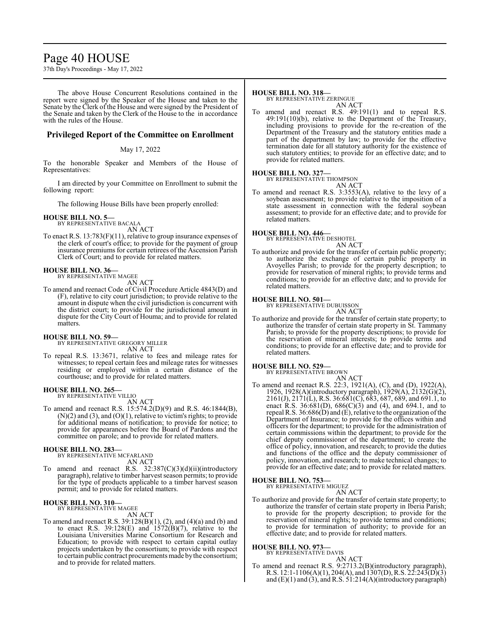## Page 40 HOUSE

37th Day's Proceedings - May 17, 2022

The above House Concurrent Resolutions contained in the report were signed by the Speaker of the House and taken to the Senate by the Clerk of the House and were signed by the President of the Senate and taken by the Clerk of the House to the in accordance with the rules of the House.

## **Privileged Report of the Committee on Enrollment**

### May 17, 2022

To the honorable Speaker and Members of the House of Representatives:

I am directed by your Committee on Enrollment to submit the following report:

The following House Bills have been properly enrolled:

### **HOUSE BILL NO. 5—**

BY REPRESENTATIVE BACALA AN ACT

To enact R.S. 13:783(F)(11), relative to group insurance expenses of the clerk of court's office; to provide for the payment of group insurance premiums for certain retirees of the Ascension Parish Clerk of Court; and to provide for related matters.

#### **HOUSE BILL NO. 36—** BY REPRESENTATIVE MAGEE

AN ACT

To amend and reenact Code of Civil Procedure Article 4843(D) and (F), relative to city court jurisdiction; to provide relative to the amount in dispute when the civil jurisdiction is concurrent with the district court; to provide for the jurisdictional amount in dispute for the City Court of Houma; and to provide for related matters.

### **HOUSE BILL NO. 59—**

BY REPRESENTATIVE GREGORY MILLER AN ACT

To repeal R.S. 13:3671, relative to fees and mileage rates for witnesses; to repeal certain fees and mileage rates for witnesses residing or employed within a certain distance of the courthouse; and to provide for related matters.

#### **HOUSE BILL NO. 265—** BY REPRESENTATIVE VILLIO

AN ACT

To amend and reenact R.S. 15:574.2(D)(9) and R.S. 46:1844(B),  $(N)(2)$  and  $(3)$ , and  $(O)(1)$ , relative to victim's rights; to provide for additional means of notification; to provide for notice; to provide for appearances before the Board of Pardons and the committee on parole; and to provide for related matters.

## **HOUSE BILL NO. 283—**

BY REPRESENTATIVE MCFARLAND AN ACT

To amend and reenact R.S. 32:387(C)(3)(d)(ii)(introductory paragraph), relative to timber harvest season permits; to provide for the type of products applicable to a timber harvest season permit; and to provide for related matters.

## **HOUSE BILL NO. 310—** BY REPRESENTATIVE MAGEE

AN ACT

To amend and reenact R.S. 39:128(B)(1), (2), and (4)(a) and (b) and to enact R.S.  $39:128(E)$  and  $1572(B)(7)$ , relative to the Louisiana Universities Marine Consortium for Research and Education; to provide with respect to certain capital outlay projects undertaken by the consortium; to provide with respect to certain public contract procurements made bythe consortium; and to provide for related matters.

## **HOUSE BILL NO. 318—**

BY REPRESENTATIVE ZERINGUE AN ACT

To amend and reenact R.S. 49:191(1) and to repeal R.S. 49:191(10)(b), relative to the Department of the Treasury, including provisions to provide for the re-creation of the Department of the Treasury and the statutory entities made a part of the department by law; to provide for the effective termination date for all statutory authority for the existence of such statutory entities; to provide for an effective date; and to provide for related matters.

### **HOUSE BILL NO. 327—**

BY REPRESENTATIVE THOMPSON

AN ACT To amend and reenact R.S. 3:3553(A), relative to the levy of a soybean assessment; to provide relative to the imposition of a state assessment in connection with the federal soybean assessment; to provide for an effective date; and to provide for related matters.

## **HOUSE BILL NO. 446—** BY REPRESENTATIVE DESHOTEL

AN ACT

To authorize and provide for the transfer of certain public property; to authorize the exchange of certain public property in Avoyelles Parish; to provide for the property description; to provide for reservation of mineral rights; to provide terms and conditions; to provide for an effective date; and to provide for related matters.

## **HOUSE BILL NO. 501—** BY REPRESENTATIVE DUBUISSON

AN ACT

To authorize and provide for the transfer of certain state property; to authorize the transfer of certain state property in St. Tammany Parish; to provide for the property descriptions; to provide for the reservation of mineral interests; to provide terms and conditions; to provide for an effective date; and to provide for related matters.

## **HOUSE BILL NO. 529—**

BY REPRESENTATIVE BROWN AN ACT

To amend and reenact R.S. 22:3, 1921(A), (C), and (D), 1922(A), 1926, 1928(A)(introductory paragraph), 1929(A), 2132(G)(2), 2161(J), 2171(L), R.S. 36:681(C), 683, 687, 689, and 691.1, to enact R.S.  $36.681(D)$ ,  $686(C)(3)$  and  $(4)$ , and  $694.1$ , and to repeal R.S. 36:686(D) and (E), relative to the organization ofthe Department of Insurance; to provide for the offices within and officers for the department; to provide for the administration of certain commissions within the department; to provide for the chief deputy commissioner of the department; to create the office of policy, innovation, and research; to provide the duties and functions of the office and the deputy commissioner of policy, innovation, and research; to make technical changes; to provide for an effective date; and to provide for related matters.

**HOUSE BILL NO. 753—** BY REPRESENTATIVE MIGUEZ

AN ACT To authorize and provide for the transfer of certain state property; to authorize the transfer of certain state property in Iberia Parish; to provide for the property description; to provide for the reservation of mineral rights; to provide terms and conditions; to provide for termination of authority; to provide for an effective date; and to provide for related matters.

## **HOUSE BILL NO. 973—**

BY REPRESENTATIVE DAVIS

AN ACT

To amend and reenact R.S. 9:2713.2(B)(introductory paragraph), R.S. 12:1-1106(A)(1), 204(A), and 1307(D), R.S. 22:243(D)(3) and  $(E)(1)$  and  $(3)$ , and R.S.  $51:214(A)$ (introductory paragraph)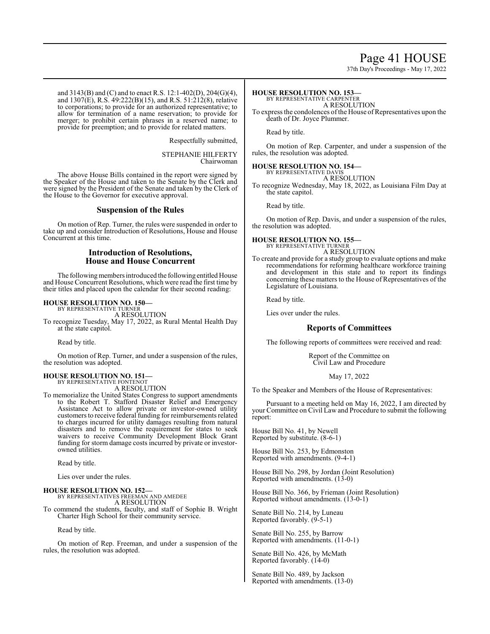## Page 41 HOUSE

37th Day's Proceedings - May 17, 2022

and 3143(B) and (C) and to enact R.S. 12:1-402(D), 204(G)(4), and 1307(E), R.S. 49:222(B)(15), and R.S. 51:212(8), relative to corporations; to provide for an authorized representative; to allow for termination of a name reservation; to provide for merger; to prohibit certain phrases in a reserved name; to provide for preemption; and to provide for related matters.

Respectfully submitted,

STEPHANIE HILFERTY Chairwoman

The above House Bills contained in the report were signed by the Speaker of the House and taken to the Senate by the Clerk and were signed by the President of the Senate and taken by the Clerk of the House to the Governor for executive approval.

## **Suspension of the Rules**

On motion of Rep. Turner, the rules were suspended in order to take up and consider Introduction of Resolutions, House and House Concurrent at this time.

## **Introduction of Resolutions, House and House Concurrent**

The following members introduced the following entitled House and House Concurrent Resolutions, which were read the first time by their titles and placed upon the calendar for their second reading:

### **HOUSE RESOLUTION NO. 150—**

BY REPRESENTATIVE TURNER A RESOLUTION

To recognize Tuesday, May 17, 2022, as Rural Mental Health Day at the state capitol.

Read by title.

On motion of Rep. Turner, and under a suspension of the rules, the resolution was adopted.

### **HOUSE RESOLUTION NO. 151—**

BY REPRESENTATIVE FONTENOT A RESOLUTION

To memorialize the United States Congress to support amendments to the Robert T. Stafford Disaster Relief and Emergency Assistance Act to allow private or investor-owned utility customers to receive federal funding for reimbursements related to charges incurred for utility damages resulting from natural disasters and to remove the requirement for states to seek waivers to receive Community Development Block Grant funding for storm damage costs incurred by private or investorowned utilities.

Read by title.

Lies over under the rules.

### **HOUSE RESOLUTION NO. 152—**

BY REPRESENTATIVES FREEMAN AND AMEDEE A RESOLUTION

To commend the students, faculty, and staff of Sophie B. Wright Charter High School for their community service.

Read by title.

On motion of Rep. Freeman, and under a suspension of the rules, the resolution was adopted.

### **HOUSE RESOLUTION NO. 153—**

BY REPRESENTATIVE CARPENTER A RESOLUTION

To express the condolences of the House of Representatives upon the death of Dr. Joyce Plummer.

Read by title.

On motion of Rep. Carpenter, and under a suspension of the rules, the resolution was adopted.

### **HOUSE RESOLUTION NO. 154—**

BY REPRESENTATIVE DAVIS A RESOLUTION

To recognize Wednesday, May 18, 2022, as Louisiana Film Day at the state capitol.

Read by title.

On motion of Rep. Davis, and under a suspension of the rules, the resolution was adopted.

## **HOUSE RESOLUTION NO. 155—**

BY REPRESENTATIVE TURNER A RESOLUTION

To create and provide for a study group to evaluate options and make recommendations for reforming healthcare workforce training and development in this state and to report its findings concerning these matters to the House of Representatives of the Legislature of Louisiana.

Read by title.

Lies over under the rules.

## **Reports of Committees**

The following reports of committees were received and read:

Report of the Committee on Civil Law and Procedure

### May 17, 2022

To the Speaker and Members of the House of Representatives:

Pursuant to a meeting held on May 16, 2022, I am directed by your Committee on Civil Law and Procedure to submit the following report:

House Bill No. 41, by Newell Reported by substitute. (8-6-1)

House Bill No. 253, by Edmonston Reported with amendments. (9-4-1)

House Bill No. 298, by Jordan (Joint Resolution) Reported with amendments. (13-0)

House Bill No. 366, by Frieman (Joint Resolution) Reported without amendments.  $(13-0-1)$ 

Senate Bill No. 214, by Luneau Reported favorably. (9-5-1)

Senate Bill No. 255, by Barrow Reported with amendments. (11-0-1)

Senate Bill No. 426, by McMath Reported favorably. (14-0)

Senate Bill No. 489, by Jackson Reported with amendments. (13-0)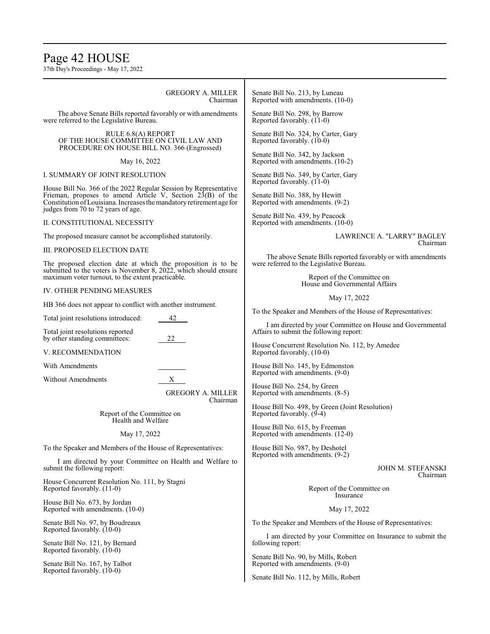## Page 42 HOUSE

37th Day's Proceedings - May 17, 2022

GREGORY A. MILLER Chairman

The above Senate Bills reported favorably or with amendments were referred to the Legislative Bureau.

RULE 6.8(A) REPORT OF THE HOUSE COMMITTEE ON CIVIL LAW AND PROCEDURE ON HOUSE BILL NO. 366 (Engrossed)

May 16, 2022

### I. SUMMARY OF JOINT RESOLUTION

House Bill No. 366 of the 2022 Regular Session by Representative Frieman, proposes to amend Article V, Section 23(B) of the Constitution ofLouisiana. Increases the mandatory retirement age for judges from 70 to 72 years of age.

II. CONSTITUTIONAL NECESSITY

The proposed measure cannot be accomplished statutorily.

III. PROPOSED ELECTION DATE

The proposed election date at which the proposition is to be submitted to the voters is November 8, 2022, which should ensure maximum voter turnout, to the extent practicable.

### IV. OTHER PENDING MEASURES

HB 366 does not appear to conflict with another instrument.

Total joint resolutions introduced: 42

Total joint resolutions reported by other standing committees: 22

V. RECOMMENDATION

With Amendments

Without Amendments X

GREGORY A. MILLER Chairman

Report of the Committee on Health and Welfare

May 17, 2022

To the Speaker and Members of the House of Representatives:

I am directed by your Committee on Health and Welfare to submit the following report:

House Concurrent Resolution No. 111, by Stagni Reported favorably. (11-0)

House Bill No. 673, by Jordan Reported with amendments. (10-0)

Senate Bill No. 97, by Boudreaux Reported favorably. (10-0)

Senate Bill No. 121, by Bernard Reported favorably. (10-0)

Senate Bill No. 167, by Talbot Reported favorably. (10-0)

Senate Bill No. 213, by Luneau Reported with amendments. (10-0)

Senate Bill No. 298, by Barrow Reported favorably. (11-0)

Senate Bill No. 324, by Carter, Gary Reported favorably. (10-0)

Senate Bill No. 342, by Jackson Reported with amendments. (10-2)

Senate Bill No. 349, by Carter, Gary Reported favorably. (11-0)

Senate Bill No. 388, by Hewitt Reported with amendments. (9-2)

Senate Bill No. 439, by Peacock Reported with amendments. (10-0)

> LAWRENCE A. "LARRY" BAGLEY Chairman

The above Senate Bills reported favorably or with amendments were referred to the Legislative Bureau.

> Report of the Committee on House and Governmental Affairs

> > May 17, 2022

To the Speaker and Members of the House of Representatives:

I am directed by your Committee on House and Governmental Affairs to submit the following report:

House Concurrent Resolution No. 112, by Amedee Reported favorably. (10-0)

House Bill No. 145, by Edmonston Reported with amendments. (9-0)

House Bill No. 254, by Green Reported with amendments. (8-5)

House Bill No. 498, by Green (Joint Resolution) Reported favorably. (9-4)

House Bill No. 615, by Freeman Reported with amendments. (12-0)

House Bill No. 987, by Deshotel Reported with amendments. (9-2)

> JOHN M. STEFANSKI Chairman

Report of the Committee on Insurance

May 17, 2022

To the Speaker and Members of the House of Representatives:

I am directed by your Committee on Insurance to submit the following report:

Senate Bill No. 90, by Mills, Robert Reported with amendments. (9-0)

Senate Bill No. 112, by Mills, Robert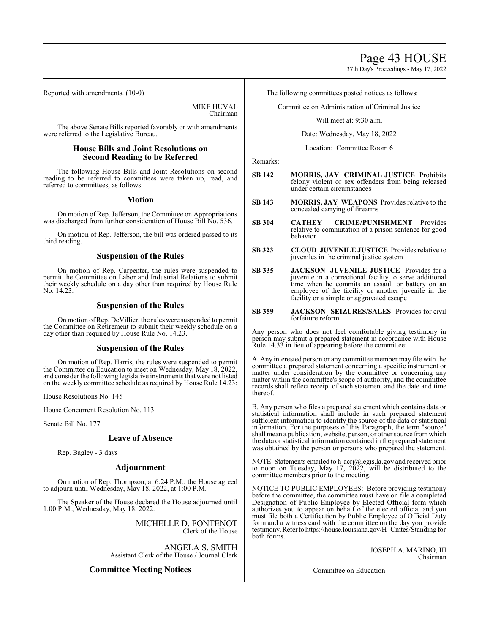37th Day's Proceedings - May 17, 2022

Reported with amendments. (10-0)

MIKE HUVAL Chairman

The above Senate Bills reported favorably or with amendments were referred to the Legislative Bureau.

## **House Bills and Joint Resolutions on Second Reading to be Referred**

The following House Bills and Joint Resolutions on second reading to be referred to committees were taken up, read, and referred to committees, as follows:

## **Motion**

On motion of Rep. Jefferson, the Committee on Appropriations was discharged from further consideration of House Bill No. 536.

On motion of Rep. Jefferson, the bill was ordered passed to its third reading.

## **Suspension of the Rules**

On motion of Rep. Carpenter, the rules were suspended to permit the Committee on Labor and Industrial Relations to submit their weekly schedule on a day other than required by House Rule No. 14.23.

## **Suspension of the Rules**

On motion ofRep. DeVillier, the rules were suspended to permit the Committee on Retirement to submit their weekly schedule on a day other than required by House Rule No. 14.23.

## **Suspension of the Rules**

On motion of Rep. Harris, the rules were suspended to permit the Committee on Education to meet on Wednesday, May 18, 2022, and consider the following legislative instruments that were not listed on the weekly committee schedule as required by House Rule 14.23:

House Resolutions No. 145

House Concurrent Resolution No. 113

Senate Bill No. 177

## **Leave of Absence**

Rep. Bagley - 3 days

## **Adjournment**

On motion of Rep. Thompson, at 6:24 P.M., the House agreed to adjourn until Wednesday, May 18, 2022, at 1:00 P.M.

The Speaker of the House declared the House adjourned until 1:00 P.M., Wednesday, May 18, 2022.

> MICHELLE D. FONTENOT Clerk of the House

ANGELA S. SMITH Assistant Clerk of the House / Journal Clerk

## **Committee Meeting Notices**

The following committees posted notices as follows:

Committee on Administration of Criminal Justice

Will meet at: 9:30 a.m.

Date: Wednesday, May 18, 2022

Location: Committee Room 6

Remarks:

- **SB 142 MORRIS, JAY CRIMINAL JUSTICE** Prohibits felony violent or sex offenders from being released under certain circumstances
- **SB 143 MORRIS, JAY WEAPONS** Provides relative to the concealed carrying of firearms
- **SB 304 CATHEY CRIME/PUNISHMENT** Provides relative to commutation of a prison sentence for good behavior
- **SB 323 CLOUD JUVENILE JUSTICE** Provides relative to juveniles in the criminal justice system
- **SB 335 JACKSON JUVENILE JUSTICE** Provides for a juvenile in a correctional facility to serve additional time when he commits an assault or battery on an employee of the facility or another juvenile in the facility or a simple or aggravated escape
- **SB 359 JACKSON SEIZURES/SALES** Provides for civil forfeiture reform

Any person who does not feel comfortable giving testimony in person may submit a prepared statement in accordance with House Rule 14.33 in lieu of appearing before the committee:

A. Any interested person or any committee member may file with the committee a prepared statement concerning a specific instrument or matter under consideration by the committee or concerning any matter within the committee's scope of authority, and the committee records shall reflect receipt of such statement and the date and time thereof.

B. Any person who files a prepared statement which contains data or statistical information shall include in such prepared statement sufficient information to identify the source of the data or statistical information. For the purposes of this Paragraph, the term "source" shall mean a publication, website, person, or other source fromwhich the data or statistical information contained in the prepared statement was obtained by the person or persons who prepared the statement.

NOTE: Statements emailed to h-acrj@legis.la.gov and received prior to noon on Tuesday, May 17,  $20\overline{2}2$ , will be distributed to the committee members prior to the meeting.

NOTICE TO PUBLIC EMPLOYEES: Before providing testimony before the committee, the committee must have on file a completed Designation of Public Employee by Elected Official form which authorizes you to appear on behalf of the elected official and you must file both a Certification by Public Employee of Official Duty form and a witness card with the committee on the day you provide testimony.Referto https://house.louisiana.gov/H\_Cmtes/Standing for both forms.

> JOSEPH A. MARINO, III Chairman

Committee on Education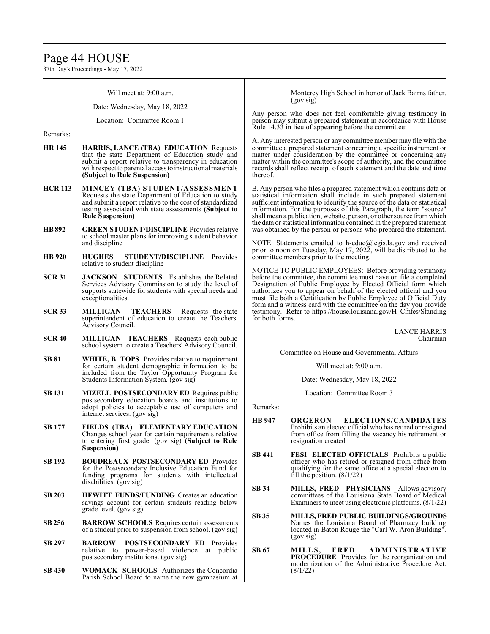## Page 44 HOUSE

37th Day's Proceedings - May 17, 2022

Will meet at: 9:00 a.m.

Date: Wednesday, May 18, 2022

Location: Committee Room 1

Remarks:

- **HR 145 HARRIS, LANCE (TBA) EDUCATION** Requests that the state Department of Education study and submit a report relative to transparency in education with respect to parental access to instructional materials **(Subject to Rule Suspension)**
- **HCR 113 MINCEY (TBA) STUDENT/ASSESSMENT**  Requests the state Department of Education to study and submit a report relative to the cost of standardized testing associated with state assessments **(Subject to Rule Suspension)**
- **HB892 GREEN STUDENT/DISCIPLINE** Provides relative to school master plans for improving student behavior and discipline
- **HB 920 HUGHES STUDENT/DISCIPLINE** Provides relative to student discipline
- **SCR 31 JACKSON STUDENTS** Establishes the Related Services Advisory Commission to study the level of supports statewide for students with special needs and exceptionalities.
- **SCR 33 MILLIGAN TEACHERS** Requests the state superintendent of education to create the Teachers' Advisory Council.
- **SCR 40 MILLIGAN TEACHERS** Requests each public school system to create a Teachers' Advisory Council.
- **SB 81 WHITE, B TOPS** Provides relative to requirement for certain student demographic information to be included from the Taylor Opportunity Program for Students Information System. (gov sig)
- **SB 131 MIZELL POSTSECONDARY ED** Requires public postsecondary education boards and institutions to adopt policies to acceptable use of computers and internet services. (gov sig)
- **SB 177 FIELDS (TBA) ELEMENTARY EDUCATION**  Changes school year for certain requirements relative to entering first grade. (gov sig) **(Subject to Rule Suspension)**
- **SB 192 BOUDREAUX POSTSECONDARY ED** Provides for the Postsecondary Inclusive Education Fund for funding programs for students with intellectual disabilities. (gov sig)
- **SB 203 HEWITT FUNDS/FUNDING** Creates an education savings account for certain students reading below grade level. (gov sig)
- **SB 256 BARROW SCHOOLS** Requires certain assessments of a student prior to suspension from school. (gov sig)
- **SB 297 BARROW POSTSECONDARY ED** Provides relative to power-based violence at public postsecondary institutions. (gov sig)
- **SB 430 WOMACK SCHOOLS** Authorizes the Concordia Parish School Board to name the new gymnasium at

Monterey High School in honor of Jack Bairns father. (gov sig)

Any person who does not feel comfortable giving testimony in person may submit a prepared statement in accordance with House Rule 14.33 in lieu of appearing before the committee:

A. Any interested person or any committee member may file with the committee a prepared statement concerning a specific instrument or matter under consideration by the committee or concerning any matter within the committee's scope of authority, and the committee records shall reflect receipt of such statement and the date and time thereof.

B. Any person who files a prepared statement which contains data or statistical information shall include in such prepared statement sufficient information to identify the source of the data or statistical information. For the purposes of this Paragraph, the term "source" shall mean a publication, website, person, or other source fromwhich the data or statistical information contained in the prepared statement was obtained by the person or persons who prepared the statement.

NOTE: Statements emailed to h-educ@legis.la.gov and received prior to noon on Tuesday, May 17, 2022, will be distributed to the committee members prior to the meeting.

NOTICE TO PUBLIC EMPLOYEES: Before providing testimony before the committee, the committee must have on file a completed Designation of Public Employee by Elected Official form which authorizes you to appear on behalf of the elected official and you must file both a Certification by Public Employee of Official Duty form and a witness card with the committee on the day you provide testimony. Refer to https://house.louisiana.gov/H\_Cmtes/Standing for both forms.

> LANCE HARRIS Chairman

Committee on House and Governmental Affairs

Will meet at: 9:00 a.m.

Date: Wednesday, May 18, 2022

Location: Committee Room 3

Remarks:

- **HB 947 ORGERON ELECTIONS/CANDIDATES**  Prohibits an elected official who has retired or resigned from office from filling the vacancy his retirement or resignation created
- **SB 441 FESI ELECTED OFFICIALS** Prohibits a public officer who has retired or resigned from office from qualifying for the same office at a special election to fill the position.  $(8/1/22)$
- **SB 34 MILLS, FRED PHYSICIANS** Allows advisory committees of the Louisiana State Board of Medical Examiners to meet using electronic platforms. (8/1/22)
- **SB 35 MILLS, FRED PUBLIC BUILDINGS/GROUNDS**  Names the Louisiana Board of Pharmacy building located in Baton Rouge the "Carl W. Aron Building". (gov sig)
- **SB 67 MILLS, F R E D A DM INISTRATIVE PROCEDURE** Provides for the reorganization and modernization of the Administrative Procedure Act. (8/1/22)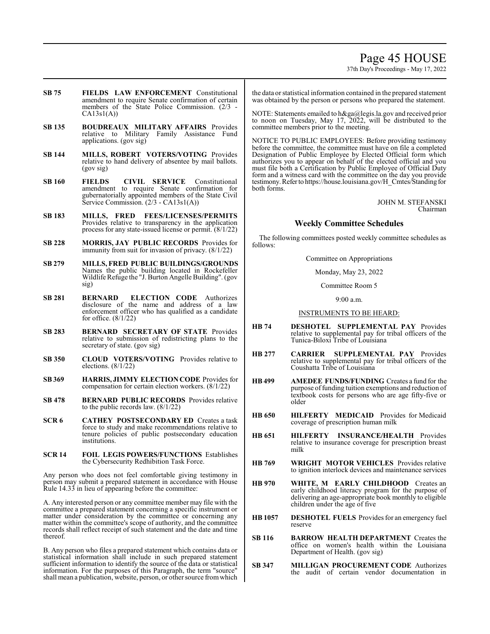## Page 45 HOUSE

37th Day's Proceedings - May 17, 2022

- **SB 75 FIELDS LAW ENFORCEMENT** Constitutional amendment to require Senate confirmation of certain members of the State Police Commission. (2/3 -  $CA13s1(A)$
- **SB 135 BOUDREAUX MILITARY AFFAIRS** Provides relative to Military Family Assistance Fund applications. (gov sig)
- **SB 144 MILLS, ROBERT VOTERS/VOTING** Provides relative to hand delivery of absentee by mail ballots. (gov sig)
- **SB 160 FIELDS CIVIL SERVICE** Constitutional amendment to require Senate confirmation for gubernatorially appointed members of the State Civil Service Commission. (2/3 - CA13s1(A))
- **SB 183 MILLS, FRED FEES/LICENSES/PERMITS**  Provides relative to transparency in the application process for any state-issued license or permit. (8/1/22)
- **SB 228 MORRIS, JAY PUBLIC RECORDS** Provides for immunity from suit for invasion of privacy. (8/1/22)
- **SB 279 MILLS, FRED PUBLIC BUILDINGS/GROUNDS**  Names the public building located in Rockefeller Wildlife Refuge the "J. Burton Angelle Building". (gov sig)
- **SB 281 BERNARD ELECTION CODE** Authorizes disclosure of the name and address of a law enforcement officer who has qualified as a candidate for office. (8/1/22)
- **SB 283 BERNARD SECRETARY OF STATE** Provides relative to submission of redistricting plans to the secretary of state. (gov sig)
- **SB 350 CLOUD VOTERS/VOTING** Provides relative to elections. (8/1/22)
- **SB 369 HARRIS, JIMMY ELECTION CODE** Provides for compensation for certain election workers. (8/1/22)
- **SB 478 BERNARD PUBLIC RECORDS** Provides relative to the public records law. (8/1/22)
- **SCR 6 CATHEY POSTSECONDARY ED** Creates a task force to study and make recommendations relative to tenure policies of public postsecondary education institutions.
- **SCR 14 FOIL LEGIS POWERS/FUNCTIONS** Establishes the Cybersecurity Redhibition Task Force.

Any person who does not feel comfortable giving testimony in person may submit a prepared statement in accordance with House Rule 14.33 in lieu of appearing before the committee:

A. Any interested person or any committee member may file with the committee a prepared statement concerning a specific instrument or matter under consideration by the committee or concerning any matter within the committee's scope of authority, and the committee records shall reflect receipt of such statement and the date and time thereof.

B. Any person who files a prepared statement which contains data or statistical information shall include in such prepared statement sufficient information to identify the source of the data or statistical information. For the purposes of this Paragraph, the term "source" shall mean a publication, website, person, or other source fromwhich the data or statistical information contained in the prepared statement was obtained by the person or persons who prepared the statement.

NOTE: Statements emailed to h&ga@legis.la.gov and received prior to noon on Tuesday, May 17, 2022, will be distributed to the committee members prior to the meeting.

NOTICE TO PUBLIC EMPLOYEES: Before providing testimony before the committee, the committee must have on file a completed Designation of Public Employee by Elected Official form which authorizes you to appear on behalf of the elected official and you must file both a Certification by Public Employee of Official Duty form and a witness card with the committee on the day you provide testimony.Referto https://house.louisiana.gov/H\_Cmtes/Standing for both forms.

> JOHN M. STEFANSKI Chairman

## **Weekly Committee Schedules**

The following committees posted weekly committee schedules as follows:

Committee on Appropriations

Monday, May 23, 2022

Committee Room 5

9:00 a.m.

### INSTRUMENTS TO BE HEARD:

- **HB 74 DESHOTEL SUPPLEMENTAL PAY** Provides relative to supplemental pay for tribal officers of the Tunica-Biloxi Tribe of Louisiana
- **HB 277 CARRIER SUPPLEMENTAL PAY** Provides relative to supplemental pay for tribal officers of the Coushatta Tribe of Louisiana
- **HB 499 AMEDEE FUNDS/FUNDING** Creates a fund for the purpose of funding tuition exemptions and reduction of textbook costs for persons who are age fifty-five or older
- **HB 650 HILFERTY MEDICAID** Provides for Medicaid coverage of prescription human milk
- **HB 651 HILFERTY INSURANCE/HEALTH** Provides relative to insurance coverage for prescription breast milk
- **HB 769 WRIGHT MOTOR VEHICLES** Provides relative to ignition interlock devices and maintenance services
- **HB 970 WHITE, M EARLY CHILDHOOD** Creates an early childhood literacy program for the purpose of delivering an age-appropriate book monthly to eligible children under the age of five
- **HB 1057 DESHOTEL FUELS** Provides for an emergency fuel reserve
- **SB 116 BARROW HEALTH DEPARTMENT** Creates the office on women's health within the Louisiana Department of Health. (gov sig)
- **SB 347 MILLIGAN PROCUREMENT CODE** Authorizes the audit of certain vendor documentation in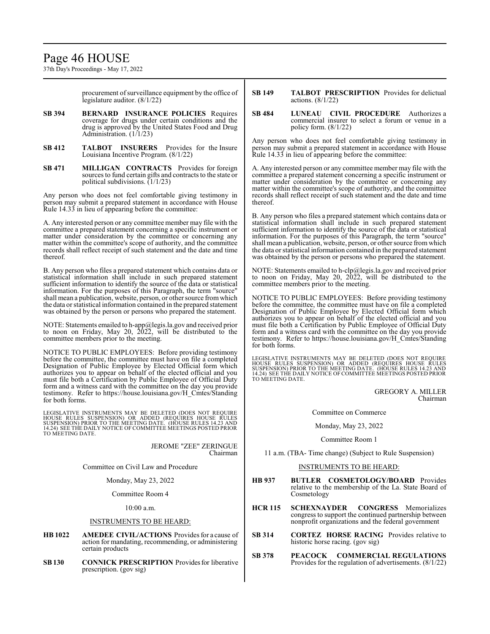## Page 46 HOUSE

37th Day's Proceedings - May 17, 2022

procurement of surveillance equipment by the office of legislature auditor. (8/1/22)

- **SB 394 BERNARD INSURANCE POLICIES** Requires coverage for drugs under certain conditions and the drug is approved by the United States Food and Drug Administration. (1/1/23)
- **SB 412 TALBOT INSURERS** Provides for the Insure Louisiana Incentive Program. (8/1/22)
- **SB 471 MILLIGAN CONTRACTS** Provides for foreign sources to fund certain gifts and contracts to the state or political subdivisions.  $(1/1/23)$

Any person who does not feel comfortable giving testimony in person may submit a prepared statement in accordance with House Rule 14.33 in lieu of appearing before the committee:

A. Any interested person or any committee member may file with the committee a prepared statement concerning a specific instrument or matter under consideration by the committee or concerning any matter within the committee's scope of authority, and the committee records shall reflect receipt of such statement and the date and time thereof.

B. Any person who files a prepared statement which contains data or statistical information shall include in such prepared statement sufficient information to identify the source of the data or statistical information. For the purposes of this Paragraph, the term "source" shall mean a publication, website, person, or other source fromwhich the data or statistical information contained in the prepared statement was obtained by the person or persons who prepared the statement.

NOTE: Statements emailed to h-app@legis.la.gov and received prior to noon on Friday, May 20, 2022, will be distributed to the committee members prior to the meeting.

NOTICE TO PUBLIC EMPLOYEES: Before providing testimony before the committee, the committee must have on file a completed Designation of Public Employee by Elected Official form which authorizes you to appear on behalf of the elected official and you must file both a Certification by Public Employee of Official Duty form and a witness card with the committee on the day you provide testimony. Refer to https://house.louisiana.gov/H\_Cmtes/Standing for both forms.

LEGISLATIVE INSTRUMENTS MAY BE DELETED (DOES NOT REQUIRE<br>HOUSE RULES SUSPENSION) OR ADDED (REQUIRES HOUSE RULES<br>SUSPENSION) PRIOR TO THE MEETING DATE. (HOUSE RULES 14.23 AND<br>14.24) SEETHE DAILY NOTICE OF COMMITTEE MEETINGS

JEROME "ZEE" ZERINGUE Chairman

Committee on Civil Law and Procedure

Monday, May 23, 2022

Committee Room 4

10:00 a.m.

### INSTRUMENTS TO BE HEARD:

- **HB 1022 AMEDEE CIVIL/ACTIONS** Provides for a cause of action for mandating, recommending, or administering certain products
- **SB130 CONNICK PRESCRIPTION** Provides for liberative prescription. (gov sig)
- **SB 149 TALBOT PRESCRIPTION** Provides for delictual actions. (8/1/22)
- **SB 484 LUNEAU CIVIL PROCEDURE** Authorizes a commercial insurer to select a forum or venue in a policy form. (8/1/22)

Any person who does not feel comfortable giving testimony in person may submit a prepared statement in accordance with House Rule 14.33 in lieu of appearing before the committee:

A. Any interested person or any committee member may file with the committee a prepared statement concerning a specific instrument or matter under consideration by the committee or concerning any matter within the committee's scope of authority, and the committee records shall reflect receipt of such statement and the date and time thereof.

B. Any person who files a prepared statement which contains data or statistical information shall include in such prepared statement sufficient information to identify the source of the data or statistical information. For the purposes of this Paragraph, the term "source" shall mean a publication, website, person, or other source fromwhich the data or statistical information contained in the prepared statement was obtained by the person or persons who prepared the statement.

NOTE: Statements emailed to h-clp@legis.la.gov and received prior to noon on Friday, May 20, 2022, will be distributed to the committee members prior to the meeting.

NOTICE TO PUBLIC EMPLOYEES: Before providing testimony before the committee, the committee must have on file a completed Designation of Public Employee by Elected Official form which authorizes you to appear on behalf of the elected official and you must file both a Certification by Public Employee of Official Duty form and a witness card with the committee on the day you provide testimony. Refer to https://house.louisiana.gov/H\_Cmtes/Standing for both forms.

LEGISLATIVE INSTRUMENTS MAY BE DELETED (DOES NOT REQUIRE<br>HOUSE RULES SUSPENSION) OR ADDED (REQUIRES HOUSE RULES<br>SUSPENSION) PRIOR TO THE MEETING DATE. (HOUSE RULES 14.23 AND<br>14.24) SEE THE DAILY NOTICE OF COMMITTEE MEETING

GREGORY A. MILLER Chairman

Committee on Commerce

Monday, May 23, 2022

Committee Room 1

11 a.m. (TBA- Time change) (Subject to Rule Suspension)

### INSTRUMENTS TO BE HEARD:

- **HB 937 BUTLER COSMETOLOGY/BOARD** Provides relative to the membership of the La. State Board of Cosmetology
- **HCR 115 SCHEXNAYDER CONGRESS** Memorializes congress to support the continued partnership between nonprofit organizations and the federal government
- **SB 314 CORTEZ HORSE RACING** Provides relative to historic horse racing. (gov sig)
- **SB 378 PEACOCK COMMERCIAL REGULATIONS** Provides for the regulation of advertisements. (8/1/22)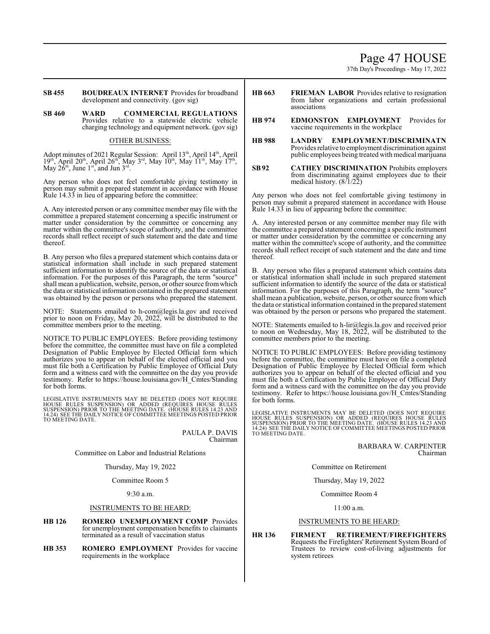## Page 47 HOUSE

37th Day's Proceedings - May 17, 2022

**SB 455 BOUDREAUX INTERNET** Provides for broadband development and connectivity. (gov sig)

**SB 460 WARD COMMERCIAL REGULATIONS** Provides relative to a statewide electric vehicle charging technology and equipment network. (gov sig)

### OTHER BUSINESS:

Adopt minutes of 2021 Regular Session: April 13<sup>th</sup>, April 14<sup>th</sup>, April  $19<sup>th</sup>$ , April 20<sup>th</sup>, April 26<sup>th</sup>, May 3<sup>rd</sup>, May 10<sup>th</sup>, May 11<sup>th</sup>, May 17<sup>th</sup>, May  $2\hat{6}^{th}$ , June  $1^{st}$ , and Jun  $3^{rd}$ .

Any person who does not feel comfortable giving testimony in person may submit a prepared statement in accordance with House Rule 14.33 in lieu of appearing before the committee:

A. Any interested person or any committee member may file with the committee a prepared statement concerning a specific instrument or matter under consideration by the committee or concerning any matter within the committee's scope of authority, and the committee records shall reflect receipt of such statement and the date and time thereof.

B. Any person who files a prepared statement which contains data or statistical information shall include in such prepared statement sufficient information to identify the source of the data or statistical information. For the purposes of this Paragraph, the term "source" shall mean a publication, website, person, or other source fromwhich the data or statistical information contained in the prepared statement was obtained by the person or persons who prepared the statement.

NOTE: Statements emailed to h-com@legis.la.gov and received prior to noon on Friday, May 20, 2022, will be distributed to the committee members prior to the meeting.

NOTICE TO PUBLIC EMPLOYEES: Before providing testimony before the committee, the committee must have on file a completed Designation of Public Employee by Elected Official form which authorizes you to appear on behalf of the elected official and you must file both a Certification by Public Employee of Official Duty form and a witness card with the committee on the day you provide testimony. Refer to https://house.louisiana.gov/H\_Cmtes/Standing for both forms.

LEGISLATIVE INSTRUMENTS MAY BE DELETED (DOES NOT REQUIRE<br>HOUSE RULES SUSPENSION) OR ADDED (REQUIRES HOUSE RULES<br>SUSPENSION) PRIOR TO THE MEETING DATE. (HOUSE RULES 14.23 AND<br>14.24) SEE THE DAILY NOTICE OF COMMITTEE MEETING TO MEETING DATE.

> PAULA P. DAVIS Chairman

Committee on Labor and Industrial Relations

Thursday, May 19, 2022

Committee Room 5

9:30 a.m.

### INSTRUMENTS TO BE HEARD:

- **HB 126 ROMERO UNEMPLOYMENT COMP** Provides for unemployment compensation benefits to claimants terminated as a result of vaccination status
- **HB 353 ROMERO EMPLOYMENT** Provides for vaccine requirements in the workplace
- **HB 663 FRIEMAN LABOR** Provides relative to resignation from labor organizations and certain professional associations
- **HB 974 EDMONSTON EMPLOYMENT** Provides for vaccine requirements in the workplace
- **HB 988 LANDRY EMPLOYMENT/DISCRIMINATN** Provides relative to employment discrimination against public employees being treated with medical marijuana
- **SB92 CATHEY DISCRIMINATION** Prohibits employers from discriminating against employees due to their medical history.  $(8/1/22)$

Any person who does not feel comfortable giving testimony in person may submit a prepared statement in accordance with House Rule 14.33 in lieu of appearing before the committee:

A. Any interested person or any committee member may file with the committee a prepared statement concerning a specific instrument or matter under consideration by the committee or concerning any matter within the committee's scope of authority, and the committee records shall reflect receipt of such statement and the date and time thereof.

B. Any person who files a prepared statement which contains data or statistical information shall include in such prepared statement sufficient information to identify the source of the data or statistical information. For the purposes of this Paragraph, the term "source" shall mean a publication, website, person, or other source fromwhich the data or statistical information contained in the prepared statement was obtained by the person or persons who prepared the statement.

[OTE: Statements emailed to h-lir@legis.la.gov and received prior to noon on Wednesday, May 18,  $\overline{2022}$ , will be distributed to the committee members prior to the meeting.

NOTICE TO PUBLIC EMPLOYEES: Before providing testimony before the committee, the committee must have on file a completed Designation of Public Employee by Elected Official form which authorizes you to appear on behalf of the elected official and you must file both a Certification by Public Employee of Official Duty form and a witness card with the committee on the day you provide testimony. Refer to https://house.louisiana.gov/H\_Cmtes/Standing for both forms.

LEGISLATIVE INSTRUMENTS MAY BE DELETED (DOES NOT REQUIRE<br>HOUSE RULES SUSPENSION) OR ADDED (REQUIRES HOUSE RULES<br>SUSPENSION) PRIOR TO THE MEETING DATE. (HOUSE RULES 14.23 AND<br>14.24) SEE THE DAILY NOTICE OF COMMITTEE MEETING

BARBARA W. CARPENTER Chairman

Committee on Retirement

Thursday, May 19, 2022

Committee Room 4

11:00 a.m.

### INSTRUMENTS TO BE HEARD:

**HR 136 FIRMENT RETIREMENT/FIREFIGHTERS** Requests the Firefighters' Retirement System Board of Trustees to review cost-of-living adjustments for system retirees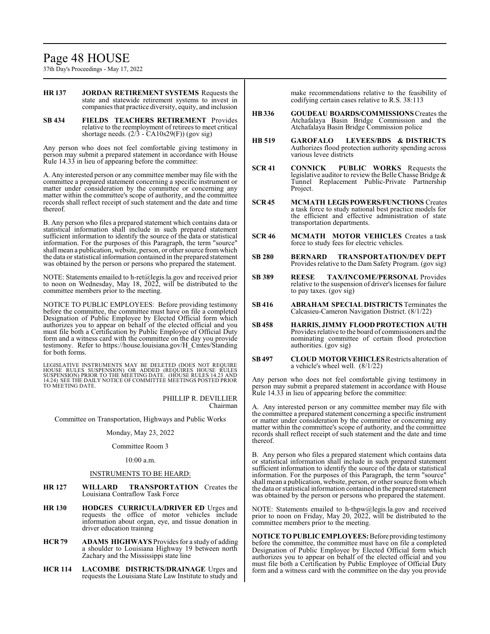# Page 48 HOUSE

37th Day's Proceedings - May 17, 2022

- **HR 137 JORDAN RETIREMENT SYSTEMS** Requests the state and statewide retirement systems to invest in companies that practice diversity, equity, and inclusion
- **SB 434 FIELDS TEACHERS RETIREMENT** Provides relative to the reemployment of retirees to meet critical shortage needs. (2/3 - CA10s29(F)) (gov sig)

Any person who does not feel comfortable giving testimony in person may submit a prepared statement in accordance with House Rule 14.33 in lieu of appearing before the committee:

A. Any interested person or any committee member may file with the committee a prepared statement concerning a specific instrument or matter under consideration by the committee or concerning any matter within the committee's scope of authority, and the committee records shall reflect receipt of such statement and the date and time thereof.

B. Any person who files a prepared statement which contains data or statistical information shall include in such prepared statement sufficient information to identify the source of the data or statistical information. For the purposes of this Paragraph, the term "source" shall mean a publication, website, person, or other source fromwhich the data or statistical information contained in the prepared statement was obtained by the person or persons who prepared the statement.

NOTE: Statements emailed to h-ret@legis.la.gov and received prior to noon on Wednesday, May 18, 2022, will be distributed to the committee members prior to the meeting.

NOTICE TO PUBLIC EMPLOYEES: Before providing testimony before the committee, the committee must have on file a completed Designation of Public Employee by Elected Official form which authorizes you to appear on behalf of the elected official and you must file both a Certification by Public Employee of Official Duty form and a witness card with the committee on the day you provide testimony. Refer to https://house.louisiana.gov/H\_Cmtes/Standing for both forms.

LEGISLATIVE INSTRUMENTS MAY BE DELETED (DOES NOT REQUIRE<br>HOUSE RULES SUSPENSION) OR ADDED (REQUIRES HOUSE RULES<br>SUSPENSION) PRIOR TO THE MEETING DATE. (HOUSE RULES 14.23 AND<br>14.24) SEE THE DAILY NOTICE OF COMMITTEE MEETING TO MEETING DATE.

> PHILLIP R. DEVILLIER Chairman

Committee on Transportation, Highways and Public Works

Monday, May 23, 2022

Committee Room 3

### 10:00 a.m.

### INSTRUMENTS TO BE HEARD:

- **HR 127 WILLARD TRANSPORTATION** Creates the Louisiana Contraflow Task Force
- **HR 130 HODGES CURRICULA/DRIVER ED** Urges and requests the office of motor vehicles include information about organ, eye, and tissue donation in driver education training
- **HCR 79 ADAMS HIGHWAYS** Provides for a study of adding a shoulder to Louisiana Highway 19 between north Zachary and the Mississippi state line
- **HCR 114 LACOMBE DISTRICTS/DRAINAGE** Urges and requests the Louisiana State Law Institute to study and

make recommendations relative to the feasibility of codifying certain cases relative to R.S. 38:113

- **HB336 GOUDEAU BOARDS/COMMISSIONS**Creates the Atchafalaya Basin Bridge Commission and the Atchafalaya Basin Bridge Commission police
- **HB 519 GAROFALO LEVEES/BDS & DISTRICTS** Authorizes flood protection authority spending across various levee districts
- **SCR 41 CONNICK PUBLIC WORKS** Requests the legislative auditor to review the Belle Chasse Bridge & Tunnel Replacement Public-Private Partnership Project.
- **SCR 45 MCMATH LEGISPOWERS/FUNCTIONS** Creates a task force to study national best practice models for the efficient and effective administration of state transportation departments.
- **SCR 46 MCMATH MOTOR VEHICLES** Creates a task force to study fees for electric vehicles.
- **SB 280 BERNARD TRANSPORTATION/DEV DEPT** Provides relative to the Dam Safety Program. (gov sig)
- **SB 389 REESE TAX/INCOME/PERSONAL** Provides relative to the suspension of driver's licenses for failure to pay taxes. (gov sig)
- **SB 416 ABRAHAM SPECIAL DISTRICTS** Terminates the Calcasieu-Cameron Navigation District. (8/1/22)
- **SB 458 HARRIS, JIMMY FLOOD PROTECTION AUTH** Provides relative to the board of commissioners and the nominating committee of certain flood protection authorities. (gov sig)
- **SB497 CLOUD MOTOR VEHICLES**Restricts alteration of a vehicle's wheel well. (8/1/22)

Any person who does not feel comfortable giving testimony in person may submit a prepared statement in accordance with House Rule 14.33 in lieu of appearing before the committee:

A. Any interested person or any committee member may file with the committee a prepared statement concerning a specific instrument or matter under consideration by the committee or concerning any matter within the committee's scope of authority, and the committee records shall reflect receipt of such statement and the date and time thereof.

B. Any person who files a prepared statement which contains data or statistical information shall include in such prepared statement sufficient information to identify the source of the data or statistical information. For the purposes of this Paragraph, the term "source" shall mean a publication, website, person, or other source fromwhich the data or statistical information contained in the prepared statement was obtained by the person or persons who prepared the statement.

NOTE: Statements emailed to h-thpw@legis.la.gov and received prior to noon on Friday, May 20, 2022, will be distributed to the committee members prior to the meeting.

**IOTICE TO PUBLIC EMPLOYEES:** Before providing testimony before the committee, the committee must have on file a completed Designation of Public Employee by Elected Official form which authorizes you to appear on behalf of the elected official and you must file both a Certification by Public Employee of Official Duty form and a witness card with the committee on the day you provide